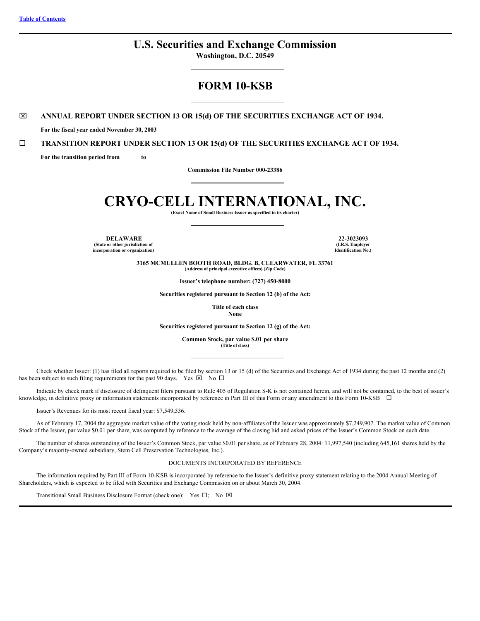# **U.S. Securities and Exchange Commission**

**Washington, D.C. 20549**

# **FORM 10-KSB**

x **ANNUAL REPORT UNDER SECTION 13 OR 15(d) OF THE SECURITIES EXCHANGE ACT OF 1934.**

**For the fiscal year ended November 30, 2003**

¨ **TRANSITION REPORT UNDER SECTION 13 OR 15(d) OF THE SECURITIES EXCHANGE ACT OF 1934.**

**For the transition period from to**

**Commission File Number 000-23386**

# **CRYO-CELL INTERNATIONAL, INC.**

**(Exact Name of Small Business Issuer as specified in its charter)**

**DELAWARE 22-3023093 (State or other jurisdiction of incorporation or organization)**

**(I.R.S. Employer Identification No.)**

**3165 MCMULLEN BOOTH ROAD, BLDG. B, CLEARWATER, FL 33761 (Address of principal executive offices) (Zip Code)**

**Issuer's telephone number: (727) 450-8000**

**Securities registered pursuant to Section 12 (b) of the Act:**

**Title of each class None**

**Securities registered pursuant to Section 12 (g) of the Act:**

**Common Stock, par value \$.01 per share (Title of class)**

Check whether Issuer: (1) has filed all reports required to be filed by section 13 or 15 (d) of the Securities and Exchange Act of 1934 during the past 12 months and (2) has been subject to such filing requirements for the past 90 days. Yes  $\boxtimes$  No  $\Box$ 

Indicate by check mark if disclosure of delinquent filers pursuant to Rule 405 of Regulation S-K is not contained herein, and will not be contained, to the best of issuer's knowledge, in definitive proxy or information statements incorporated by reference in Part III of this Form or any amendment to this Form 10-KSB  $\Box$ 

Issuer's Revenues for its most recent fiscal year: \$7,549,536.

As of February 17, 2004 the aggregate market value of the voting stock held by non-affiliates of the Issuer was approximately \$7,249,907. The market value of Common Stock of the Issuer, par value \$0.01 per share, was computed by reference to the average of the closing bid and asked prices of the Issuer's Common Stock on such date.

The number of shares outstanding of the Issuer's Common Stock, par value \$0.01 per share, as of February 28, 2004: 11,997,540 (including 645,161 shares held by the Company's majority-owned subsidiary, Stem Cell Preservation Technologies, Inc.).

#### DOCUMENTS INCORPORATED BY REFERENCE

The information required by Part III of Form 10-KSB is incorporated by reference to the Issuer's definitive proxy statement relating to the 2004 Annual Meeting of Shareholders, which is expected to be filed with Securities and Exchange Commission on or about March 30, 2004.

Transitional Small Business Disclosure Format (check one): Yes  $\Box$ : No  $\boxtimes$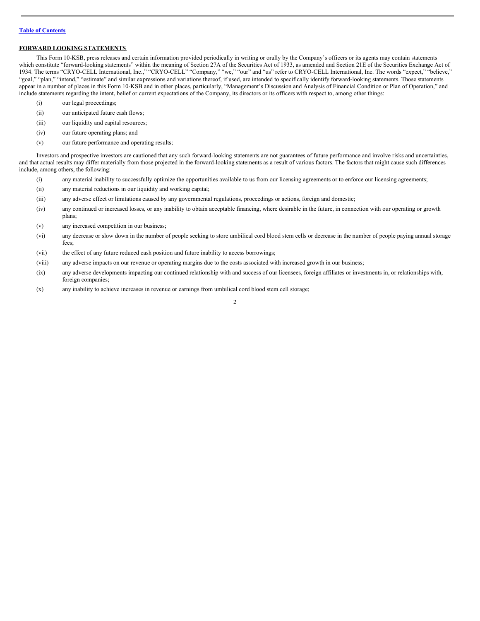## **FORWARD LOOKING STATEMENTS**

This Form 10-KSB, press releases and certain information provided periodically in writing or orally by the Company's officers or its agents may contain statements which constitute "forward-looking statements" within the meaning of Section 27A of the Securities Act of 1933, as amended and Section 21E of the Securities Exchange Act of 1934. The terms "CRYO-CELL International, Inc.," "CRYO-CELL" "Company," "we," "our" and "us" refer to CRYO-CELL International, Inc. The words "expect," "believe," "goal," "plan," "intend," "estimate" and similar expressions and variations thereof, if used, are intended to specifically identify forward-looking statements. Those statements appear in a number of places in this Form 10-KSB and in other places, particularly, "Management's Discussion and Analysis of Financial Condition or Plan of Operation," and include statements regarding the intent, belief or current expectations of the Company, its directors or its officers with respect to, among other things:

- (i) our legal proceedings;
- (ii) our anticipated future cash flows;
- (iii) our liquidity and capital resources;
- (iv) our future operating plans; and
- (v) our future performance and operating results;

Investors and prospective investors are cautioned that any such forward-looking statements are not guarantees of future performance and involve risks and uncertainties, and that actual results may differ materially from those projected in the forward-looking statements as a result of various factors. The factors that might cause such differences include, among others, the following:

- (i) any material inability to successfully optimize the opportunities available to us from our licensing agreements or to enforce our licensing agreements;
- (ii) any material reductions in our liquidity and working capital;
- (iii) any adverse effect or limitations caused by any governmental regulations, proceedings or actions, foreign and domestic;
- (iv) any continued or increased losses, or any inability to obtain acceptable financing, where desirable in the future, in connection with our operating or growth plans;
- (v) any increased competition in our business;
- (vi) any decrease or slow down in the number of people seeking to store umbilical cord blood stem cells or decrease in the number of people paying annual storage fees;
- (vii) the effect of any future reduced cash position and future inability to access borrowings;
- (viii) any adverse impacts on our revenue or operating margins due to the costs associated with increased growth in our business;
- (ix) any adverse developments impacting our continued relationship with and success of our licensees, foreign affiliates or investments in, or relationships with, foreign companies;
- (x) any inability to achieve increases in revenue or earnings from umbilical cord blood stem cell storage;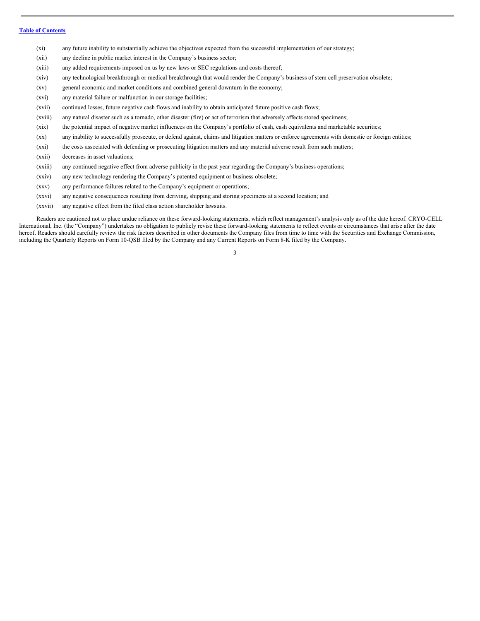- (xi) any future inability to substantially achieve the objectives expected from the successful implementation of our strategy;
- (xii) any decline in public market interest in the Company's business sector;
- (xiii) any added requirements imposed on us by new laws or SEC regulations and costs thereof;
- (xiv) any technological breakthrough or medical breakthrough that would render the Company's business of stem cell preservation obsolete;
- (xv) general economic and market conditions and combined general downturn in the economy;
- (xvi) any material failure or malfunction in our storage facilities;
- (xvii) continued losses, future negative cash flows and inability to obtain anticipated future positive cash flows;
- (xviii) any natural disaster such as a tornado, other disaster (fire) or act of terrorism that adversely affects stored specimens;
- (xix) the potential impact of negative market influences on the Company's portfolio of cash, cash equivalents and marketable securities;
- (xx) any inability to successfully prosecute, or defend against, claims and litigation matters or enforce agreements with domestic or foreign entities;
- (xxi) the costs associated with defending or prosecuting litigation matters and any material adverse result from such matters;
- (xxii) decreases in asset valuations;
- (xxiii) any continued negative effect from adverse publicity in the past year regarding the Company's business operations;
- (xxiv) any new technology rendering the Company's patented equipment or business obsolete;
- (xxv) any performance failures related to the Company's equipment or operations;
- (xxvi) any negative consequences resulting from deriving, shipping and storing specimens at a second location; and
- (xxvii) any negative effect from the filed class action shareholder lawsuits.

Readers are cautioned not to place undue reliance on these forward-looking statements, which reflect management's analysis only as of the date hereof. CRYO-CELL International, Inc. (the "Company") undertakes no obligation to publicly revise these forward-looking statements to reflect events or circumstances that arise after the date hereof. Readers should carefully review the risk factors described in other documents the Company files from time to time with the Securities and Exchange Commission, including the Quarterly Reports on Form 10-QSB filed by the Company and any Current Reports on Form 8-K filed by the Company.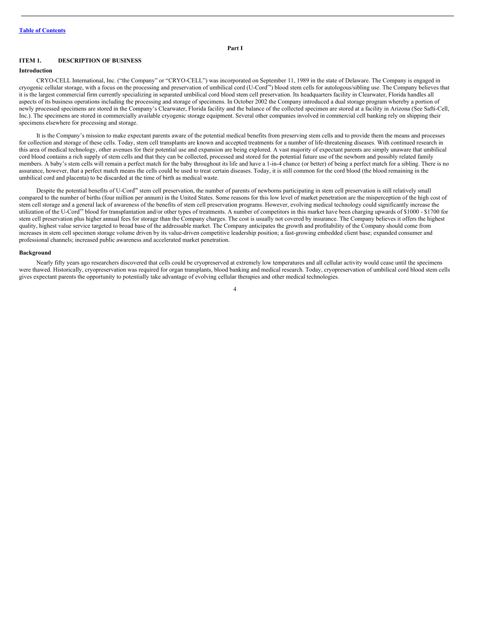#### **Part I**

# **ITEM 1. DESCRIPTION OF BUSINESS**

## **Introduction**

CRYO-CELL International, Inc. ("the Company" or "CRYO-CELL") was incorporated on September 11, 1989 in the state of Delaware. The Company is engaged in cryogenic cellular storage, with a focus on the processing and preservation of umbilical cord (U-Cord™) blood stem cells for autologous/sibling use. The Company believes that it is the largest commercial firm currently specializing in separated umbilical cord blood stem cell preservation. Its headquarters facility in Clearwater, Florida handles all aspects of its business operations including the processing and storage of specimens. In October 2002 the Company introduced a dual storage program whereby a portion of newly processed specimens are stored in the Company's Clearwater, Florida facility and the balance of the collected specimen are stored at a facility in Arizona (See Safti-Cell, Inc.). The specimens are stored in commercially available cryogenic storage equipment. Several other companies involved in commercial cell banking rely on shipping their specimens elsewhere for processing and storage.

It is the Company's mission to make expectant parents aware of the potential medical benefits from preserving stem cells and to provide them the means and processes for collection and storage of these cells. Today, stem cell transplants are known and accepted treatments for a number of life-threatening diseases. With continued research in this area of medical technology, other avenues for their potential use and expansion are being explored. A vast majority of expectant parents are simply unaware that umbilical cord blood contains a rich supply of stem cells and that they can be collected, processed and stored for the potential future use of the newborn and possibly related family members. A baby's stem cells will remain a perfect match for the baby throughout its life and have a 1-in-4 chance (or better) of being a perfect match for a sibling. There is no assurance, however, that a perfect match means the cells could be used to treat certain diseases. Today, it is still common for the cord blood (the blood remaining in the umbilical cord and placenta) to be discarded at the time of birth as medical waste.

Despite the potential benefits of U-Cord™ stem cell preservation, the number of parents of newborns participating in stem cell preservation is still relatively small compared to the number of births (four million per annum) in the United States. Some reasons for this low level of market penetration are the misperception of the high cost of stem cell storage and a general lack of awareness of the benefits of stem cell preservation programs. However, evolving medical technology could significantly increase the utilization of the U-Cord™ blood for transplantation and/or other types of treatments. A number of competitors in this market have been charging upwards of \$1000 - \$1700 for stem cell preservation plus higher annual fees for storage than the Company charges. The cost is usually not covered by insurance. The Company believes it offers the highest quality, highest value service targeted to broad base of the addressable market. The Company anticipates the growth and profitability of the Company should come from increases in stem cell specimen storage volume driven by its value-driven competitive leadership position; a fast-growing embedded client base; expanded consumer and professional channels; increased public awareness and accelerated market penetration.

#### **Background**

Nearly fifty years ago researchers discovered that cells could be cryopreserved at extremely low temperatures and all cellular activity would cease until the specimens were thawed. Historically, cryopreservation was required for organ transplants, blood banking and medical research. Today, cryopreservation of umbilical cord blood stem cells gives expectant parents the opportunity to potentially take advantage of evolving cellular therapies and other medical technologies.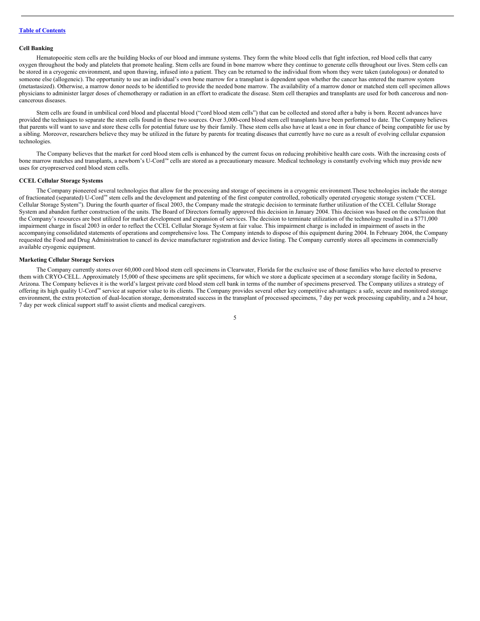#### **Cell Banking**

Hematopoeitic stem cells are the building blocks of our blood and immune systems. They form the white blood cells that fight infection, red blood cells that carry oxygen throughout the body and platelets that promote healing. Stem cells are found in bone marrow where they continue to generate cells throughout our lives. Stem cells can be stored in a cryogenic environment, and upon thawing, infused into a patient. They can be returned to the individual from whom they were taken (autologous) or donated to someone else (allogeneic). The opportunity to use an individual's own bone marrow for a transplant is dependent upon whether the cancer has entered the marrow system (metastasized). Otherwise, a marrow donor needs to be identified to provide the needed bone marrow. The availability of a marrow donor or matched stem cell specimen allows physicians to administer larger doses of chemotherapy or radiation in an effort to eradicate the disease. Stem cell therapies and transplants are used for both cancerous and noncancerous diseases.

Stem cells are found in umbilical cord blood and placental blood ("cord blood stem cells") that can be collected and stored after a baby is born. Recent advances have provided the techniques to separate the stem cells found in these two sources. Over 3,000-cord blood stem cell transplants have been performed to date. The Company believes that parents will want to save and store these cells for potential future use by their family. These stem cells also have at least a one in four chance of being compatible for use by a sibling. Moreover, researchers believe they may be utilized in the future by parents for treating diseases that currently have no cure as a result of evolving cellular expansion technologies.

The Company believes that the market for cord blood stem cells is enhanced by the current focus on reducing prohibitive health care costs. With the increasing costs of bone marrow matches and transplants, a newborn's U-Cord™ cells are stored as a precautionary measure. Medical technology is constantly evolving which may provide new uses for cryopreserved cord blood stem cells.

#### **CCEL Cellular Storage Systems**

The Company pioneered several technologies that allow for the processing and storage of specimens in a cryogenic environment.These technologies include the storage of fractionated (separated) U-Cord™ stem cells and the development and patenting of the first computer controlled, robotically operated cryogenic storage system ("CCEL Cellular Storage System"). During the fourth quarter of fiscal 2003, the Company made the strategic decision to terminate further utilization of the CCEL Cellular Storage System and abandon further construction of the units. The Board of Directors formally approved this decision in January 2004. This decision was based on the conclusion that the Company's resources are best utilized for market development and expansion of services. The decision to terminate utilization of the technology resulted in a \$771,000 impairment charge in fiscal 2003 in order to reflect the CCEL Cellular Storage System at fair value. This impairment charge is included in impairment of assets in the accompanying consolidated statements of operations and comprehensive loss. The Company intends to dispose of this equipment during 2004. In February 2004, the Company requested the Food and Drug Administration to cancel its device manufacturer registration and device listing. The Company currently stores all specimens in commercially available cryogenic equipment.

## **Marketing Cellular Storage Services**

The Company currently stores over 60,000 cord blood stem cell specimens in Clearwater, Florida for the exclusive use of those families who have elected to preserve them with CRYO-CELL. Approximately 15,000 of these specimens are split specimens, for which we store a duplicate specimen at a secondary storage facility in Sedona, Arizona. The Company believes it is the world's largest private cord blood stem cell bank in terms of the number of specimens preserved. The Company utilizes a strategy of offering its high quality U-Cord™ service at superior value to its clients. The Company provides several other key competitive advantages: a safe, secure and monitored storage environment, the extra protection of dual-location storage, demonstrated success in the transplant of processed specimens, 7 day per week processing capability, and a 24 hour, 7 day per week clinical support staff to assist clients and medical caregivers.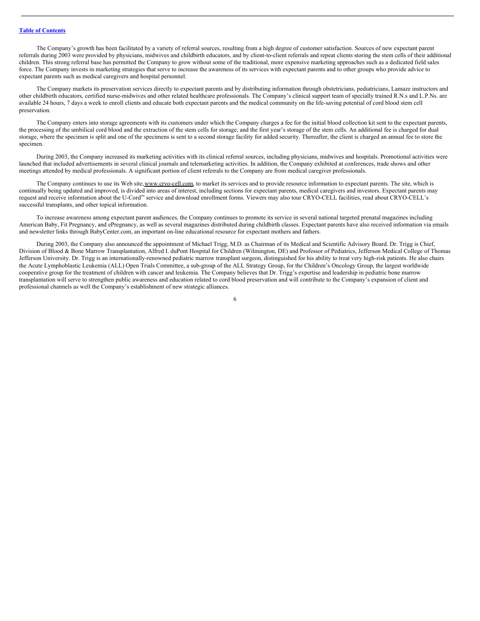The Company's growth has been facilitated by a variety of referral sources, resulting from a high degree of customer satisfaction. Sources of new expectant parent referrals during 2003 were provided by physicians, midwives and childbirth educators, and by client-to-client referrals and repeat clients storing the stem cells of their additional children. This strong referral base has permitted the Company to grow without some of the traditional, more expensive marketing approaches such as a dedicated field sales force. The Company invests in marketing strategies that serve to increase the awareness of its services with expectant parents and to other groups who provide advice to expectant parents such as medical caregivers and hospital personnel.

The Company markets its preservation services directly to expectant parents and by distributing information through obstetricians, pediatricians, Lamaze instructors and other childbirth educators, certified nurse-midwives and other related healthcare professionals. The Company's clinical support team of specially trained R.N.s and L.P.Ns. are available 24 hours, 7 days a week to enroll clients and educate both expectant parents and the medical community on the life-saving potential of cord blood stem cell preservation.

The Company enters into storage agreements with its customers under which the Company charges a fee for the initial blood collection kit sent to the expectant parents, the processing of the umbilical cord blood and the extraction of the stem cells for storage, and the first year's storage of the stem cells. An additional fee is charged for dual storage, where the specimen is split and one of the specimens is sent to a second storage facility for added security. Thereafter, the client is charged an annual fee to store the specimen.

During 2003, the Company increased its marketing activities with its clinical referral sources, including physicians, midwives and hospitals. Promotional activities were launched that included advertisements in several clinical journals and telemarketing activities. In addition, the Company exhibited at conferences, trade shows and other meetings attended by medical professionals. A significant portion of client referrals to the Company are from medical caregiver professionals.

The Company continues to use its Web site, www.cryo-cell.com, to market its services and to provide resource information to expectant parents. The site, which is continually being updated and improved, is divided into areas of interest, including sections for expectant parents, medical caregivers and investors. Expectant parents may request and receive information about the U-Cord™ service and download enrollment forms. Viewers may also tour CRYO-CELL facilities, read about CRYO-CELL's successful transplants, and other topical information.

To increase awareness among expectant parent audiences, the Company continues to promote its service in several national targeted prenatal magazines including American Baby, Fit Pregnancy, and ePregnancy, as well as several magazines distributed during childbirth classes. Expectant parents have also received information via emails and newsletter links through BabyCenter.com, an important on-line educational resource for expectant mothers and fathers.

During 2003, the Company also announced the appointment of Michael Trigg, M.D. as Chairman of its Medical and Scientific Advisory Board. Dr. Trigg is Chief, Division of Blood & Bone Marrow Transplantation, Alfred I. duPont Hospital for Children (Wilmington, DE) and Professor of Pediatrics, Jefferson Medical College of Thomas Jefferson University. Dr. Trigg is an internationally-renowned pediatric marrow transplant surgeon, distinguished for his ability to treat very high-risk patients. He also chairs the Acute Lymphoblastic Leukemia (ALL) Open Trials Committee, a sub-group of the ALL Strategy Group, for the Children's Oncology Group, the largest worldwide cooperative group for the treatment of children with cancer and leukemia. The Company believes that Dr. Trigg's expertise and leadership in pediatric bone marrow transplantation will serve to strengthen public awareness and education related to cord blood preservation and will contribute to the Company's expansion of client and professional channels as well the Company's establishment of new strategic alliances.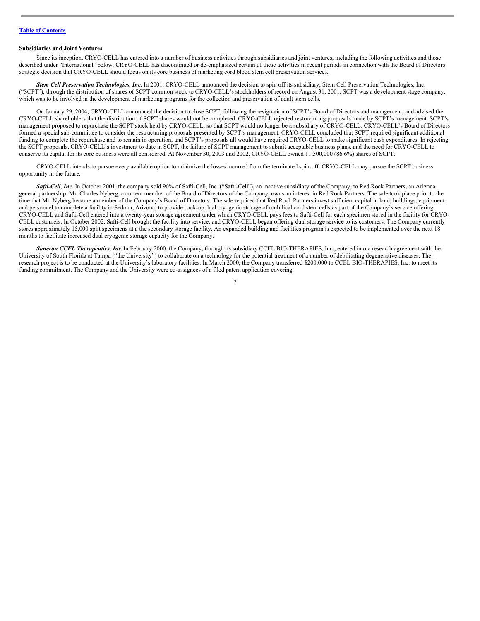#### **Subsidiaries and Joint Ventures**

Since its inception, CRYO-CELL has entered into a number of business activities through subsidiaries and joint ventures, including the following activities and those described under "International" below. CRYO-CELL has discontinued or de-emphasized certain of these activities in recent periods in connection with the Board of Directors' strategic decision that CRYO-CELL should focus on its core business of marketing cord blood stem cell preservation services.

*Stem Cell Preservation Technologies, Inc.* In 2001, CRYO-CELL announced the decision to spin off its subsidiary, Stem Cell Preservation Technologies, Inc. ("SCPT"), through the distribution of shares of SCPT common stock to CRYO-CELL's stockholders of record on August 31, 2001. SCPT was a development stage company, which was to be involved in the development of marketing programs for the collection and preservation of adult stem cells.

On January 29, 2004, CRYO-CELL announced the decision to close SCPT, following the resignation of SCPT's Board of Directors and management, and advised the CRYO-CELL shareholders that the distribution of SCPT shares would not be completed. CRYO-CELL rejected restructuring proposals made by SCPT's management. SCPT's management proposed to repurchase the SCPT stock held by CRYO-CELL, so that SCPT would no longer be a subsidiary of CRYO-CELL. CRYO-CELL's Board of Directors formed a special sub-committee to consider the restructuring proposals presented by SCPT's management. CRYO-CELL concluded that SCPT required significant additional funding to complete the repurchase and to remain in operation, and SCPT's proposals all would have required CRYO-CELL to make significant cash expenditures. In rejecting the SCPT proposals, CRYO-CELL's investment to date in SCPT, the failure of SCPT management to submit acceptable business plans, and the need for CRYO-CELL to conserve its capital for its core business were all considered. At November 30, 2003 and 2002, CRYO-CELL owned 11,500,000 (86.6%) shares of SCPT.

CRYO-CELL intends to pursue every available option to minimize the losses incurred from the terminated spin-off. CRYO-CELL may pursue the SCPT business opportunity in the future.

*Safti-Cell, Inc.* In October 2001, the company sold 90% of Safti-Cell, Inc. ("Safti-Cell"), an inactive subsidiary of the Company, to Red Rock Partners, an Arizona general partnership. Mr. Charles Nyberg, a current member of the Board of Directors of the Company, owns an interest in Red Rock Partners. The sale took place prior to the time that Mr. Nyberg became a member of the Company's Board of Directors. The sale required that Red Rock Partners invest sufficient capital in land, buildings, equipment and personnel to complete a facility in Sedona, Arizona, to provide back-up dual cryogenic storage of umbilical cord stem cells as part of the Company's service offering. CRYO-CELL and Safti-Cell entered into a twenty-year storage agreement under which CRYO-CELL pays fees to Safti-Cell for each specimen stored in the facility for CRYO-CELL customers. In October 2002, Safti-Cell brought the facility into service, and CRYO-CELL began offering dual storage service to its customers. The Company currently stores approximately 15,000 split specimens at a the secondary storage facility. An expanded building and facilities program is expected to be implemented over the next 18 months to facilitate increased dual cryogenic storage capacity for the Company.

*Saneron CCEL Therapeutics, Inc.*In February 2000, the Company, through its subsidiary CCEL BIO-THERAPIES, Inc., entered into a research agreement with the University of South Florida at Tampa ("the University") to collaborate on a technology for the potential treatment of a number of debilitating degenerative diseases. The research project is to be conducted at the University's laboratory facilities. In March 2000, the Company transferred \$200,000 to CCEL BIO-THERAPIES, Inc. to meet its funding commitment. The Company and the University were co-assignees of a filed patent application covering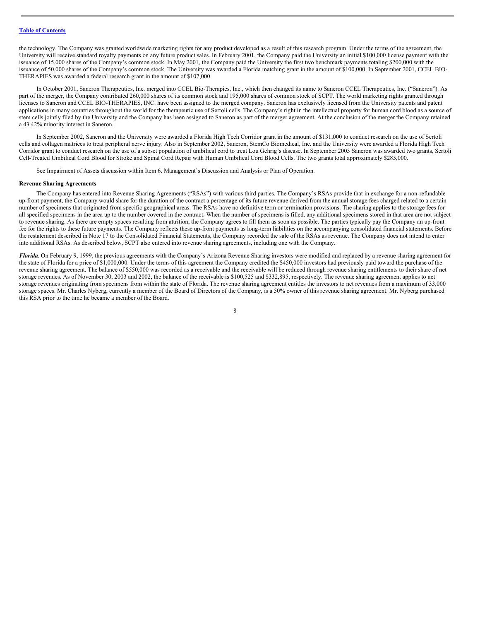the technology. The Company was granted worldwide marketing rights for any product developed as a result of this research program. Under the terms of the agreement, the University will receive standard royalty payments on any future product sales. In February 2001, the Company paid the University an initial \$100,000 license payment with the issuance of 15,000 shares of the Company's common stock. In May 2001, the Company paid the University the first two benchmark payments totaling \$200,000 with the issuance of 50,000 shares of the Company's common stock. The University was awarded a Florida matching grant in the amount of \$100,000. In September 2001, CCEL BIO-THERAPIES was awarded a federal research grant in the amount of \$107,000.

In October 2001, Saneron Therapeutics, Inc. merged into CCEL Bio-Therapies, Inc., which then changed its name to Saneron CCEL Therapeutics, Inc. ("Saneron"). As part of the merger, the Company contributed 260,000 shares of its common stock and 195,000 shares of common stock of SCPT. The world marketing rights granted through licenses to Saneron and CCEL BIO-THERAPIES, INC. have been assigned to the merged company. Saneron has exclusively licensed from the University patents and patent applications in many countries throughout the world for the therapeutic use of Sertoli cells. The Company's right in the intellectual property for human cord blood as a source of stem cells jointly filed by the University and the Company has been assigned to Saneron as part of the merger agreement. At the conclusion of the merger the Company retained a 43.42% minority interest in Saneron.

In September 2002, Saneron and the University were awarded a Florida High Tech Corridor grant in the amount of \$131,000 to conduct research on the use of Sertoli cells and collagen matrices to treat peripheral nerve injury. Also in September 2002, Saneron, StemCo Biomedical, Inc. and the University were awarded a Florida High Tech Corridor grant to conduct research on the use of a subset population of umbilical cord to treat Lou Gehrig's disease. In September 2003 Saneron was awarded two grants, Sertoli Cell-Treated Umbilical Cord Blood for Stroke and Spinal Cord Repair with Human Umbilical Cord Blood Cells. The two grants total approximately \$285,000.

See Impairment of Assets discussion within Item 6. Management's Discussion and Analysis or Plan of Operation.

#### **Revenue Sharing Agreements**

The Company has entered into Revenue Sharing Agreements ("RSAs") with various third parties. The Company's RSAs provide that in exchange for a non-refundable up-front payment, the Company would share for the duration of the contract a percentage of its future revenue derived from the annual storage fees charged related to a certain number of specimens that originated from specific geographical areas. The RSAs have no definitive term or termination provisions. The sharing applies to the storage fees for all specified specimens in the area up to the number covered in the contract. When the number of specimens is filled, any additional specimens stored in that area are not subject to revenue sharing. As there are empty spaces resulting from attrition, the Company agrees to fill them as soon as possible. The parties typically pay the Company an up-front fee for the rights to these future payments. The Company reflects these up-front payments as long-term liabilities on the accompanying consolidated financial statements. Before the restatement described in Note 17 to the Consolidated Financial Statements, the Company recorded the sale of the RSAs as revenue. The Company does not intend to enter into additional RSAs. As described below, SCPT also entered into revenue sharing agreements, including one with the Company.

*Florida*. On February 9, 1999, the previous agreements with the Company's Arizona Revenue Sharing investors were modified and replaced by a revenue sharing agreement for the state of Florida for a price of \$1,000,000. Under the terms of this agreement the Company credited the \$450,000 investors had previously paid toward the purchase of the revenue sharing agreement. The balance of \$550,000 was recorded as a receivable and the receivable will be reduced through revenue sharing entitlements to their share of net storage revenues. As of November 30, 2003 and 2002, the balance of the receivable is \$100,525 and \$332,895, respectively. The revenue sharing agreement applies to net storage revenues originating from specimens from within the state of Florida. The revenue sharing agreement entitles the investors to net revenues from a maximum of 33,000 storage spaces. Mr. Charles Nyberg, currently a member of the Board of Directors of the Company, is a 50% owner of this revenue sharing agreement. Mr. Nyberg purchased this RSA prior to the time he became a member of the Board.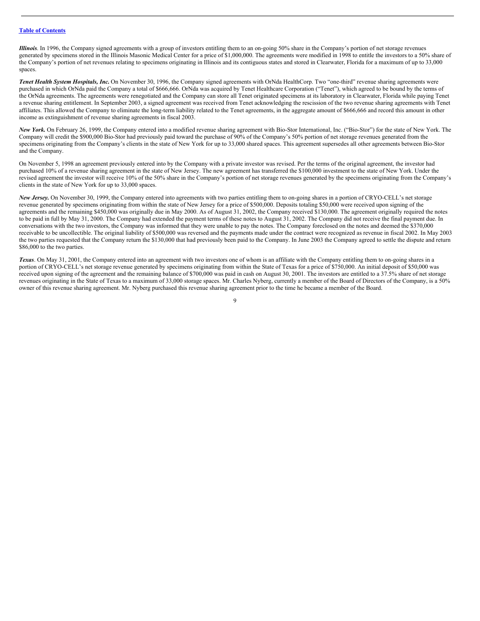*Illinois*. In 1996, the Company signed agreements with a group of investors entitling them to an on-going 50% share in the Company's portion of net storage revenues generated by specimens stored in the Illinois Masonic Medical Center for a price of \$1,000,000. The agreements were modified in 1998 to entitle the investors to a 50% share of the Company's portion of net revenues relating to specimens originating in Illinois and its contiguous states and stored in Clearwater, Florida for a maximum of up to 33,000 spaces.

*Tenet Health System Hospitals, Inc.* On November 30, 1996, the Company signed agreements with OrNda HealthCorp. Two "one-third" revenue sharing agreements were purchased in which OrNda paid the Company a total of \$666,666. OrNda was acquired by Tenet Healthcare Corporation ("Tenet"), which agreed to be bound by the terms of the OrNda agreements. The agreements were renegotiated and the Company can store all Tenet originated specimens at its laboratory in Clearwater, Florida while paying Tenet a revenue sharing entitlement. In September 2003, a signed agreement was received from Tenet acknowledging the rescission of the two revenue sharing agreements with Tenet affiliates. This allowed the Company to eliminate the long-term liability related to the Tenet agreements, in the aggregate amount of \$666,666 and record this amount in other income as extinguishment of revenue sharing agreements in fiscal 2003.

*New York.* On February 26, 1999, the Company entered into a modified revenue sharing agreement with Bio-Stor International, Inc. ("Bio-Stor") for the state of New York. The Company will credit the \$900,000 Bio-Stor had previously paid toward the purchase of 90% of the Company's 50% portion of net storage revenues generated from the specimens originating from the Company's clients in the state of New York for up to 33,000 shared spaces. This agreement supersedes all other agreements between Bio-Stor and the Company.

On November 5, 1998 an agreement previously entered into by the Company with a private investor was revised. Per the terms of the original agreement, the investor had purchased 10% of a revenue sharing agreement in the state of New Jersey. The new agreement has transferred the \$100,000 investment to the state of New York. Under the revised agreement the investor will receive 10% of the 50% share in the Company's portion of net storage revenues generated by the specimens originating from the Company's clients in the state of New York for up to 33,000 spaces.

*New Jersey.* On November 30, 1999, the Company entered into agreements with two parties entitling them to on-going shares in a portion of CRYO-CELL's net storage revenue generated by specimens originating from within the state of New Jersey for a price of \$500,000. Deposits totaling \$50,000 were received upon signing of the agreements and the remaining \$450,000 was originally due in May 2000. As of August 31, 2002, the Company received \$130,000. The agreement originally required the notes to be paid in full by May 31, 2000. The Company had extended the payment terms of these notes to August 31, 2002. The Company did not receive the final payment due. In conversations with the two investors, the Company was informed that they were unable to pay the notes. The Company foreclosed on the notes and deemed the \$370,000 receivable to be uncollectible. The original liability of \$500,000 was reversed and the payments made under the contract were recognized as revenue in fiscal 2002. In May 2003 the two parties requested that the Company return the \$130,000 that had previously been paid to the Company. In June 2003 the Company agreed to settle the dispute and return \$86,000 to the two parties.

*Texas*. On May 31, 2001, the Company entered into an agreement with two investors one of whom is an affiliate with the Company entitling them to on-going shares in a portion of CRYO-CELL's net storage revenue generated by specimens originating from within the State of Texas for a price of \$750,000. An initial deposit of \$50,000 was received upon signing of the agreement and the remaining balance of \$700,000 was paid in cash on August 30, 2001. The investors are entitled to a 37.5% share of net storage revenues originating in the State of Texas to a maximum of 33,000 storage spaces. Mr. Charles Nyberg, currently a member of the Board of Directors of the Company, is a 50% owner of this revenue sharing agreement. Mr. Nyberg purchased this revenue sharing agreement prior to the time he became a member of the Board.

 $\overline{Q}$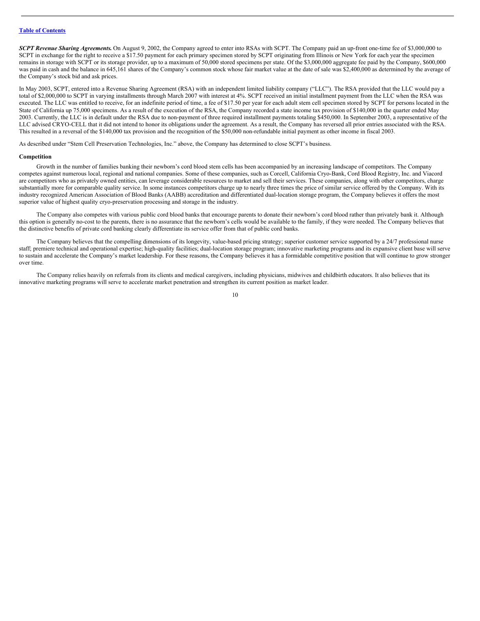*SCPT Revenue Sharing Agreements.* On August 9, 2002, the Company agreed to enter into RSAs with SCPT. The Company paid an up-front one-time fee of \$3,000,000 to SCPT in exchange for the right to receive a \$17.50 payment for each primary specimen stored by SCPT originating from Illinois or New York for each year the specimen remains in storage with SCPT or its storage provider, up to a maximum of 50,000 stored specimens per state. Of the \$3,000,000 aggregate fee paid by the Company, \$600,000 was paid in cash and the balance in 645,161 shares of the Company's common stock whose fair market value at the date of sale was \$2,400,000 as determined by the average of the Company's stock bid and ask prices.

In May 2003, SCPT, entered into a Revenue Sharing Agreement (RSA) with an independent limited liability company ("LLC"). The RSA provided that the LLC would pay a total of \$2,000,000 to SCPT in varying installments through March 2007 with interest at 4%. SCPT received an initial installment payment from the LLC when the RSA was executed. The LLC was entitled to receive, for an indefinite period of time, a fee of \$17.50 per year for each adult stem cell specimen stored by SCPT for persons located in the State of California up 75,000 specimens. As a result of the execution of the RSA, the Company recorded a state income tax provision of \$140,000 in the quarter ended May 2003. Currently, the LLC is in default under the RSA due to non-payment of three required installment payments totaling \$450,000. In September 2003, a representative of the LLC advised CRYO-CELL that it did not intend to honor its obligations under the agreement. As a result, the Company has reversed all prior entries associated with the RSA. This resulted in a reversal of the \$140,000 tax provision and the recognition of the \$50,000 non-refundable initial payment as other income in fiscal 2003.

As described under "Stem Cell Preservation Technologies, Inc." above, the Company has determined to close SCPT's business.

#### **Competition**

Growth in the number of families banking their newborn's cord blood stem cells has been accompanied by an increasing landscape of competitors. The Company competes against numerous local, regional and national companies. Some of these companies, such as Corcell, California Cryo-Bank, Cord Blood Registry, Inc. and Viacord are competitors who as privately owned entities, can leverage considerable resources to market and sell their services. These companies, along with other competitors, charge substantially more for comparable quality service. In some instances competitors charge up to nearly three times the price of similar service offered by the Company. With its industry recognized American Association of Blood Banks (AABB) accreditation and differentiated dual-location storage program, the Company believes it offers the most superior value of highest quality cryo-preservation processing and storage in the industry.

The Company also competes with various public cord blood banks that encourage parents to donate their newborn's cord blood rather than privately bank it. Although this option is generally no-cost to the parents, there is no assurance that the newborn's cells would be available to the family, if they were needed. The Company believes that the distinctive benefits of private cord banking clearly differentiate its service offer from that of public cord banks.

The Company believes that the compelling dimensions of its longevity, value-based pricing strategy; superior customer service supported by a 24/7 professional nurse staff; premiere technical and operational expertise; high-quality facilities; dual-location storage program; innovative marketing programs and its expansive client base will serve to sustain and accelerate the Company's market leadership. For these reasons, the Company believes it has a formidable competitive position that will continue to grow stronger over time.

The Company relies heavily on referrals from its clients and medical caregivers, including physicians, midwives and childbirth educators. It also believes that its innovative marketing programs will serve to accelerate market penetration and strengthen its current position as market leader.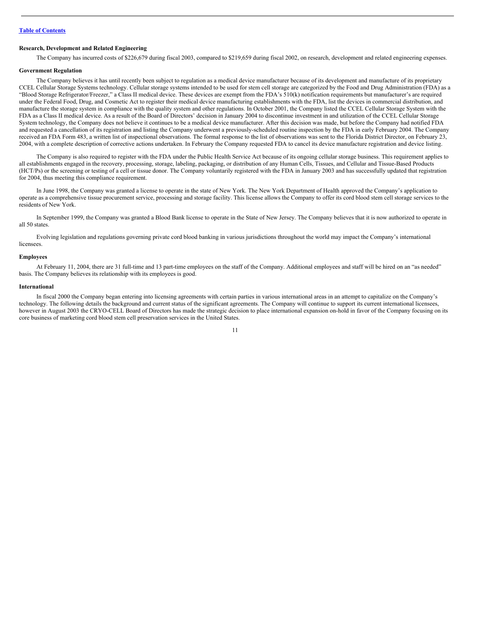## **Research, Development and Related Engineering**

The Company has incurred costs of \$226,679 during fiscal 2003, compared to \$219,659 during fiscal 2002, on research, development and related engineering expenses.

#### **Government Regulation**

The Company believes it has until recently been subject to regulation as a medical device manufacturer because of its development and manufacture of its proprietary CCEL Cellular Storage Systems technology. Cellular storage systems intended to be used for stem cell storage are categorized by the Food and Drug Administration (FDA) as a "Blood Storage Refrigerator/Freezer," a Class II medical device. These devices are exempt from the FDA's 510(k) notification requirements but manufacturer's are required under the Federal Food, Drug, and Cosmetic Act to register their medical device manufacturing establishments with the FDA, list the devices in commercial distribution, and manufacture the storage system in compliance with the quality system and other regulations. In October 2001, the Company listed the CCEL Cellular Storage System with the FDA as a Class II medical device. As a result of the Board of Directors' decision in January 2004 to discontinue investment in and utilization of the CCEL Cellular Storage System technology, the Company does not believe it continues to be a medical device manufacturer. After this decision was made, but before the Company had notified FDA and requested a cancellation of its registration and listing the Company underwent a previously-scheduled routine inspection by the FDA in early February 2004. The Company received an FDA Form 483, a written list of inspectional observations. The formal response to the list of observations was sent to the Florida District Director, on February 23, 2004, with a complete description of corrective actions undertaken. In February the Company requested FDA to cancel its device manufacture registration and device listing.

The Company is also required to register with the FDA under the Public Health Service Act because of its ongoing cellular storage business. This requirement applies to all establishments engaged in the recovery, processing, storage, labeling, packaging, or distribution of any Human Cells, Tissues, and Cellular and Tissue-Based Products (HCT/Ps) or the screening or testing of a cell or tissue donor. The Company voluntarily registered with the FDA in January 2003 and has successfully updated that registration for 2004, thus meeting this compliance requirement.

In June 1998, the Company was granted a license to operate in the state of New York. The New York Department of Health approved the Company's application to operate as a comprehensive tissue procurement service, processing and storage facility. This license allows the Company to offer its cord blood stem cell storage services to the residents of New York.

In September 1999, the Company was granted a Blood Bank license to operate in the State of New Jersey. The Company believes that it is now authorized to operate in all 50 states.

Evolving legislation and regulations governing private cord blood banking in various jurisdictions throughout the world may impact the Company's international licensees.

#### **Employees**

At February 11, 2004, there are 31 full-time and 13 part-time employees on the staff of the Company. Additional employees and staff will be hired on an "as needed" basis. The Company believes its relationship with its employees is good.

#### **International**

In fiscal 2000 the Company began entering into licensing agreements with certain parties in various international areas in an attempt to capitalize on the Company's technology. The following details the background and current status of the significant agreements. The Company will continue to support its current international licensees, however in August 2003 the CRYO-CELL Board of Directors has made the strategic decision to place international expansion on-hold in favor of the Company focusing on its core business of marketing cord blood stem cell preservation services in the United States.

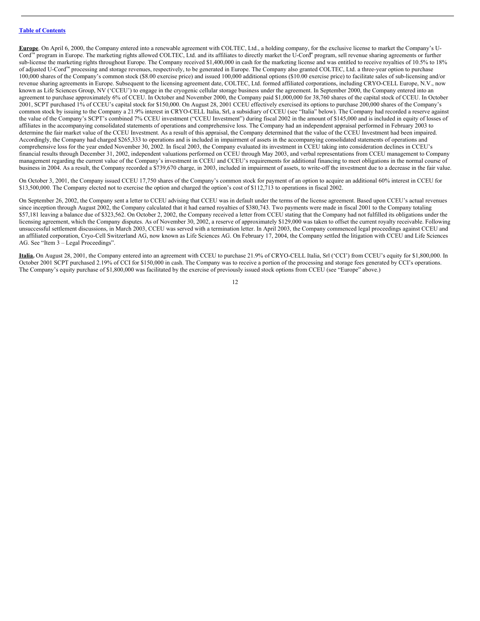**Europe**. On April 6, 2000, the Company entered into a renewable agreement with COLTEC, Ltd., a holding company, for the exclusive license to market the Company's U-Cord™ program in Europe. The marketing rights allowed COLTEC, Ltd. and its affiliates to directly market the U-Cord™ program, sell revenue sharing agreements or further sub-license the marketing rights throughout Europe. The Company received \$1,400,000 in cash for the marketing license and was entitled to receive royalties of 10.5% to 18% of adjusted U-Cord™ processing and storage revenues, respectively, to be generated in Europe. The Company also granted COLTEC, Ltd. a three-year option to purchase 100,000 shares of the Company's common stock (\$8.00 exercise price) and issued 100,000 additional options (\$10.00 exercise price) to facilitate sales of sub-licensing and/or revenue sharing agreements in Europe. Subsequent to the licensing agreement date, COLTEC, Ltd. formed affiliated corporations, including CRYO-CELL Europe, N.V., now known as Life Sciences Group, NV ('CCEU') to engage in the cryogenic cellular storage business under the agreement. In September 2000, the Company entered into an agreement to purchase approximately 6% of CCEU. In October and November 2000, the Company paid \$1,000,000 for 38,760 shares of the capital stock of CCEU. In October 2001, SCPT purchased 1% of CCEU's capital stock for \$150,000. On August 28, 2001 CCEU effectively exercised its options to purchase 200,000 shares of the Company's common stock by issuing to the Company a 21.9% interest in CRYO-CELL Italia, Srl, a subsidiary of CCEU (see "Italia" below). The Company had recorded a reserve against the value of the Company's SCPT's combined 7% CCEU investment ("CCEU Investment") during fiscal 2002 in the amount of \$145,000 and is included in equity of losses of affiliates in the accompanying consolidated statements of operations and comprehensive loss. The Company had an independent appraisal performed in February 2003 to determine the fair market value of the CCEU Investment. As a result of this appraisal, the Company determined that the value of the CCEU Investment had been impaired. Accordingly, the Company had charged \$265,333 to operations and is included in impairment of assets in the accompanying consolidated statements of operations and comprehensive loss for the year ended November 30, 2002. In fiscal 2003, the Company evaluated its investment in CCEU taking into consideration declines in CCEU's financial results through December 31, 2002, independent valuations performed on CCEU through May 2003, and verbal representations from CCEU management to Company management regarding the current value of the Company's investment in CCEU and CCEU's requirements for additional financing to meet obligations in the normal course of business in 2004. As a result, the Company recorded a \$739,670 charge, in 2003, included in impairment of assets, to write-off the investment due to a decrease in the fair value.

On October 3, 2001, the Company issued CCEU 17,750 shares of the Company's common stock for payment of an option to acquire an additional 60% interest in CCEU for \$13,500,000. The Company elected not to exercise the option and charged the option's cost of \$112,713 to operations in fiscal 2002.

On September 26, 2002, the Company sent a letter to CCEU advising that CCEU was in default under the terms of the license agreement. Based upon CCEU's actual revenues since inception through August 2002, the Company calculated that it had earned royalties of \$380,743. Two payments were made in fiscal 2001 to the Company totaling \$57,181 leaving a balance due of \$323,562. On October 2, 2002, the Company received a letter from CCEU stating that the Company had not fulfilled its obligations under the licensing agreement, which the Company disputes. As of November 30, 2002, a reserve of approximately \$129,000 was taken to offset the current royalty receivable. Following unsuccessful settlement discussions, in March 2003, CCEU was served with a termination letter. In April 2003, the Company commenced legal proceedings against CCEU and an affiliated corporation, Cryo-Cell Switzerland AG, now known as Life Sciences AG. On February 17, 2004, the Company settled the litigation with CCEU and Life Sciences AG. See "Item  $3 -$  Legal Proceedings".

**Italia.** On August 28, 2001, the Company entered into an agreement with CCEU to purchase 21.9% of CRYO-CELL Italia, Srl ('CCI') from CCEU's equity for \$1,800,000. In October 2001 SCPT purchased 2.19% of CCI for \$150,000 in cash. The Company was to receive a portion of the processing and storage fees generated by CCI's operations. The Company's equity purchase of \$1,800,000 was facilitated by the exercise of previously issued stock options from CCEU (see "Europe" above.)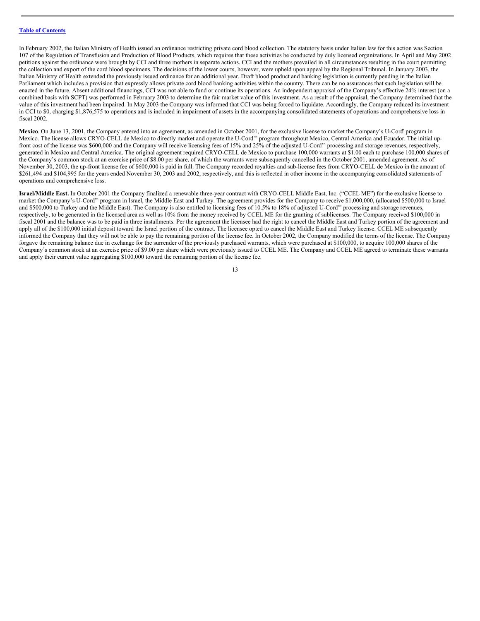In February 2002, the Italian Ministry of Health issued an ordinance restricting private cord blood collection. The statutory basis under Italian law for this action was Section 107 of the Regulation of Transfusion and Production of Blood Products, which requires that these activities be conducted by duly licensed organizations. In April and May 2002 petitions against the ordinance were brought by CCI and three mothers in separate actions. CCI and the mothers prevailed in all circumstances resulting in the court permitting the collection and export of the cord blood specimens. The decisions of the lower courts, however, were upheld upon appeal by the Regional Tribunal. In January 2003, the Italian Ministry of Health extended the previously issued ordinance for an additional year. Draft blood product and banking legislation is currently pending in the Italian Parliament which includes a provision that expressly allows private cord blood banking activities within the country. There can be no assurances that such legislation will be enacted in the future. Absent additional financings, CCI was not able to fund or continue its operations. An independent appraisal of the Company's effective 24% interest (on a combined basis with SCPT) was performed in February 2003 to determine the fair market value of this investment. As a result of the appraisal, the Company determined that the value of this investment had been impaired. In May 2003 the Company was informed that CCI was being forced to liquidate. Accordingly, the Company reduced its investment in CCI to \$0, charging \$1,876,575 to operations and is included in impairment of assets in the accompanying consolidated statements of operations and comprehensive loss in fiscal 2002.

Mexico. On June 13, 2001, the Company entered into an agreement, as amended in October 2001, for the exclusive license to market the Company's U-Cord™ program in Mexico. The license allows CRYO-CELL de Mexico to directly market and operate the U-Cord™ program throughout Mexico, Central America and Ecuador. The initial upfront cost of the license was \$600,000 and the Company will receive licensing fees of 15% and 25% of the adjusted U-Cord™ processing and storage revenues, respectively, generated in Mexico and Central America. The original agreement required CRYO-CELL de Mexico to purchase 100,000 warrants at \$1.00 each to purchase 100,000 shares of the Company's common stock at an exercise price of \$8.00 per share, of which the warrants were subsequently cancelled in the October 2001, amended agreement. As of November 30, 2003, the up-front license fee of \$600,000 is paid in full. The Company recorded royalties and sub-license fees from CRYO-CELL de Mexico in the amount of \$261,494 and \$104,995 for the years ended November 30, 2003 and 2002, respectively, and this is reflected in other income in the accompanying consolidated statements of operations and comprehensive loss.

**Israel/Middle East.** In October 2001 the Company finalized a renewable three-year contract with CRYO-CELL Middle East, Inc. ("CCEL ME") for the exclusive license to market the Company's U-Cord™ program in Israel, the Middle East and Turkey. The agreement provides for the Company to receive \$1,000,000, (allocated \$500,000 to Israel and \$500,000 to Turkey and the Middle East). The Company is also entitled to licensing fees of 10.5% to 18% of adjusted U-Cord™ processing and storage revenues, respectively, to be generated in the licensed area as well as 10% from the money received by CCEL ME for the granting of sublicenses. The Company received \$100,000 in fiscal 2001 and the balance was to be paid in three installments. Per the agreement the licensee had the right to cancel the Middle East and Turkey portion of the agreement and apply all of the \$100,000 initial deposit toward the Israel portion of the contract. The licensee opted to cancel the Middle East and Turkey license. CCEL ME subsequently informed the Company that they will not be able to pay the remaining portion of the license fee. In October 2002, the Company modified the terms of the license. The Company forgave the remaining balance due in exchange for the surrender of the previously purchased warrants, which were purchased at \$100,000, to acquire 100,000 shares of the Company's common stock at an exercise price of \$9.00 per share which were previously issued to CCEL ME. The Company and CCEL ME agreed to terminate these warrants and apply their current value aggregating \$100,000 toward the remaining portion of the license fee.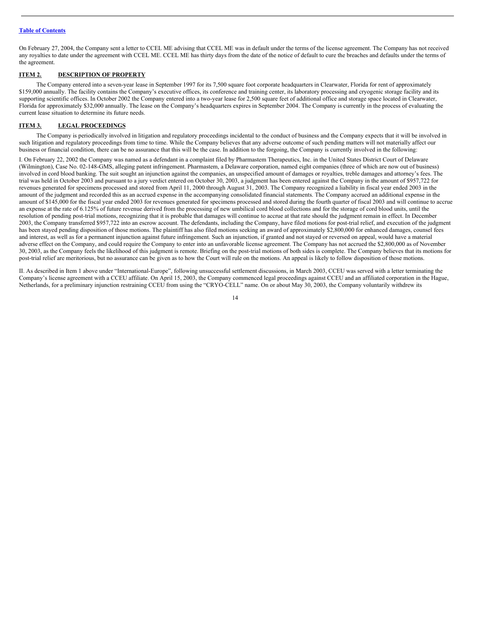On February 27, 2004, the Company sent a letter to CCEL ME advising that CCEL ME was in default under the terms of the license agreement. The Company has not received any royalties to date under the agreement with CCEL ME. CCEL ME has thirty days from the date of the notice of default to cure the breaches and defaults under the terms of the agreement.

## **ITEM 2. DESCRIPTION OF PROPERTY**

The Company entered into a seven-year lease in September 1997 for its 7,500 square foot corporate headquarters in Clearwater, Florida for rent of approximately \$159,000 annually. The facility contains the Company's executive offices, its conference and training center, its laboratory processing and cryogenic storage facility and its supporting scientific offices. In October 2002 the Company entered into a two-year lease for 2,500 square feet of additional office and storage space located in Clearwater, Florida for approximately \$32,000 annually. The lease on the Company's headquarters expires in September 2004. The Company is currently in the process of evaluating the current lease situation to determine its future needs.

## **ITEM 3. LEGAL PROCEEDINGS**

The Company is periodically involved in litigation and regulatory proceedings incidental to the conduct of business and the Company expects that it will be involved in such litigation and regulatory proceedings from time to time. While the Company believes that any adverse outcome of such pending matters will not materially affect our business or financial condition, there can be no assurance that this will be the case. In addition to the forgoing, the Company is currently involved in the following:

I. On February 22, 2002 the Company was named as a defendant in a complaint filed by Pharmastem Therapeutics, Inc. in the United States District Court of Delaware (Wilmington), Case No. 02-148-GMS, alleging patent infringement. Pharmastem, a Delaware corporation, named eight companies (three of which are now out of business) involved in cord blood banking. The suit sought an injunction against the companies, an unspecified amount of damages or royalties, treble damages and attorney's fees. The trial was held in October 2003 and pursuant to a jury verdict entered on October 30, 2003, a judgment has been entered against the Company in the amount of \$957,722 for revenues generated for specimens processed and stored from April 11, 2000 through August 31, 2003. The Company recognized a liability in fiscal year ended 2003 in the amount of the judgment and recorded this as an accrued expense in the accompanying consolidated financial statements. The Company accrued an additional expense in the amount of \$145,000 for the fiscal year ended 2003 for revenues generated for specimens processed and stored during the fourth quarter of fiscal 2003 and will continue to accrue an expense at the rate of 6.125% of future revenue derived from the processing of new umbilical cord blood collections and for the storage of cord blood units, until the resolution of pending post-trial motions, recognizing that it is probable that damages will continue to accrue at that rate should the judgment remain in effect. In December 2003, the Company transferred \$957,722 into an escrow account. The defendants, including the Company, have filed motions for post-trial relief, and execution of the judgment has been stayed pending disposition of those motions. The plaintiff has also filed motions seeking an award of approximately \$2,800,000 for enhanced damages, counsel fees and interest, as well as for a permanent injunction against future infringement. Such an injunction, if granted and not stayed or reversed on appeal, would have a material adverse effect on the Company, and could require the Company to enter into an unfavorable license agreement. The Company has not accrued the \$2,800,000 as of November 30, 2003, as the Company feels the likelihood of this judgment is remote. Briefing on the post-trial motions of both sides is complete. The Company believes that its motions for post-trial relief are meritorious, but no assurance can be given as to how the Court will rule on the motions. An appeal is likely to follow disposition of those motions.

II. As described in Item 1 above under "International-Europe", following unsuccessful settlement discussions, in March 2003, CCEU was served with a letter terminating the Company's license agreement with a CCEU affiliate. On April 15, 2003, the Company commenced legal proceedings against CCEU and an affiliated corporation in the Hague, Netherlands, for a preliminary injunction restraining CCEU from using the "CRYO-CELL" name. On or about May 30, 2003, the Company voluntarily withdrew its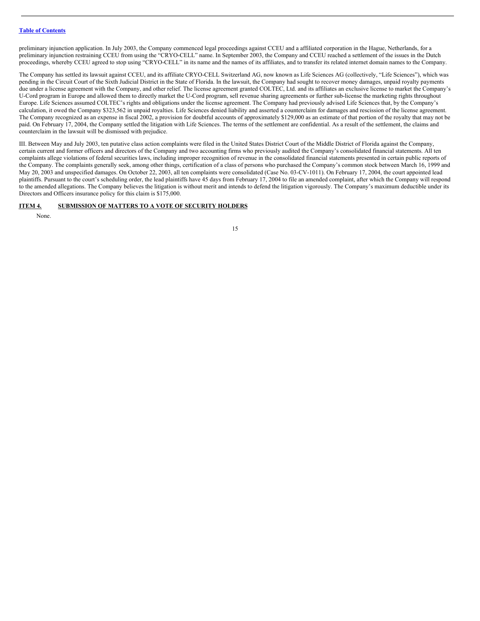preliminary injunction application. In July 2003, the Company commenced legal proceedings against CCEU and a affiliated corporation in the Hague, Netherlands, for a preliminary injunction restraining CCEU from using the "CRYO-CELL" name. In September 2003, the Company and CCEU reached a settlement of the issues in the Dutch proceedings, whereby CCEU agreed to stop using "CRYO-CELL" in its name and the names of its affiliates, and to transfer its related internet domain names to the Company.

The Company has settled its lawsuit against CCEU, and its affiliate CRYO-CELL Switzerland AG, now known as Life Sciences AG (collectively, "Life Sciences"), which was pending in the Circuit Court of the Sixth Judicial District in the State of Florida. In the lawsuit, the Company had sought to recover money damages, unpaid royalty payments due under a license agreement with the Company, and other relief. The license agreement granted COLTEC, Ltd. and its affiliates an exclusive license to market the Company's U-Cord program in Europe and allowed them to directly market the U-Cord program, sell revenue sharing agreements or further sub-license the marketing rights throughout U-Cord program, sell revenue sharing agreements or fur Europe. Life Sciences assumed COLTEC's rights and obligations under the license agreement. The Company had previously advised Life Sciences that, by the Company's calculation, it owed the Company \$323,562 in unpaid royalties. Life Sciences denied liability and asserted a counterclaim for damages and rescission of the license agreement. The Company recognized as an expense in fiscal 2002, a provision for doubtful accounts of approximately \$129,000 as an estimate of that portion of the royalty that may not be paid. On February 17, 2004, the Company settled the litigation with Life Sciences. The terms of the settlement are confidential. As a result of the settlement, the claims and counterclaim in the lawsuit will be dismissed with prejudice.

III. Between May and July 2003, ten putative class action complaints were filed in the United States District Court of the Middle District of Florida against the Company, certain current and former officers and directors of the Company and two accounting firms who previously audited the Company's consolidated financial statements. All ten complaints allege violations of federal securities laws, including improper recognition of revenue in the consolidated financial statements presented in certain public reports of the Company. The complaints generally seek, among other things, certification of a class of persons who purchased the Company's common stock between March 16, 1999 and May 20, 2003 and unspecified damages. On October 22, 2003, all ten complaints were consolidated (Case No. 03-CV-1011). On February 17, 2004, the court appointed lead plaintiffs. Pursuant to the court's scheduling order, the lead plaintiffs have 45 days from February 17, 2004 to file an amended complaint, after which the Company will respond to the amended allegations. The Company believes the litigation is without merit and intends to defend the litigation vigorously. The Company's maximum deductible under its Directors and Officers insurance policy for this claim is \$175,000.

# **ITEM 4. SUBMISSION OF MATTERS TO A VOTE OF SECURITY HOLDERS**

None.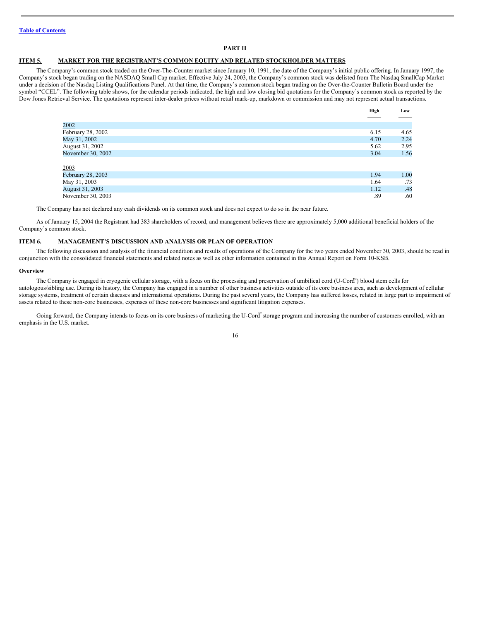# **PART II**

# **ITEM 5. MARKET FOR THE REGISTRANT'S COMMON EQUITY AND RELATED STOCKHOLDER MATTERS**

The Company's common stock traded on the Over-The-Counter market since January 10, 1991, the date of the Company's initial public offering. In January 1997, the Company's stock began trading on the NASDAQ Small Cap market. Effective July 24, 2003, the Company's common stock was delisted from The Nasdaq SmallCap Market under a decision of the Nasdaq Listing Qualifications Panel. At that time, the Company's common stock began trading on the Over-the-Counter Bulletin Board under the symbol "CCEL". The following table shows, for the calendar periods indicated, the high and low closing bid quotations for the Company's common stock as reported by the Dow Jones Retrieval Service. The quotations represent inter-dealer prices without retail mark-up, markdown or commission and may not represent actual transactions.

|                   | High | Low  |
|-------------------|------|------|
|                   |      |      |
| 2002              |      |      |
| February 28, 2002 | 6.15 | 4.65 |
| May 31, 2002      | 4.70 | 2.24 |
| August 31, 2002   | 5.62 | 2.95 |
| November 30, 2002 | 3.04 | 1.56 |
|                   |      |      |
| <u> 2003 </u>     |      |      |
| February 28, 2003 | 1.94 | 1.00 |
| May 31, 2003      | 1.64 | .73  |
| August 31, 2003   | 1.12 | .48  |
| November 30, 2003 | .89  | .60  |

The Company has not declared any cash dividends on its common stock and does not expect to do so in the near future.

As of January 15, 2004 the Registrant had 383 shareholders of record, and management believes there are approximately 5,000 additional beneficial holders of the Company's common stock.

## **ITEM 6. MANAGEMENT'S DISCUSSION AND ANALYSIS OR PLAN OF OPERATION**

The following discussion and analysis of the financial condition and results of operations of the Company for the two years ended November 30, 2003, should be read in conjunction with the consolidated financial statements and related notes as well as other information contained in this Annual Report on Form 10-KSB.

#### **Overview**

The Company is engaged in cryogenic cellular storage, with a focus on the processing and preservation of umbilical cord (U-Cord™) blood stem cells for autologous/sibling use. During its history, the Company has engaged in a number of other business activities outside of its core business area, such as development of cellular storage systems, treatment of certain diseases and international operations. During the past several years, the Company has suffered losses, related in large part to impairment of assets related to these non-core businesses, expenses of these non-core businesses and significant litigation expenses.

Going forward, the Company intends to focus on its core business of marketing the U-Cord storage program and increasing the number of customers enrolled, with an emphasis in the U.S. market.

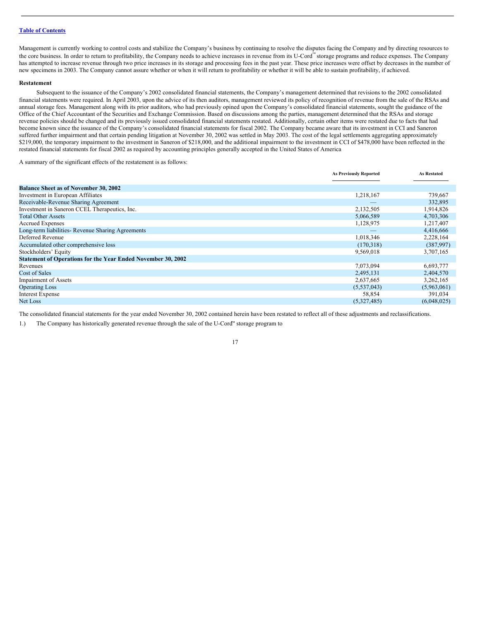Management is currently working to control costs and stabilize the Company's business by continuing to resolve the disputes facing the Company and by directing resources to the core business. In order to return to profitability, the Company needs to achieve increases in revenue from its U-Cord™ storage programs and reduce expenses. The Company has attempted to increase revenue through two price increases in its storage and processing fees in the past year. These price increases were offset by decreases in the number of new specimens in 2003. The Company cannot assure whether or when it will return to profitability or whether it will be able to sustain profitability, if achieved.

#### **Restatement**

Subsequent to the issuance of the Company's 2002 consolidated financial statements, the Company's management determined that revisions to the 2002 consolidated financial statements were required. In April 2003, upon the advice of its then auditors, management reviewed its policy of recognition of revenue from the sale of the RSAs and annual storage fees. Management along with its prior auditors, who had previously opined upon the Company's consolidated financial statements, sought the guidance of the Office of the Chief Accountant of the Securities and Exchange Commission. Based on discussions among the parties, management determined that the RSAs and storage revenue policies should be changed and its previously issued consolidated financial statements restated. Additionally, certain other items were restated due to facts that had become known since the issuance of the Company's consolidated financial statements for fiscal 2002. The Company became aware that its investment in CCI and Saneron suffered further impairment and that certain pending litigation at November 30, 2002 was settled in May 2003. The cost of the legal settlements aggregating approximately \$219,000, the temporary impairment to the investment in Saneron of \$218,000, and the additional impairment to the investment in CCI of \$478,000 have been reflected in the restated financial statements for fiscal 2002 as required by accounting principles generally accepted in the United States of America

A summary of the significant effects of the restatement is as follows:

| <b>As Previously Reported</b> | <b>As Restated</b> |
|-------------------------------|--------------------|
|                               |                    |
|                               |                    |
| 1,218,167                     | 739,667            |
|                               | 332,895            |
| 2,132,505                     | 1,914,826          |
| 5,066,589                     | 4,703,306          |
| 1,128,975                     | 1,217,407          |
|                               | 4,416,666          |
| 1,018,346                     | 2,228,164          |
| (170, 318)                    | (387,997)          |
| 9,569,018                     | 3,707,165          |
|                               |                    |
| 7,073,094                     | 6,693,777          |
| 2,495,131                     | 2,404,570          |
| 2,637,665                     | 3,262,165          |
| (5,537,043)                   | (5,963,061)        |
| 58,854                        | 391,034            |
| (5,327,485)                   | (6,048,025)        |
|                               |                    |

The consolidated financial statements for the year ended November 30, 2002 contained herein have been restated to reflect all of these adjustments and reclassifications.

1.) The Company has historically generated revenue through the sale of the U-Cord™ storage program to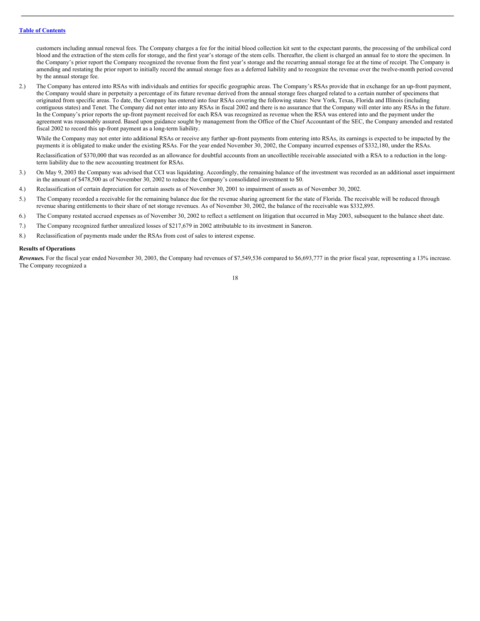customers including annual renewal fees. The Company charges a fee for the initial blood collection kit sent to the expectant parents, the processing of the umbilical cord blood and the extraction of the stem cells for storage, and the first year's storage of the stem cells. Thereafter, the client is charged an annual fee to store the specimen. In the Company's prior report the Company recognized the revenue from the first year's storage and the recurring annual storage fee at the time of receipt. The Company is amending and restating the prior report to initially record the annual storage fees as a deferred liability and to recognize the revenue over the twelve-month period covered by the annual storage fee.

2.) The Company has entered into RSAs with individuals and entities for specific geographic areas. The Company's RSAs provide that in exchange for an up-front payment, the Company would share in perpetuity a percentage of its future revenue derived from the annual storage fees charged related to a certain number of specimens that originated from specific areas. To date, the Company has entered into four RSAs covering the following states: New York, Texas, Florida and Illinois (including contiguous states) and Tenet. The Company did not enter into any RSAs in fiscal 2002 and there is no assurance that the Company will enter into any RSAs in the future. In the Company's prior reports the up-front payment received for each RSA was recognized as revenue when the RSA was entered into and the payment under the agreement was reasonably assured. Based upon guidance sought by management from the Office of the Chief Accountant of the SEC, the Company amended and restated fiscal 2002 to record this up-front payment as a long-term liability.

While the Company may not enter into additional RSAs or receive any further up-front payments from entering into RSAs, its earnings is expected to be impacted by the payments it is obligated to make under the existing RSAs. For the year ended November 30, 2002, the Company incurred expenses of \$332,180, under the RSAs.

Reclassification of \$370,000 that was recorded as an allowance for doubtful accounts from an uncollectible receivable associated with a RSA to a reduction in the longterm liability due to the new accounting treatment for RSAs.

- 3.) On May 9, 2003 the Company was advised that CCI was liquidating. Accordingly, the remaining balance of the investment was recorded as an additional asset impairment in the amount of \$478,500 as of November 30, 2002 to reduce the Company's consolidated investment to \$0.
- 4.) Reclassification of certain depreciation for certain assets as of November 30, 2001 to impairment of assets as of November 30, 2002.
- 5.) The Company recorded a receivable for the remaining balance due for the revenue sharing agreement for the state of Florida. The receivable will be reduced through revenue sharing entitlements to their share of net storage revenues. As of November 30, 2002, the balance of the receivable was \$332,895.
- 6.) The Company restated accrued expenses as of November 30, 2002 to reflect a settlement on litigation that occurred in May 2003, subsequent to the balance sheet date.
- 7.) The Company recognized further unrealized losses of \$217,679 in 2002 attributable to its investment in Saneron.
- 8.) Reclassification of payments made under the RSAs from cost of sales to interest expense.

#### **Results of Operations**

Revenues. For the fiscal year ended November 30, 2003, the Company had revenues of \$7,549,536 compared to \$6,693,777 in the prior fiscal year, representing a 13% increase. The Company recognized a

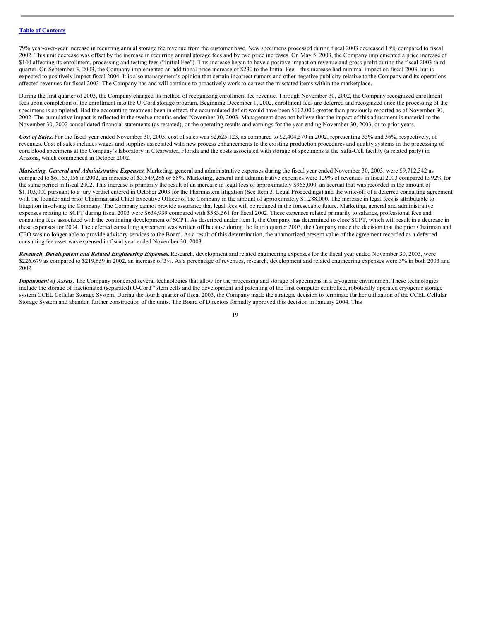79% year-over-year increase in recurring annual storage fee revenue from the customer base. New specimens processed during fiscal 2003 decreased 18% compared to fiscal 2002. This unit decrease was offset by the increase in recurring annual storage fees and by two price increases. On May 5, 2003, the Company implemented a price increase of \$140 affecting its enrollment, processing and testing fees ("Initial Fee"). This increase began to have a positive impact on revenue and gross profit during the fiscal 2003 third quarter. On September 3, 2003, the Company implemented an additional price increase of \$230 to the Initial Fee—this increase had minimal impact on fiscal 2003, but is expected to positively impact fiscal 2004. It is also management's opinion that certain incorrect rumors and other negative publicity relative to the Company and its operations affected revenues for fiscal 2003. The Company has and will continue to proactively work to correct the misstated items within the marketplace.

During the first quarter of 2003, the Company changed its method of recognizing enrollment fee revenue. Through November 30, 2002, the Company recognized enrollment fees upon completion of the enrollment into the U-Cord storage program. Beginning December 1, 2002, enrollment fees are deferred and recognized once the processing of the specimens is completed. Had the accounting treatment been in effect, the accumulated deficit would have been \$102,000 greater than previously reported as of November 30, 2002. The cumulative impact is reflected in the twelve months ended November 30, 2003. Management does not believe that the impact of this adjustment is material to the November 30, 2002 consolidated financial statements (as restated), or the operating results and earnings for the year ending November 30, 2003, or to prior years.

Cost of Sales. For the fiscal year ended November 30, 2003, cost of sales was \$2,625,123, as compared to \$2,404,570 in 2002, representing 35% and 36%, respectively, of revenues. Cost of sales includes wages and supplies associated with new process enhancements to the existing production procedures and quality systems in the processing of cord blood specimens at the Company's laboratory in Clearwater, Florida and the costs associated with storage of specimens at the Safti-Cell facility (a related party) in Arizona, which commenced in October 2002.

*Marketing, General and Administrative Expenses.* Marketing, general and administrative expenses during the fiscal year ended November 30, 2003, were \$9,712,342 as compared to \$6,163,056 in 2002, an increase of \$3,549,286 or 58%. Marketing, general and administrative expenses were 129% of revenues in fiscal 2003 compared to 92% for the same period in fiscal 2002. This increase is primarily the result of an increase in legal fees of approximately \$965,000, an accrual that was recorded in the amount of \$1,103,000 pursuant to a jury verdict entered in October 2003 for the Pharmastem litigation (See Item 3. Legal Proceedings) and the write-off of a deferred consulting agreement with the founder and prior Chairman and Chief Executive Officer of the Company in the amount of approximately \$1,288,000. The increase in legal fees is attributable to litigation involving the Company. The Company cannot provide assurance that legal fees will be reduced in the foreseeable future. Marketing, general and administrative expenses relating to SCPT during fiscal 2003 were \$634,939 compared with \$583,561 for fiscal 2002. These expenses related primarily to salaries, professional fees and consulting fees associated with the continuing development of SCPT. As described under Item 1, the Company has determined to close SCPT, which will result in a decrease in these expenses for 2004. The deferred consulting agreement was written off because during the fourth quarter 2003, the Company made the decision that the prior Chairman and CEO was no longer able to provide advisory services to the Board. As a result of this determination, the unamortized present value of the agreement recorded as a deferred consulting fee asset was expensed in fiscal year ended November 30, 2003.

*Research, Development and Related Engineering Expenses.*Research, development and related engineering expenses for the fiscal year ended November 30, 2003, were \$226,679 as compared to \$219,659 in 2002, an increase of 3%. As a percentage of revenues, research, development and related engineering expenses were 3% in both 2003 and 2002.

*Impairment of Assets*. The Company pioneered several technologies that allow for the processing and storage of specimens in a cryogenic environment.These technologies include the storage of fractionated (separated) U-Cord™ stem cells and the development and patenting of the first computer controlled, robotically operated cryogenic storage system CCEL Cellular Storage System. During the fourth quarter of fiscal 2003, the Company made the strategic decision to terminate further utilization of the CCEL Cellular Storage System and abandon further construction of the units. The Board of Directors formally approved this decision in January 2004. This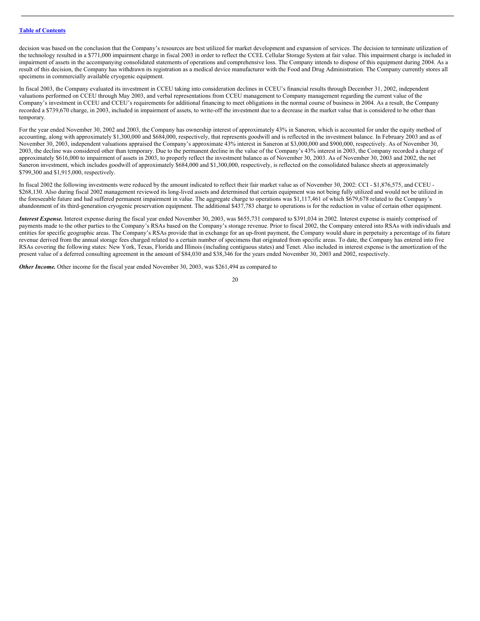decision was based on the conclusion that the Company's resources are best utilized for market development and expansion of services. The decision to terminate utilization of the technology resulted in a \$771,000 impairment charge in fiscal 2003 in order to reflect the CCEL Cellular Storage System at fair value. This impairment charge is included in impairment of assets in the accompanying consolidated statements of operations and comprehensive loss. The Company intends to dispose of this equipment during 2004. As a result of this decision, the Company has withdrawn its registration as a medical device manufacturer with the Food and Drug Administration. The Company currently stores all specimens in commercially available cryogenic equipment.

In fiscal 2003, the Company evaluated its investment in CCEU taking into consideration declines in CCEU's financial results through December 31, 2002, independent valuations performed on CCEU through May 2003, and verbal representations from CCEU management to Company management regarding the current value of the Company's investment in CCEU and CCEU's requirements for additional financing to meet obligations in the normal course of business in 2004. As a result, the Company recorded a \$739,670 charge, in 2003, included in impairment of assets, to write-off the investment due to a decrease in the market value that is considered to be other than temporary.

For the year ended November 30, 2002 and 2003, the Company has ownership interest of approximately 43% in Saneron, which is accounted for under the equity method of accounting, along with approximately \$1,300,000 and \$684,000, respectively, that represents goodwill and is reflected in the investment balance. In February 2003 and as of November 30, 2003, independent valuations appraised the Company's approximate 43% interest in Saneron at \$3,000,000 and \$900,000, respectively. As of November 30, 2003, the decline was considered other than temporary. Due to the permanent decline in the value of the Company's 43% interest in 2003, the Company recorded a charge of approximately \$616,000 to impairment of assets in 2003, to properly reflect the investment balance as of November 30, 2003. As of November 30, 2003 and 2002, the net Saneron investment, which includes goodwill of approximately \$684,000 and \$1,300,000, respectively, is reflected on the consolidated balance sheets at approximately \$799,300 and \$1,915,000, respectively.

In fiscal 2002 the following investments were reduced by the amount indicated to reflect their fair market value as of November 30, 2002: CCI - \$1,876,575, and CCEU - \$268,130. Also during fiscal 2002 management reviewed its long-lived assets and determined that certain equipment was not being fully utilized and would not be utilized in the foreseeable future and had suffered permanent impairment in value. The aggregate charge to operations was \$1,117,461 of which \$679,678 related to the Company's abandonment of its third-generation cryogenic preservation equipment. The additional \$437,783 charge to operations is for the reduction in value of certain other equipment.

*Interest Expense.* Interest expense during the fiscal year ended November 30, 2003, was \$655,731 compared to \$391,034 in 2002. Interest expense is mainly comprised of payments made to the other parties to the Company's RSAs based on the Company's storage revenue. Prior to fiscal 2002, the Company entered into RSAs with individuals and entities for specific geographic areas. The Company's RSAs provide that in exchange for an up-front payment, the Company would share in perpetuity a percentage of its future revenue derived from the annual storage fees charged related to a certain number of specimens that originated from specific areas. To date, the Company has entered into five RSAs covering the following states: New York, Texas, Florida and Illinois (including contiguous states) and Tenet. Also included in interest expense is the amortization of the present value of a deferred consulting agreement in the amount of \$84,030 and \$38,346 for the years ended November 30, 2003 and 2002, respectively.

*Other Income.* Other income for the fiscal year ended November 30, 2003, was \$261,494 as compared to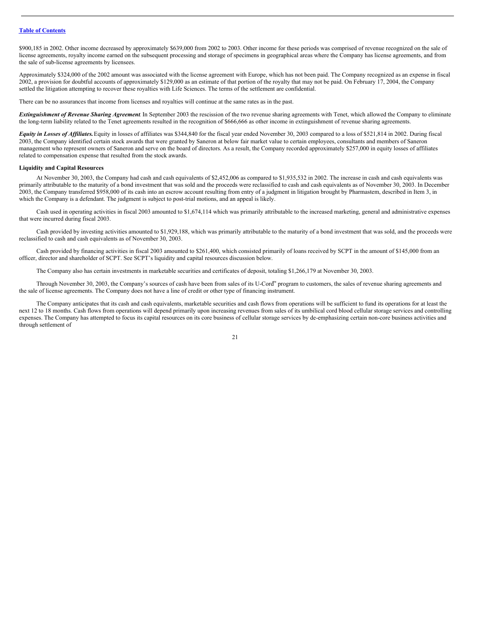\$900,185 in 2002. Other income decreased by approximately \$639,000 from 2002 to 2003. Other income for these periods was comprised of revenue recognized on the sale of license agreements, royalty income earned on the subsequent processing and storage of specimens in geographical areas where the Company has license agreements, and from the sale of sub-license agreements by licensees.

Approximately \$324,000 of the 2002 amount was associated with the license agreement with Europe, which has not been paid. The Company recognized as an expense in fiscal 2002, a provision for doubtful accounts of approximately \$129,000 as an estimate of that portion of the royalty that may not be paid. On February 17, 2004, the Company settled the litigation attempting to recover these royalties with Life Sciences. The terms of the settlement are confidential.

There can be no assurances that income from licenses and royalties will continue at the same rates as in the past.

*Extinguishment of Revenue Sharing Agreement*. In September 2003 the rescission of the two revenue sharing agreements with Tenet, which allowed the Company to eliminate the long-term liability related to the Tenet agreements resulted in the recognition of \$666,666 as other income in extinguishment of revenue sharing agreements.

*Equity in Losses of Af iliates.*Equity in losses of affiliates was \$344,840 for the fiscal year ended November 30, 2003 compared to a loss of \$521,814 in 2002. During fiscal 2003, the Company identified certain stock awards that were granted by Saneron at below fair market value to certain employees, consultants and members of Saneron management who represent owners of Saneron and serve on the board of directors. As a result, the Company recorded approximately \$257,000 in equity losses of affiliates related to compensation expense that resulted from the stock awards.

## **Liquidity and Capital Resources**

At November 30, 2003, the Company had cash and cash equivalents of \$2,452,006 as compared to \$1,935,532 in 2002. The increase in cash and cash equivalents was primarily attributable to the maturity of a bond investment that was sold and the proceeds were reclassified to cash and cash equivalents as of November 30, 2003. In December 2003, the Company transferred \$958,000 of its cash into an escrow account resulting from entry of a judgment in litigation brought by Pharmastem, described in Item 3, in which the Company is a defendant. The judgment is subject to post-trial motions, and an appeal is likely.

Cash used in operating activities in fiscal 2003 amounted to \$1,674,114 which was primarily attributable to the increased marketing, general and administrative expenses that were incurred during fiscal 2003.

Cash provided by investing activities amounted to \$1,929,188, which was primarily attributable to the maturity of a bond investment that was sold, and the proceeds were reclassified to cash and cash equivalents as of November 30, 2003.

Cash provided by financing activities in fiscal 2003 amounted to \$261,400, which consisted primarily of loans received by SCPT in the amount of \$145,000 from an officer, director and shareholder of SCPT. See SCPT's liquidity and capital resources discussion below.

The Company also has certain investments in marketable securities and certificates of deposit, totaling \$1,266,179 at November 30, 2003.

Through November 30, 2003, the Company's sources of cash have been from sales of its U-Cord™ program to customers, the sales of revenue sharing agreements and the sale of license agreements. The Company does not have a line of credit or other type of financing instrument.

The Company anticipates that its cash and cash equivalents, marketable securities and cash flows from operations will be sufficient to fund its operations for at least the next 12 to 18 months. Cash flows from operations will depend primarily upon increasing revenues from sales of its umbilical cord blood cellular storage services and controlling expenses. The Company has attempted to focus its capital resources on its core business of cellular storage services by de-emphasizing certain non-core business activities and through settlement of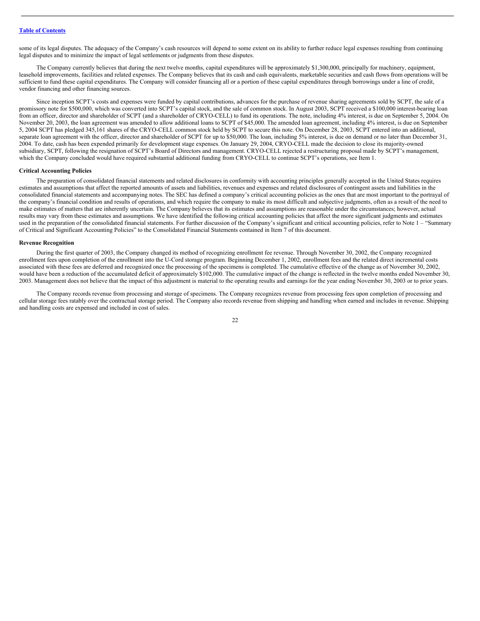some of its legal disputes. The adequacy of the Company's cash resources will depend to some extent on its ability to further reduce legal expenses resulting from continuing legal disputes and to minimize the impact of legal settlements or judgments from these disputes.

The Company currently believes that during the next twelve months, capital expenditures will be approximately \$1,300,000, principally for machinery, equipment, leasehold improvements, facilities and related expenses. The Company believes that its cash and cash equivalents, marketable securities and cash flows from operations will be sufficient to fund these capital expenditures. The Company will consider financing all or a portion of these capital expenditures through borrowings under a line of credit, vendor financing and other financing sources.

Since inception SCPT's costs and expenses were funded by capital contributions, advances for the purchase of revenue sharing agreements sold by SCPT, the sale of a promissory note for \$500,000, which was converted into SCPT's capital stock, and the sale of common stock. In August 2003, SCPT received a \$100,000 interest-bearing loan from an officer, director and shareholder of SCPT (and a shareholder of CRYO-CELL) to fund its operations. The note, including 4% interest, is due on September 5, 2004. On November 20, 2003, the loan agreement was amended to allow additional loans to SCPT of \$45,000. The amended loan agreement, including 4% interest, is due on September 5, 2004 SCPT has pledged 345,161 shares of the CRYO-CELL common stock held by SCPT to secure this note. On December 28, 2003, SCPT entered into an additional, separate loan agreement with the officer, director and shareholder of SCPT for up to \$50,000. The loan, including 5% interest, is due on demand or no later than December 31, 2004. To date, cash has been expended primarily for development stage expenses. On January 29, 2004, CRYO-CELL made the decision to close its majority-owned subsidiary, SCPT, following the resignation of SCPT's Board of Directors and management. CRYO-CELL rejected a restructuring proposal made by SCPT's management, which the Company concluded would have required substantial additional funding from CRYO-CELL to continue SCPT's operations, see Item 1.

#### **Critical Accounting Policies**

The preparation of consolidated financial statements and related disclosures in conformity with accounting principles generally accepted in the United States requires estimates and assumptions that affect the reported amounts of assets and liabilities, revenues and expenses and related disclosures of contingent assets and liabilities in the consolidated financial statements and accompanying notes. The SEC has defined a company's critical accounting policies as the ones that are most important to the portrayal of the company's financial condition and results of operations, and which require the company to make its most difficult and subjective judgments, often as a result of the need to make estimates of matters that are inherently uncertain. The Company believes that its estimates and assumptions are reasonable under the circumstances; however, actual results may vary from these estimates and assumptions. We have identified the following critical accounting policies that affect the more significant judgments and estimates used in the preparation of the consolidated financial statements. For further discussion of the Company's significant and critical accounting policies, refer to Note 1 - "Summary of Critical and Significant Accounting Policies" to the Consolidated Financial Statements contained in Item 7 of this document.

#### **Revenue Recognition**

During the first quarter of 2003, the Company changed its method of recognizing enrollment fee revenue. Through November 30, 2002, the Company recognized enrollment fees upon completion of the enrollment into the U-Cord storage program. Beginning December 1, 2002, enrollment fees and the related direct incremental costs associated with these fees are deferred and recognized once the processing of the specimens is completed. The cumulative effective of the change as of November 30, 2002, would have been a reduction of the accumulated deficit of approximately \$102,000. The cumulative impact of the change is reflected in the twelve months ended November 30, 2003. Management does not believe that the impact of this adjustment is material to the operating results and earnings for the year ending November 30, 2003 or to prior years.

The Company records revenue from processing and storage of specimens. The Company recognizes revenue from processing fees upon completion of processing and cellular storage fees ratably over the contractual storage period. The Company also records revenue from shipping and handling when earned and includes in revenue. Shipping and handling costs are expensed and included in cost of sales.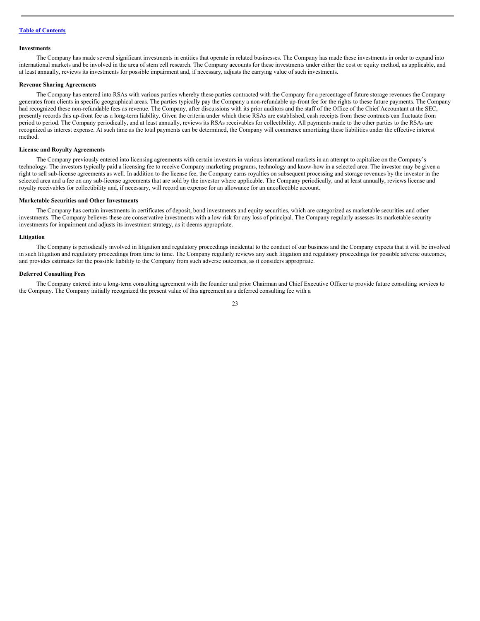#### **Investments**

The Company has made several significant investments in entities that operate in related businesses. The Company has made these investments in order to expand into international markets and be involved in the area of stem cell research. The Company accounts for these investments under either the cost or equity method, as applicable, and at least annually, reviews its investments for possible impairment and, if necessary, adjusts the carrying value of such investments.

## **Revenue Sharing Agreements**

The Company has entered into RSAs with various parties whereby these parties contracted with the Company for a percentage of future storage revenues the Company generates from clients in specific geographical areas. The parties typically pay the Company a non-refundable up-front fee for the rights to these future payments. The Company had recognized these non-refundable fees as revenue. The Company, after discussions with its prior auditors and the staff of the Office of the Chief Accountant at the SEC, presently records this up-front fee as a long-term liability. Given the criteria under which these RSAs are established, cash receipts from these contracts can fluctuate from period to period. The Company periodically, and at least annually, reviews its RSAs receivables for collectibility. All payments made to the other parties to the RSAs are recognized as interest expense. At such time as the total payments can be determined, the Company will commence amortizing these liabilities under the effective interest method.

## **License and Royalty Agreements**

The Company previously entered into licensing agreements with certain investors in various international markets in an attempt to capitalize on the Company's technology. The investors typically paid a licensing fee to receive Company marketing programs, technology and know-how in a selected area. The investor may be given a right to sell sub-license agreements as well. In addition to the license fee, the Company earns royalties on subsequent processing and storage revenues by the investor in the selected area and a fee on any sub-license agreements that are sold by the investor where applicable. The Company periodically, and at least annually, reviews license and royalty receivables for collectibility and, if necessary, will record an expense for an allowance for an uncollectible account.

#### **Marketable Securities and Other Investments**

The Company has certain investments in certificates of deposit, bond investments and equity securities, which are categorized as marketable securities and other investments. The Company believes these are conservative investments with a low risk for any loss of principal. The Company regularly assesses its marketable security investments for impairment and adjusts its investment strategy, as it deems appropriate.

#### **Litigation**

The Company is periodically involved in litigation and regulatory proceedings incidental to the conduct of our business and the Company expects that it will be involved in such litigation and regulatory proceedings from time to time. The Company regularly reviews any such litigation and regulatory proceedings for possible adverse outcomes, and provides estimates for the possible liability to the Company from such adverse outcomes, as it considers appropriate.

## **Deferred Consulting Fees**

The Company entered into a long-term consulting agreement with the founder and prior Chairman and Chief Executive Officer to provide future consulting services to the Company. The Company initially recognized the present value of this agreement as a deferred consulting fee with a

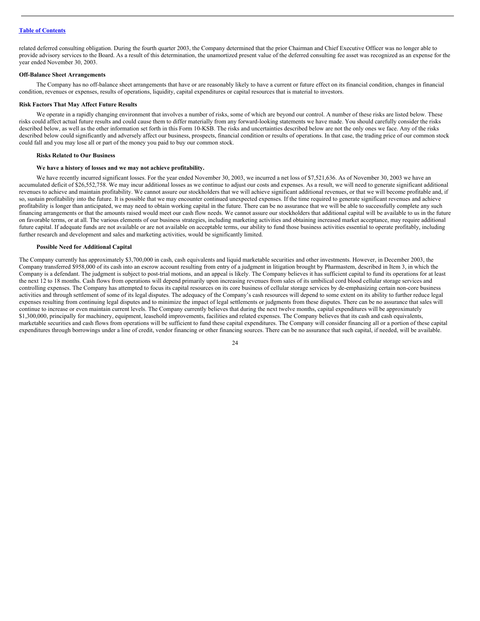related deferred consulting obligation. During the fourth quarter 2003, the Company determined that the prior Chairman and Chief Executive Officer was no longer able to provide advisory services to the Board. As a result of this determination, the unamortized present value of the deferred consulting fee asset was recognized as an expense for the year ended November 30, 2003.

#### **Off-Balance Sheet Arrangements**

The Company has no off-balance sheet arrangements that have or are reasonably likely to have a current or future effect on its financial condition, changes in financial condition, revenues or expenses, results of operations, liquidity, capital expenditures or capital resources that is material to investors.

#### **Risk Factors That May Affect Future Results**

We operate in a rapidly changing environment that involves a number of risks, some of which are beyond our control. A number of these risks are listed below. These risks could affect actual future results and could cause them to differ materially from any forward-looking statements we have made. You should carefully consider the risks described below, as well as the other information set forth in this Form 10-KSB. The risks and uncertainties described below are not the only ones we face. Any of the risks described below could significantly and adversely affect our business, prospects, financial condition or results of operations. In that case, the trading price of our common stock could fall and you may lose all or part of the money you paid to buy our common stock.

#### **Risks Related to Our Business**

#### **We have a history of losses and we may not achieve profitability.**

We have recently incurred significant losses. For the year ended November 30, 2003, we incurred a net loss of \$7,521,636. As of November 30, 2003 we have an accumulated deficit of \$26,552,758. We may incur additional losses as we continue to adjust our costs and expenses. As a result, we will need to generate significant additional revenues to achieve and maintain profitability. We cannot assure our stockholders that we will achieve significant additional revenues, or that we will become profitable and, if so, sustain profitability into the future. It is possible that we may encounter continued unexpected expenses. If the time required to generate significant revenues and achieve profitability is longer than anticipated, we may need to obtain working capital in the future. There can be no assurance that we will be able to successfully complete any such financing arrangements or that the amounts raised would meet our cash flow needs. We cannot assure our stockholders that additional capital will be available to us in the future on favorable terms, or at all. The various elements of our business strategies, including marketing activities and obtaining increased market acceptance, may require additional future capital. If adequate funds are not available or are not available on acceptable terms, our ability to fund those business activities essential to operate profitably, including further research and development and sales and marketing activities, would be significantly limited.

#### **Possible Need for Additional Capital**

The Company currently has approximately \$3,700,000 in cash, cash equivalents and liquid marketable securities and other investments. However, in December 2003, the Company transferred \$958,000 of its cash into an escrow account resulting from entry of a judgment in litigation brought by Pharmastem, described in Item 3, in which the Company is a defendant. The judgment is subject to post-trial motions, and an appeal is likely. The Company believes it has sufficient capital to fund its operations for at least the next 12 to 18 months. Cash flows from operations will depend primarily upon increasing revenues from sales of its umbilical cord blood cellular storage services and controlling expenses. The Company has attempted to focus its capital resources on its core business of cellular storage services by de-emphasizing certain non-core business activities and through settlement of some of its legal disputes. The adequacy of the Company's cash resources will depend to some extent on its ability to further reduce legal expenses resulting from continuing legal disputes and to minimize the impact of legal settlements or judgments from these disputes. There can be no assurance that sales will continue to increase or even maintain current levels. The Company currently believes that during the next twelve months, capital expenditures will be approximately \$1,300,000, principally for machinery, equipment, leasehold improvements, facilities and related expenses. The Company believes that its cash and cash equivalents, marketable securities and cash flows from operations will be sufficient to fund these capital expenditures. The Company will consider financing all or a portion of these capital expenditures through borrowings under a line of credit, vendor financing or other financing sources. There can be no assurance that such capital, if needed, will be available.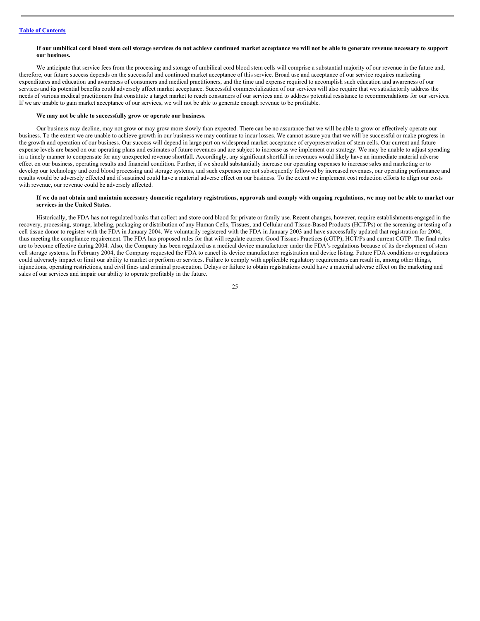## If our umbilical cord blood stem cell storage services do not achieve continued market acceptance we will not be able to generate revenue necessary to support **our business.**

We anticipate that service fees from the processing and storage of umbilical cord blood stem cells will comprise a substantial majority of our revenue in the future and, therefore, our future success depends on the successful and continued market acceptance of this service. Broad use and acceptance of our service requires marketing expenditures and education and awareness of consumers and medical practitioners, and the time and expense required to accomplish such education and awareness of our services and its potential benefits could adversely affect market acceptance. Successful commercialization of our services will also require that we satisfactorily address the needs of various medical practitioners that constitute a target market to reach consumers of our services and to address potential resistance to recommendations for our services. If we are unable to gain market acceptance of our services, we will not be able to generate enough revenue to be profitable.

## **We may not be able to successfully grow or operate our business.**

Our business may decline, may not grow or may grow more slowly than expected. There can be no assurance that we will be able to grow or effectively operate our business. To the extent we are unable to achieve growth in our business we may continue to incur losses. We cannot assure you that we will be successful or make progress in the growth and operation of our business. Our success will depend in large part on widespread market acceptance of cryopreservation of stem cells. Our current and future expense levels are based on our operating plans and estimates of future revenues and are subject to increase as we implement our strategy. We may be unable to adjust spending in a timely manner to compensate for any unexpected revenue shortfall. Accordingly, any significant shortfall in revenues would likely have an immediate material adverse effect on our business, operating results and financial condition. Further, if we should substantially increase our operating expenses to increase sales and marketing or to develop our technology and cord blood processing and storage systems, and such expenses are not subsequently followed by increased revenues, our operating performance and results would be adversely effected and if sustained could have a material adverse effect on our business. To the extent we implement cost reduction efforts to align our costs with revenue, our revenue could be adversely affected.

#### If we do not obtain and maintain necessary domestic regulatory registrations, approvals and comply with ongoing regulations, we may not be able to market our **services in the United States.**

Historically, the FDA has not regulated banks that collect and store cord blood for private or family use. Recent changes, however, require establishments engaged in the recovery, processing, storage, labeling, packaging or distribution of any Human Cells, Tissues, and Cellular and Tissue-Based Products (HCT/Ps) or the screening or testing of a cell tissue donor to register with the FDA in January 2004. We voluntarily registered with the FDA in January 2003 and have successfully updated that registration for 2004, thus meeting the compliance requirement. The FDA has proposed rules for that will regulate current Good Tissues Practices (cGTP), HCT/Ps and current CGTP. The final rules are to become effective during 2004. Also, the Company has been regulated as a medical device manufacturer under the FDA's regulations because of its development of stem cell storage systems. In February 2004, the Company requested the FDA to cancel its device manufacturer registration and device listing. Future FDA conditions or regulations could adversely impact or limit our ability to market or perform or services. Failure to comply with applicable regulatory requirements can result in, among other things, injunctions, operating restrictions, and civil fines and criminal prosecution. Delays or failure to obtain registrations could have a material adverse effect on the marketing and sales of our services and impair our ability to operate profitably in the future.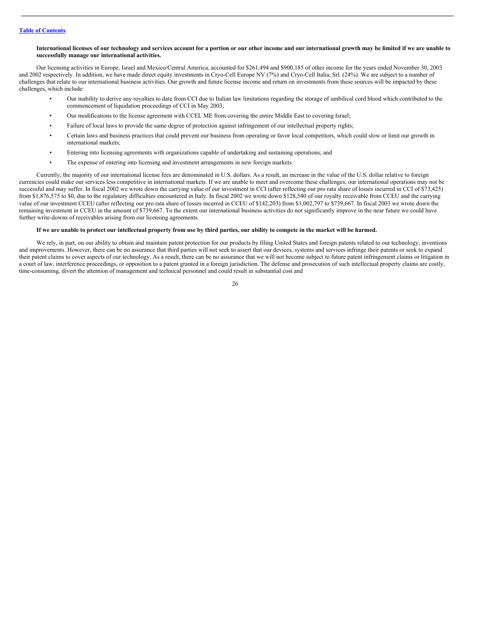## International licenses of our technology and services account for a portion or our other income and our international growth may be limited if we are unable to **successfully manage our international activities.**

Our licensing activities in Europe, Israel and Mexico/Central America, accounted for \$261,494 and \$900,185 of other income for the years ended November 30, 2003 and 2002 respectively. In addition, we have made direct equity investments in Cryo-Cell Europe NV (7%) and Cryo-Cell Italia, Srl. (24%). We are subject to a number of challenges that relate to our international business activities. Our growth and future license income and return on investments from these sources will be impacted by these challenges, which include:

- Our inability to derive any royalties to date from CCI due to Italian law limitations regarding the storage of umbilical cord blood which contributed to the commencement of liquidation proceedings of CCI in May 2003;
- Our modifications to the license agreement with CCEL ME from covering the entire Middle East to covering Israel;
- Failure of local laws to provide the same degree of protection against infringement of our intellectual property rights;
- Certain laws and business practices that could prevent our business from operating or favor local competitors, which could slow or limit our growth in international markets;
- Entering into licensing agreements with organizations capable of undertaking and sustaining operations; and
- The expense of entering into licensing and investment arrangements in new foreign markets.

Currently, the majority of our international license fees are denominated in U.S. dollars. As a result, an increase in the value of the U.S. dollar relative to foreign currencies could make our services less competitive in international markets. If we are unable to meet and overcome these challenges, our international operations may not be successful and may suffer. In fiscal 2002 we wrote down the carrying value of our investment in CCI (after reflecting our pro rata share of losses incurred in CCI of \$73,425) from \$1,876,575 to \$0, due to the regulatory difficulties encountered in Italy. In fiscal 2002 we wrote down \$128,540 of our royalty receivable from CCEU and the carrying value of our investment CCEU (after reflecting our pro rata share of losses incurred in CCEU of \$142,203) from \$1,002,797 to \$739,667. In fiscal 2003 we wrote down the remaining investment in CCEU in the amount of \$739,667. To the extent our international business activities do not significantly improve in the near future we could have further write-downs of receivables arising from our licensing agreements.

## If we are unable to protect our intellectual property from use by third parties, our ability to compete in the market will be harmed.

We rely, in part, on our ability to obtain and maintain patent protection for our products by filing United States and foreign patents related to our technology, inventions and improvements. However, there can be no assurance that third parties will not seek to assert that our devices, systems and services infringe their patents or seek to expand their patent claims to cover aspects of our technology. As a result, there can be no assurance that we will not become subject to future patent infringement claims or litigation in a court of law, interference proceedings, or opposition to a patent granted in a foreign jurisdiction. The defense and prosecution of such intellectual property claims are costly, time-consuming, divert the attention of management and technical personnel and could result in substantial cost and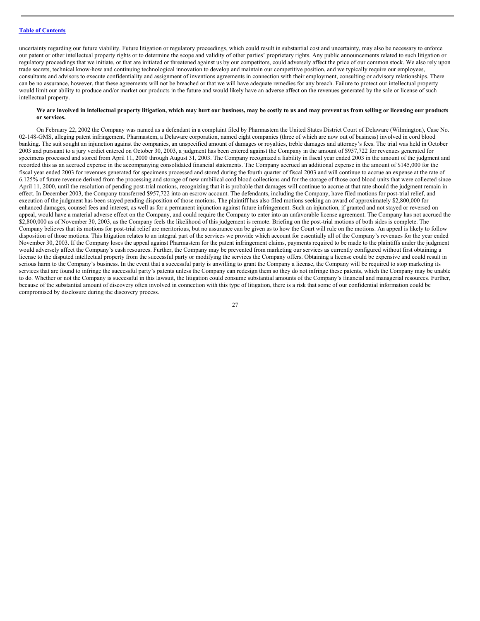uncertainty regarding our future viability. Future litigation or regulatory proceedings, which could result in substantial cost and uncertainty, may also be necessary to enforce our patent or other intellectual property rights or to determine the scope and validity of other parties' proprietary rights. Any public announcements related to such litigation or regulatory proceedings that we initiate, or that are initiated or threatened against us by our competitors, could adversely affect the price of our common stock. We also rely upon trade secrets, technical know-how and continuing technological innovation to develop and maintain our competitive position, and we typically require our employees, consultants and advisors to execute confidentiality and assignment of inventions agreements in connection with their employment, consulting or advisory relationships. There can be no assurance, however, that these agreements will not be breached or that we will have adequate remedies for any breach. Failure to protect our intellectual property would limit our ability to produce and/or market our products in the future and would likely have an adverse affect on the revenues generated by the sale or license of such intellectual property.

## We are involved in intellectual property litigation, which may hurt our business, may be costly to us and may prevent us from selling or licensing our products **or services.**

On February 22, 2002 the Company was named as a defendant in a complaint filed by Pharmastem the United States District Court of Delaware (Wilmington), Case No. 02-148-GMS, alleging patent infringement. Pharmastem, a Delaware corporation, named eight companies (three of which are now out of business) involved in cord blood banking. The suit sought an injunction against the companies, an unspecified amount of damages or royalties, treble damages and attorney's fees. The trial was held in October 2003 and pursuant to a jury verdict entered on October 30, 2003, a judgment has been entered against the Company in the amount of \$957,722 for revenues generated for specimens processed and stored from April 11, 2000 through August 31, 2003. The Company recognized a liability in fiscal year ended 2003 in the amount of the judgment and recorded this as an accrued expense in the accompanying consolidated financial statements. The Company accrued an additional expense in the amount of \$145,000 for the fiscal year ended 2003 for revenues generated for specimens processed and stored during the fourth quarter of fiscal 2003 and will continue to accrue an expense at the rate of 6.125% of future revenue derived from the processing and storage of new umbilical cord blood collections and for the storage of those cord blood units that were collected since April 11, 2000, until the resolution of pending post-trial motions, recognizing that it is probable that damages will continue to accrue at that rate should the judgment remain in effect. In December 2003, the Company transferred \$957,722 into an escrow account. The defendants, including the Company, have filed motions for post-trial relief, and execution of the judgment has been stayed pending disposition of those motions. The plaintiff has also filed motions seeking an award of approximately \$2,800,000 for enhanced damages, counsel fees and interest, as well as for a permanent injunction against future infringement. Such an injunction, if granted and not stayed or reversed on appeal, would have a material adverse effect on the Company, and could require the Company to enter into an unfavorable license agreement. The Company has not accrued the \$2,800,000 as of November 30, 2003, as the Company feels the likelihood of this judgement is remote. Briefing on the post-trial motions of both sides is complete. The Company believes that its motions for post-trial relief are meritorious, but no assurance can be given as to how the Court will rule on the motions. An appeal is likely to follow disposition of those motions. This litigation relates to an integral part of the services we provide which account for essentially all of the Company's revenues for the year ended November 30, 2003. If the Company loses the appeal against Pharmastem for the patent infringement claims, payments required to be made to the plaintiffs under the judgment would adversely affect the Company's cash resources. Further, the Company may be prevented from marketing our services as currently configured without first obtaining a license to the disputed intellectual property from the successful party or modifying the services the Company offers. Obtaining a license could be expensive and could result in serious harm to the Company's business. In the event that a successful party is unwilling to grant the Company a license, the Company will be required to stop marketing its services that are found to infringe the successful party's patents unless the Company can redesign them so they do not infringe these patents, which the Company may be unable to do. Whether or not the Company is successful in this lawsuit, the litigation could consume substantial amounts of the Company's financial and managerial resources. Further, because of the substantial amount of discovery often involved in connection with this type of litigation, there is a risk that some of our confidential information could be compromised by disclosure during the discovery process.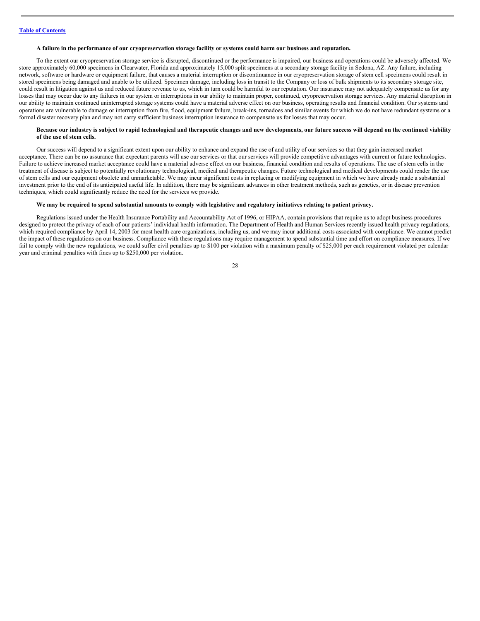#### A failure in the performance of our cryopreservation storage facility or systems could harm our business and reputation.

To the extent our cryopreservation storage service is disrupted, discontinued or the performance is impaired, our business and operations could be adversely affected. We store approximately 60,000 specimens in Clearwater, Florida and approximately 15,000 split specimens at a secondary storage facility in Sedona, AZ. Any failure, including network, software or hardware or equipment failure, that causes a material interruption or discontinuance in our cryopreservation storage of stem cell specimens could result in stored specimens being damaged and unable to be utilized. Specimen damage, including loss in transit to the Company or loss of bulk shipments to its secondary storage site, could result in litigation against us and reduced future revenue to us, which in turn could be harmful to our reputation. Our insurance may not adequately compensate us for any losses that may occur due to any failures in our system or interruptions in our ability to maintain proper, continued, cryopreservation storage services. Any material disruption in our ability to maintain continued uninterrupted storage systems could have a material adverse effect on our business, operating results and financial condition. Our systems and operations are vulnerable to damage or interruption from fire, flood, equipment failure, break-ins, tornadoes and similar events for which we do not have redundant systems or a formal disaster recovery plan and may not carry sufficient business interruption insurance to compensate us for losses that may occur.

#### Because our industry is subject to rapid technological and therapeutic changes and new developments, our future success will depend on the continued viability **of the use of stem cells.**

Our success will depend to a significant extent upon our ability to enhance and expand the use of and utility of our services so that they gain increased market acceptance. There can be no assurance that expectant parents will use our services or that our services will provide competitive advantages with current or future technologies. Failure to achieve increased market acceptance could have a material adverse effect on our business, financial condition and results of operations. The use of stem cells in the treatment of disease is subject to potentially revolutionary technological, medical and therapeutic changes. Future technological and medical developments could render the use of stem cells and our equipment obsolete and unmarketable. We may incur significant costs in replacing or modifying equipment in which we have already made a substantial investment prior to the end of its anticipated useful life. In addition, there may be significant advances in other treatment methods, such as genetics, or in disease prevention techniques, which could significantly reduce the need for the services we provide.

## We may be required to spend substantial amounts to comply with legislative and regulatory initiatives relating to patient privacy.

Regulations issued under the Health Insurance Portability and Accountability Act of 1996, or HIPAA, contain provisions that require us to adopt business procedures designed to protect the privacy of each of our patients' individual health information. The Department of Health and Human Services recently issued health privacy regulations, which required compliance by April 14, 2003 for most health care organizations, including us, and we may incur additional costs associated with compliance. We cannot predict the impact of these regulations on our business. Compliance with these regulations may require management to spend substantial time and effort on compliance measures. If we fail to comply with the new regulations, we could suffer civil penalties up to \$100 per violation with a maximum penalty of \$25,000 per each requirement violated per calendar year and criminal penalties with fines up to \$250,000 per violation.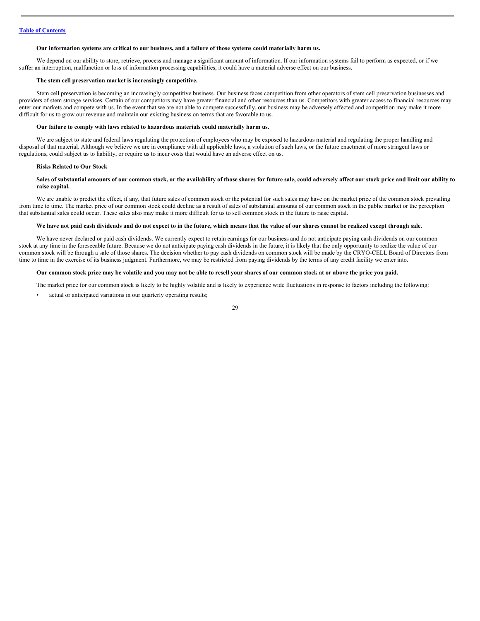#### Our information systems are critical to our business, and a failure of those systems could materially harm us.

We depend on our ability to store, retrieve, process and manage a significant amount of information. If our information systems fail to perform as expected, or if we suffer an interruption, malfunction or loss of information processing capabilities, it could have a material adverse effect on our business.

#### **The stem cell preservation market is increasingly competitive.**

Stem cell preservation is becoming an increasingly competitive business. Our business faces competition from other operators of stem cell preservation businesses and providers of stem storage services. Certain of our competitors may have greater financial and other resources than us. Competitors with greater access to financial resources may enter our markets and compete with us. In the event that we are not able to compete successfully, our business may be adversely affected and competition may make it more difficult for us to grow our revenue and maintain our existing business on terms that are favorable to us.

#### **Our failure to comply with laws related to hazardous materials could materially harm us.**

We are subject to state and federal laws regulating the protection of employees who may be exposed to hazardous material and regulating the proper handling and disposal of that material. Although we believe we are in compliance with all applicable laws, a violation of such laws, or the future enactment of more stringent laws or regulations, could subject us to liability, or require us to incur costs that would have an adverse effect on us.

#### **Risks Related to Our Stock**

### Sales of substantial amounts of our common stock, or the availability of those shares for future sale, could adversely affect our stock price and limit our ability to **raise capital.**

We are unable to predict the effect, if any, that future sales of common stock or the potential for such sales may have on the market price of the common stock prevailing from time to time. The market price of our common stock could decline as a result of sales of substantial amounts of our common stock in the public market or the perception that substantial sales could occur. These sales also may make it more difficult for us to sell common stock in the future to raise capital.

#### We have not paid cash dividends and do not expect to in the future, which means that the value of our shares cannot be realized except through sale.

We have never declared or paid cash dividends. We currently expect to retain earnings for our business and do not anticipate paying cash dividends on our common stock at any time in the foreseeable future. Because we do not anticipate paying cash dividends in the future, it is likely that the only opportunity to realize the value of our common stock will be through a sale of those shares. The decision whether to pay cash dividends on common stock will be made by the CRYO-CELL Board of Directors from time to time in the exercise of its business judgment. Furthermore, we may be restricted from paying dividends by the terms of any credit facility we enter into.

## Our common stock price may be volatile and you may not be able to resell your shares of our common stock at or above the price you paid.

The market price for our common stock is likely to be highly volatile and is likely to experience wide fluctuations in response to factors including the following:

actual or anticipated variations in our quarterly operating results;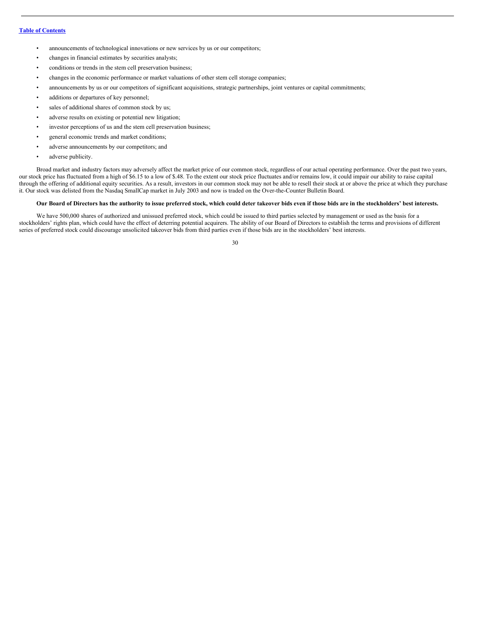- announcements of technological innovations or new services by us or our competitors;
- changes in financial estimates by securities analysts;
- conditions or trends in the stem cell preservation business;
- changes in the economic performance or market valuations of other stem cell storage companies;
- announcements by us or our competitors of significant acquisitions, strategic partnerships, joint ventures or capital commitments;
- additions or departures of key personnel;
- sales of additional shares of common stock by us;
- adverse results on existing or potential new litigation;
- investor perceptions of us and the stem cell preservation business;
- general economic trends and market conditions;
- adverse announcements by our competitors; and
- adverse publicity.

Broad market and industry factors may adversely affect the market price of our common stock, regardless of our actual operating performance. Over the past two years, our stock price has fluctuated from a high of \$6.15 to a low of \$.48. To the extent our stock price fluctuates and/or remains low, it could impair our ability to raise capital through the offering of additional equity securities. As a result, investors in our common stock may not be able to resell their stock at or above the price at which they purchase it. Our stock was delisted from the Nasdaq SmallCap market in July 2003 and now is traded on the Over-the-Counter Bulletin Board.

# Our Board of Directors has the authority to issue preferred stock, which could deter takeover bids even if those bids are in the stockholders' best interests.

We have 500,000 shares of authorized and unissued preferred stock, which could be issued to third parties selected by management or used as the basis for a stockholders' rights plan, which could have the effect of deterring potential acquirers. The ability of our Board of Directors to establish the terms and provisions of different series of preferred stock could discourage unsolicited takeover bids from third parties even if those bids are in the stockholders' best interests.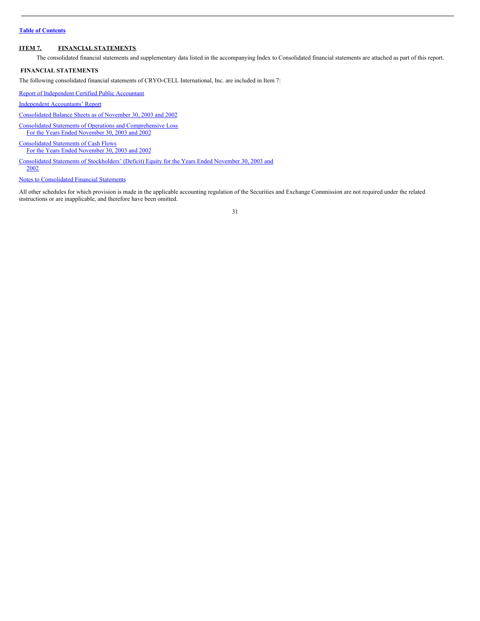# **ITEM 7. FINANCIAL STATEMENTS**

The consolidated financial statements and supplementary data listed in the accompanying Index to Consolidated financial statements are attached as part of this report.

# <span id="page-30-0"></span>**FINANCIAL STATEMENTS**

The following consolidated financial statements of CRYO-CELL International, Inc. are included in Item 7:

Report of [Independent](#page-31-0) Certified Public Accountant

Independent [Accountants'](#page-32-0) Report

[Consolidated](#page-33-0) Balance Sheets as of November 30, 2003 and 2002

Consolidated Statements of Operations and [Comprehensive](#page-34-0) Loss

For the Years Ended November 30, 2003 and 2002 [Consolidated](#page-35-0) Statements of Cash Flows

For the Years Ended November 30, 2003 and 2002

Consolidated Statements of [Stockholders'](#page-36-0) (Deficit) Equity for the Years Ended November 30, 2003 and 2002

Notes to [Consolidated](#page-37-0) Financial Statements

All other schedules for which provision is made in the applicable accounting regulation of the Securities and Exchange Commission are not required under the related instructions or are inapplicable, and therefore have been omitted.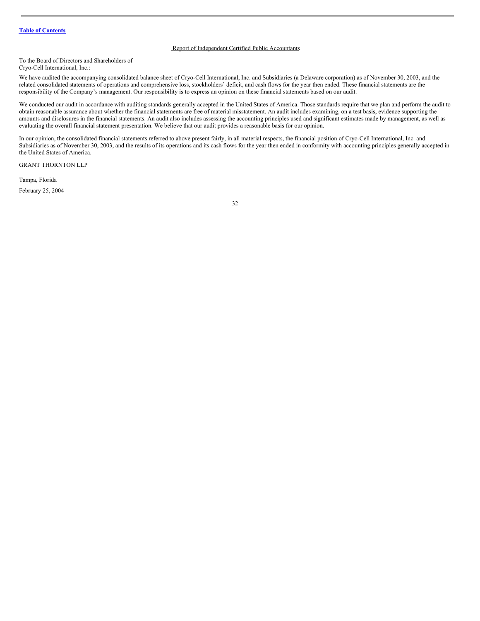# <span id="page-31-0"></span>Report of Independent Certified Public Accountants

To the Board of Directors and Shareholders of Cryo-Cell International, Inc.:

We have audited the accompanying consolidated balance sheet of Cryo-Cell International, Inc. and Subsidiaries (a Delaware corporation) as of November 30, 2003, and the related consolidated statements of operations and comprehensive loss, stockholders' deficit, and cash flows for the year then ended. These financial statements are the responsibility of the Company's management. Our responsibility is to express an opinion on these financial statements based on our audit.

We conducted our audit in accordance with auditing standards generally accepted in the United States of America. Those standards require that we plan and perform the audit to obtain reasonable assurance about whether the financial statements are free of material misstatement. An audit includes examining, on a test basis, evidence supporting the amounts and disclosures in the financial statements. An audit also includes assessing the accounting principles used and significant estimates made by management, as well as evaluating the overall financial statement presentation. We believe that our audit provides a reasonable basis for our opinion.

In our opinion, the consolidated financial statements referred to above present fairly, in all material respects, the financial position of Cryo-Cell International, Inc. and Subsidiaries as of November 30, 2003, and the results of its operations and its cash flows for the year then ended in conformity with accounting principles generally accepted in the United States of America.

GRANT THORNTON LLP

Tampa, Florida

February 25, 2004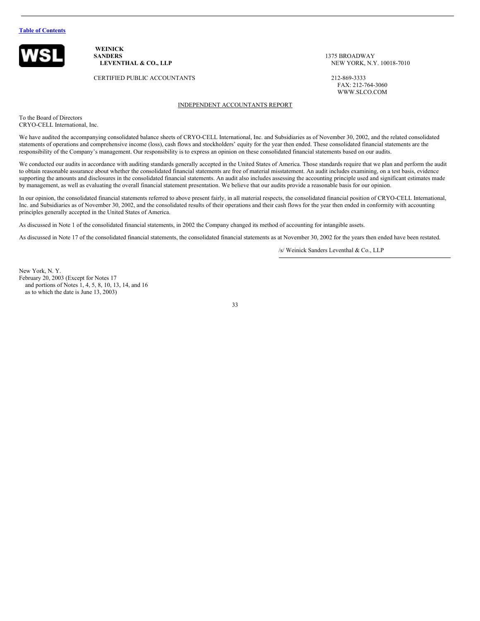

<span id="page-32-0"></span>**WEINICK SANDERS LEVENTHAL & CO., LLP**

CERTIFIED PUBLIC ACCOUNTANTS 212-869-3333

1375 BROADWAY NEW YORK, N.Y. 10018-7010

FAX: 212-764-3060 WWW.SLCO.COM

#### INDEPENDENT ACCOUNTANTS REPORT

To the Board of Directors CRYO-CELL International, Inc.

We have audited the accompanying consolidated balance sheets of CRYO-CELL International, Inc. and Subsidiaries as of November 30, 2002, and the related consolidated statements of operations and comprehensive income (loss), cash flows and stockholders' equity for the year then ended. These consolidated financial statements are the responsibility of the Company's management. Our responsibility is to express an opinion on these consolidated financial statements based on our audits.

We conducted our audits in accordance with auditing standards generally accepted in the United States of America. Those standards require that we plan and perform the audit to obtain reasonable assurance about whether the consolidated financial statements are free of material misstatement. An audit includes examining, on a test basis, evidence supporting the amounts and disclosures in the consolidated financial statements. An audit also includes assessing the accounting principle used and significant estimates made by management, as well as evaluating the overall financial statement presentation. We believe that our audits provide a reasonable basis for our opinion.

In our opinion, the consolidated financial statements referred to above present fairly, in all material respects, the consolidated financial position of CRYO-CELL International, Inc. and Subsidiaries as of November 30, 2002, and the consolidated results of their operations and their cash flows for the year then ended in conformity with accounting principles generally accepted in the United States of America.

As discussed in Note 1 of the consolidated financial statements, in 2002 the Company changed its method of accounting for intangible assets.

As discussed in Note 17 of the consolidated financial statements, the consolidated financial statements as at November 30, 2002 for the years then ended have been restated.

/s/ Weinick Sanders Leventhal & Co., LLP

New York, N. Y. February 20, 2003 (Except for Notes 17 and portions of Notes 1, 4, 5, 8, 10, 13, 14, and 16 as to which the date is June 13, 2003)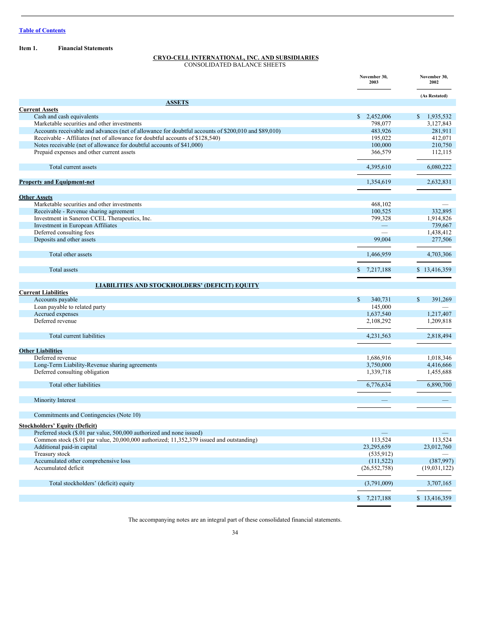**Item 1. Financial Statements**

#### <span id="page-33-0"></span>**CRYO-CELL INTERNATIONAL, INC. AND SUBSIDIARIES** CONSOLIDATED BALANCE SHEETS

|                                                                                                     | November 30,<br>2003 | November 30,<br>2002      |
|-----------------------------------------------------------------------------------------------------|----------------------|---------------------------|
| <b>ASSETS</b>                                                                                       |                      | (As Restated)             |
| <b>Current Assets</b>                                                                               |                      |                           |
| Cash and cash equivalents                                                                           | \$2,452,006          | $\mathbb{S}$<br>1,935,532 |
| Marketable securities and other investments                                                         | 798,077              | 3,127,843                 |
| Accounts receivable and advances (net of allowance for doubtful accounts of \$200,010 and \$89,010) | 483,926              | 281,911                   |
| Receivable - Affiliates (net of allowance for doubtful accounts of \$128,540)                       | 195,022              | 412,071                   |
| Notes receivable (net of allowance for doubtful accounts of \$41,000)                               | 100,000              | 210,750                   |
| Prepaid expenses and other current assets                                                           | 366,579              | 112,115                   |
| Total current assets                                                                                | 4,395,610            | 6,080,222                 |
| <b>Property and Equipment-net</b>                                                                   | 1,354,619            | 2,632,831                 |
| <b>Other Assets</b>                                                                                 |                      |                           |
| Marketable securities and other investments                                                         | 468,102              |                           |
| Receivable - Revenue sharing agreement                                                              | 100,525              | 332,895                   |
| Investment in Saneron CCEL Therapeutics, Inc.                                                       | 799,328              | 1,914,826                 |
| Investment in European Affiliates                                                                   |                      | 739,667                   |
| Deferred consulting fees                                                                            |                      | 1,438,412                 |
| Deposits and other assets                                                                           | 99,004               | 277,506                   |
| Total other assets                                                                                  | 1,466,959            | 4,703,306                 |
| <b>Total assets</b>                                                                                 | \$7,217,188          | \$13,416,359              |
| <b>LIABILITIES AND STOCKHOLDERS' (DEFICIT) EQUITY</b>                                               |                      |                           |
| <b>Current Liabilities</b>                                                                          |                      |                           |
| Accounts payable                                                                                    | \$<br>340,731        | 391,269<br><sup>\$</sup>  |
| Loan payable to related party                                                                       | 145,000              |                           |
| Accrued expenses                                                                                    | 1,637,540            | 1,217,407                 |
| Deferred revenue                                                                                    | 2,108,292            | 1,209,818                 |
|                                                                                                     |                      |                           |
| Total current liabilities                                                                           | 4,231,563            | 2,818,494                 |
| <b>Other Liabilities</b>                                                                            |                      |                           |
| Deferred revenue                                                                                    | 1,686,916            | 1,018,346                 |
| Long-Term Liability-Revenue sharing agreements                                                      | 3,750,000            | 4,416,666                 |
| Deferred consulting obligation                                                                      | 1,339,718            | 1,455,688                 |
| Total other liabilities                                                                             | 6,776,634            | 6,890,700                 |
| Minority Interest                                                                                   |                      |                           |
| Commitments and Contingencies (Note 10)                                                             |                      |                           |
| <b>Stockholders' Equity (Deficit)</b>                                                               |                      |                           |
| Preferred stock (\$.01 par value, 500,000 authorized and none issued)                               |                      |                           |
| Common stock (\$.01 par value, 20,000,000 authorized; 11,352,379 issued and outstanding)            | 113,524              | 113,524                   |
| Additional paid-in capital                                                                          | 23,295,659           | 23,012,760                |
| Treasury stock                                                                                      | (535, 912)           |                           |
| Accumulated other comprehensive loss                                                                | (111, 522)           | (387,997)                 |
| Accumulated deficit                                                                                 | (26, 552, 758)       | (19,031,122)              |
| Total stockholders' (deficit) equity                                                                | (3,791,009)          | 3,707,165                 |
|                                                                                                     | \$7,217,188          | \$13,416,359              |

The accompanying notes are an integral part of these consolidated financial statements.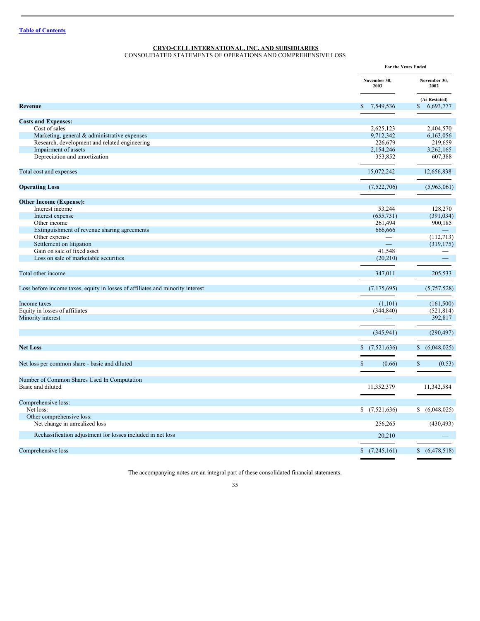# <span id="page-34-0"></span>**CRYO-CELL INTERNATIONAL, INC. AND SUBSIDIARIES**

CONSOLIDATED STATEMENTS OF OPERATIONS AND COMPREHENSIVE LOSS

|                                                                                | For the Years Ended      |                              |  |
|--------------------------------------------------------------------------------|--------------------------|------------------------------|--|
|                                                                                | November 30,<br>2003     | November 30,<br>2002         |  |
| Revenue                                                                        | \$7,549,536              | (As Restated)<br>\$6,693,777 |  |
|                                                                                |                          |                              |  |
| <b>Costs and Expenses:</b>                                                     |                          |                              |  |
| Cost of sales                                                                  | 2,625,123                | 2,404,570                    |  |
| Marketing, general & administrative expenses                                   | 9,712,342                | 6,163,056                    |  |
| Research, development and related engineering                                  | 226,679                  | 219,659                      |  |
| Impairment of assets                                                           | 2,154,246                | 3,262,165                    |  |
| Depreciation and amortization                                                  | 353,852                  | 607,388                      |  |
| Total cost and expenses                                                        | 15,072,242               | 12,656,838                   |  |
| <b>Operating Loss</b>                                                          | (7,522,706)              | (5,963,061)                  |  |
|                                                                                |                          |                              |  |
| <b>Other Income (Expense):</b>                                                 |                          |                              |  |
| Interest income                                                                | 53,244                   | 128,270                      |  |
| Interest expense                                                               | (655, 731)               | (391, 034)                   |  |
| Other income                                                                   | 261,494                  | 900,185                      |  |
| Extinguishment of revenue sharing agreements                                   | 666,666                  |                              |  |
| Other expense                                                                  | $\overline{\phantom{a}}$ | (112, 713)                   |  |
| Settlement on litigation                                                       | $\equiv$                 | (319, 175)                   |  |
| Gain on sale of fixed asset                                                    | 41,548                   |                              |  |
| Loss on sale of marketable securities                                          | (20, 210)                | <u>in d</u>                  |  |
| Total other income                                                             | 347.011                  | 205,533                      |  |
|                                                                                |                          |                              |  |
| Loss before income taxes, equity in losses of affiliates and minority interest | (7, 175, 695)            | (5,757,528)                  |  |
| Income taxes                                                                   | (1,101)                  | (161, 500)                   |  |
| Equity in losses of affiliates                                                 | (344, 840)               | (521, 814)                   |  |
| Minority interest                                                              |                          | 392,817                      |  |
|                                                                                |                          |                              |  |
|                                                                                | (345, 941)               | (290, 497)                   |  |
| <b>Net Loss</b>                                                                | \$(7,521,636)            | \$(6,048,025)                |  |
|                                                                                |                          |                              |  |
| Net loss per common share - basic and diluted                                  | $\mathbf{s}$<br>(0.66)   | \$<br>(0.53)                 |  |
|                                                                                |                          |                              |  |
| Number of Common Shares Used In Computation                                    |                          |                              |  |
| Basic and diluted                                                              | 11,352,379               | 11,342,584                   |  |
| Comprehensive loss:                                                            |                          |                              |  |
| Net loss:                                                                      | \$(7,521,636)            | \$(6,048,025)                |  |
| Other comprehensive loss:                                                      |                          |                              |  |
| Net change in unrealized loss                                                  | 256,265                  | (430, 493)                   |  |
| Reclassification adjustment for losses included in net loss                    | 20,210                   |                              |  |
| Comprehensive loss                                                             | \$(7,245,161)            | \$(6,478,518)                |  |
|                                                                                |                          |                              |  |

The accompanying notes are an integral part of these consolidated financial statements.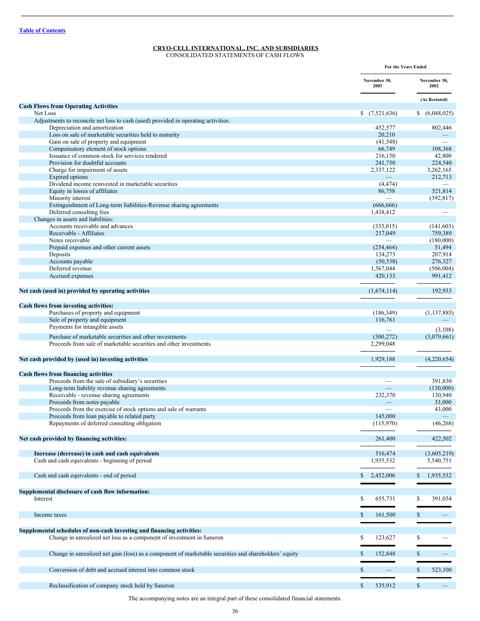# <span id="page-35-0"></span>**CRYO-CELL INTERNATIONAL, INC. AND SUBSIDIARIES**

CONSOLIDATED STATEMENTS OF CASH FLOWS

|                                                                                                       | For the Years Ended     |                      |                |
|-------------------------------------------------------------------------------------------------------|-------------------------|----------------------|----------------|
|                                                                                                       | November 30,<br>2003    | November 30,<br>2002 |                |
|                                                                                                       |                         |                      | (As Restated)  |
| <b>Cash Flows from Operating Activities</b>                                                           |                         |                      |                |
| Net Loss<br>Adjustments to reconcile net loss to cash (used) provided in operating activities:        | \$(7,521,636)           |                      | \$ (6,048,025) |
| Depreciation and amortization                                                                         | 452,577                 |                      | 802,446        |
| Loss on sale of marketable securities held to maturity                                                | 20,210                  |                      |                |
| Gain on sale of property and equipment                                                                | (41, 548)               |                      |                |
| Compensatory element of stock options                                                                 | 66,749                  |                      | 108,368        |
| Issuance of common stock for services rendered                                                        | 216,150                 |                      | 42,800         |
| Provision for doubtful accounts                                                                       | 241,750                 |                      | 224,540        |
| Charge for impairment of assets                                                                       | 2,337,122               |                      | 3,262,165      |
| Expired options                                                                                       |                         |                      | 212,713        |
| Dividend income reinvested in marketable securities                                                   | (4, 474)                |                      |                |
| Equity in losses of affiliates                                                                        | 86,758                  |                      | 521,814        |
| Minority interest                                                                                     |                         |                      | (392, 817)     |
| Extinguishment of Long-term liabilities-Revenue sharing agreements                                    | (666, 666)              |                      |                |
| Deferred consulting fees                                                                              | 1,438,412               |                      |                |
| Changes in assets and liabilities:                                                                    |                         |                      |                |
| Accounts receivable and advances                                                                      | (333,015)               |                      | (141, 603)     |
| Receivable - Affiliates                                                                               | 217,049                 |                      | 759,389        |
| Notes receivable                                                                                      |                         |                      | (180,000)      |
| Prepaid expenses and other current assets                                                             | (254, 464)              |                      | 51,494         |
| Deposits                                                                                              | 134,273                 |                      | 207,914        |
| Accounts payable                                                                                      | (50, 538)               |                      | 276,327        |
| Deferred revenue                                                                                      | 1,567,044               |                      | (506, 004)     |
| Accrued expenses                                                                                      | 420,133                 |                      | 991,412        |
| Net cash (used in) provided by operating activities                                                   | (1,674,114)             |                      | 192,933        |
| Cash flows from investing activities:                                                                 |                         |                      |                |
| Purchases of property and equipment                                                                   | (186, 349)              |                      | (1, 137, 885)  |
| Sale of property and equipment                                                                        | 116,761                 |                      |                |
| Payments for intangible assets                                                                        |                         |                      |                |
| Purchase of marketable securities and other investments                                               |                         |                      | (3,108)        |
| Proceeds from sale of marketable securities and other investments                                     | (300, 272)<br>2,299,048 |                      | (3,079,661)    |
| Net cash provided by (used in) investing activities                                                   | 1,929,188               |                      | (4,220,654)    |
|                                                                                                       |                         |                      |                |
| <b>Cash flows from financing activities</b>                                                           |                         |                      |                |
| Proceeds from the sale of subsidiary's securities                                                     |                         |                      | 391,830        |
| Long-term liability revenue sharing agreements                                                        |                         |                      | (130,000)      |
| Receivable - revenue sharing agreements                                                               | 232,370                 |                      | 130,940        |
| Proceeds from notes payable                                                                           |                         |                      | 33,000         |
| Proceeds from the exercise of stock options and sale of warrants                                      |                         |                      | 43,000         |
| Proceeds from loan payable to related party                                                           | 145,000                 |                      |                |
| Repayments of deferred consulting obligation                                                          | (115,970)               |                      | (46, 268)      |
| Net cash provided by financing activities:                                                            | 261,400                 |                      | 422,502        |
|                                                                                                       |                         |                      |                |
| Increase (decrease) in cash and cash equivalents                                                      | 516,474                 |                      | (3,605,219)    |
| Cash and cash equivalents - beginning of period                                                       | 1,935,532               |                      | 5,540,751      |
| Cash and cash equivalents - end of period                                                             | 2,452,006<br>\$.        | \$                   | 1,935,532      |
| Supplemental disclosure of cash flow information:                                                     |                         |                      |                |
| Interest                                                                                              | \$<br>655,731           | \$                   | 391,034        |
|                                                                                                       |                         |                      |                |
| Income taxes                                                                                          | \$<br>161,500           | \$                   |                |
| Supplemental schedules of non-cash investing and financing activities:                                |                         |                      |                |
| Change in unrealized net loss as a component of investment in Saneron                                 | \$<br>123,627           | \$                   |                |
| Change in unrealized net gain (loss) as a component of marketable securities and shareholders' equity | \$<br>152,848           | <sup>\$</sup>        |                |
|                                                                                                       |                         |                      |                |
| Conversion of debt and accrued interest into common stock                                             | \$                      | \$                   | 523,100        |
| Reclassification of company stock held by Saneron                                                     | \$<br>535,912           | $\$$                 |                |
|                                                                                                       |                         |                      |                |

The accompanying notes are an integral part of these consolidated financial statements.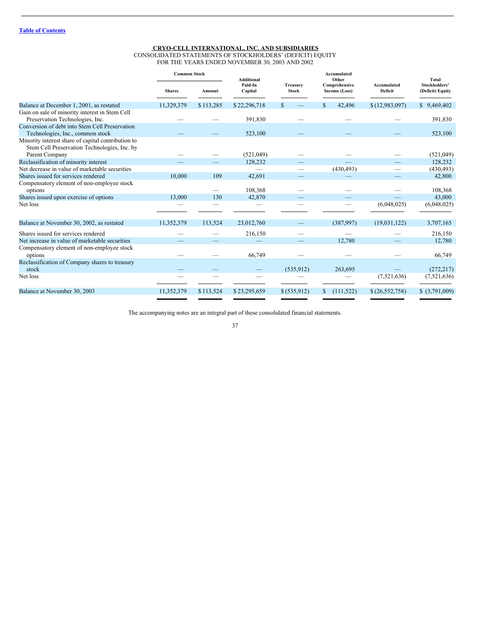#### <span id="page-36-0"></span>**CRYO-CELL INTERNATIONAL, INC. AND SUBSIDIARIES**

CONSOLIDATED STATEMENTS OF STOCKHOLDERS' (DEFICIT) EQUITY

FOR THE YEARS ENDED NOVEMBER 30, 2003 AND 2002

|                                                                                                    | <b>Common Stock</b> |           | <b>Additional</b><br>Paid-In |                          | Accumulated<br>Other           |                        | Total<br>Stockholders' |
|----------------------------------------------------------------------------------------------------|---------------------|-----------|------------------------------|--------------------------|--------------------------------|------------------------|------------------------|
|                                                                                                    | <b>Shares</b>       | Amount    | Capital                      | Treasury<br><b>Stock</b> | Comprehensive<br>Income (Loss) | Accumulated<br>Deficit | (Deficit) Equity       |
| Balance at December 1, 2001, as restated                                                           | 11,329,379          | \$113,285 | \$22,296,718                 |                          | \$.<br>42,496                  | \$(12,983,097)         | \$9,469,402            |
| Gain on sale of minority interest in Stem Cell<br>Preservation Technologies, Inc.                  |                     |           | 391,830                      |                          |                                |                        | 391,830                |
| Conversion of debt into Stem Cell Preservation<br>Technologies, Inc., common stock                 |                     |           | 523,100                      |                          |                                |                        | 523,100                |
| Minority interest share of capital contribution to<br>Stem Cell Preservation Technologies, Inc. by |                     |           |                              |                          |                                |                        |                        |
| Parent Company                                                                                     |                     |           | (521,049)                    |                          |                                |                        | (521,049)              |
| Reclassification of minority interest                                                              |                     |           | 128,232                      |                          |                                |                        | 128,232                |
| Net decrease in value of marketable securities                                                     |                     |           |                              |                          | (430, 493)                     |                        | (430, 493)             |
| Shares issued for services rendered                                                                | 10.000              | 109       | 42,691                       |                          |                                |                        | 42,800                 |
| Compensatory element of non-employee stock<br>options                                              |                     |           | 108,368                      |                          |                                |                        | 108,368                |
| Shares issued upon exercise of options                                                             | 13,000              | 130       | 42,870                       |                          |                                |                        | 43,000                 |
| Net loss                                                                                           |                     | _         | -                            |                          |                                | (6,048,025)            | (6,048,025)            |
| Balance at November 30, 2002, as restated                                                          | 11,352,379          | 113,524   | 23,012,760                   |                          | (387,997)                      | (19,031,122)           | 3,707,165              |
| Shares issued for services rendered                                                                |                     |           | 216,150                      |                          |                                |                        | 216,150                |
| Net increase in value of marketable securities                                                     |                     |           |                              |                          | 12,780                         |                        | 12,780                 |
| Compensatory element of non-employee stock<br>options                                              |                     |           | 66,749                       |                          |                                |                        | 66,749                 |
| Reclassification of Company shares to treasury<br>stock                                            |                     |           |                              | (535, 912)               | 263,695                        |                        | (272, 217)             |
| Net loss                                                                                           |                     |           |                              |                          |                                | (7,521,636)            | (7,521,636)            |
| Balance at November 30, 2003                                                                       | 11,352,379          | \$113,524 | \$23,295,659                 | \$ (535,912)             | (111, 522)<br>\$               | \$(26, 552, 758)       | \$(3,791,009)          |

The accompanying notes are an integral part of these consolidated financial statements.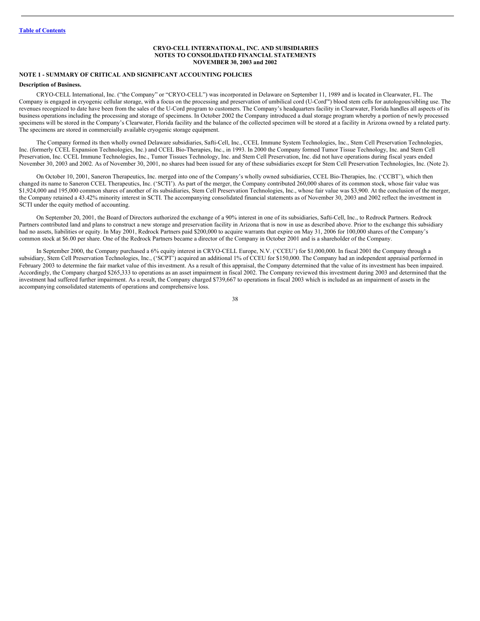#### <span id="page-37-0"></span>**CRYO-CELL INTERNATIONAL, INC. AND SUBSIDIARIES NOTES TO CONSOLIDATED FINANCIAL STATEMENTS NOVEMBER 30, 2003 and 2002**

# **NOTE 1 - SUMMARY OF CRITICAL AND SIGNIFICANT ACCOUNTING POLICIES**

# **Description of Business.**

CRYO-CELL International, Inc. ("the Company" or "CRYO-CELL") was incorporated in Delaware on September 11, 1989 and is located in Clearwater, FL. The Company is engaged in cryogenic cellular storage, with a focus on the processing and preservation of umbilical cord (U-Cord™) blood stem cells for autologous/sibling use. The revenues recognized to date have been from the sales of the U-Cord program to customers. The Company's headquarters facility in Clearwater, Florida handles all aspects of its business operations including the processing and storage of specimens. In October 2002 the Company introduced a dual storage program whereby a portion of newly processed specimens will be stored in the Company's Clearwater, Florida facility and the balance of the collected specimen will be stored at a facility in Arizona owned by a related party. The specimens are stored in commercially available cryogenic storage equipment.

The Company formed its then wholly owned Delaware subsidiaries, Safti-Cell, Inc., CCEL Immune System Technologies, Inc., Stem Cell Preservation Technologies, Inc. (formerly CCEL Expansion Technologies, Inc.) and CCEL Bio-Therapies, Inc., in 1993. In 2000 the Company formed Tumor Tissue Technology, Inc. and Stem Cell Preservation, Inc. CCEL Immune Technologies, Inc., Tumor Tissues Technology, Inc. and Stem Cell Preservation, Inc. did not have operations during fiscal years ended November 30, 2003 and 2002. As of November 30, 2001, no shares had been issued for any of these subsidiaries except for Stem Cell Preservation Technologies, Inc. (Note 2).

On October 10, 2001, Saneron Therapeutics, Inc. merged into one of the Company's wholly owned subsidiaries, CCEL Bio-Therapies, Inc. ('CCBT'), which then changed its name to Saneron CCEL Therapeutics, Inc. ('SCTI'). As part of the merger, the Company contributed 260,000 shares of its common stock, whose fair value was \$1,924,000 and 195,000 common shares of another of its subsidiaries, Stem Cell Preservation Technologies, Inc., whose fair value was \$3,900. At the conclusion of the merger, the Company retained a 43.42% minority interest in SCTI. The accompanying consolidated financial statements as of November 30, 2003 and 2002 reflect the investment in SCTI under the equity method of accounting.

On September 20, 2001, the Board of Directors authorized the exchange of a 90% interest in one of its subsidiaries, Safti-Cell, Inc., to Redrock Partners. Redrock Partners contributed land and plans to construct a new storage and preservation facility in Arizona that is now in use as described above. Prior to the exchange this subsidiary had no assets, liabilities or equity. In May 2001, Redrock Partners paid \$200,000 to acquire warrants that expire on May 31, 2006 for 100,000 shares of the Company's common stock at \$6.00 per share. One of the Redrock Partners became a director of the Company in October 2001 and is a shareholder of the Company.

In September 2000, the Company purchased a 6% equity interest in CRYO-CELL Europe, N.V. ('CCEU') for \$1,000,000. In fiscal 2001 the Company through a subsidiary, Stem Cell Preservation Technologies, Inc., ('SCPT') acquired an additional 1% of CCEU for \$150,000. The Company had an independent appraisal performed in February 2003 to determine the fair market value of this investment. As a result of this appraisal, the Company determined that the value of its investment has been impaired. Accordingly, the Company charged \$265,333 to operations as an asset impairment in fiscal 2002. The Company reviewed this investment during 2003 and determined that the investment had suffered further impairment. As a result, the Company charged \$739,667 to operations in fiscal 2003 which is included as an impairment of assets in the accompanying consolidated statements of operations and comprehensive loss.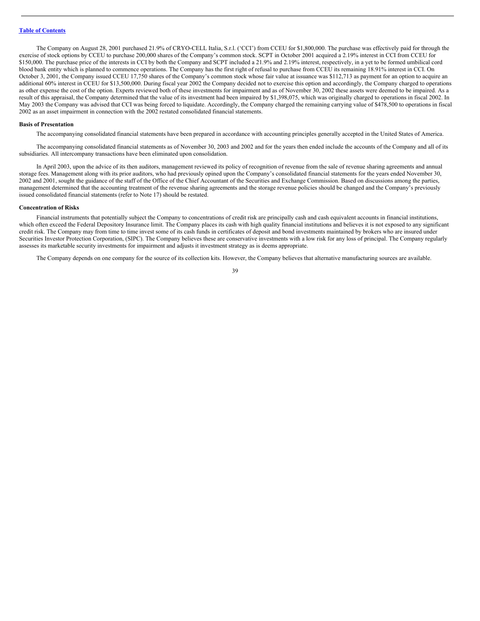The Company on August 28, 2001 purchased 21.9% of CRYO-CELL Italia, S.r.l. ('CCI') from CCEU for \$1,800,000. The purchase was effectively paid for through the exercise of stock options by CCEU to purchase 200,000 shares of the Company's common stock. SCPT in October 2001 acquired a 2.19% interest in CCI from CCEU for \$150,000. The purchase price of the interests in CCI by both the Company and SCPT included a 21.9% and 2.19% interest, respectively, in a yet to be formed umbilical cord blood bank entity which is planned to commence operations. The Company has the first right of refusal to purchase from CCEU its remaining 18.91% interest in CCI. On October 3, 2001, the Company issued CCEU 17,750 shares of the Company's common stock whose fair value at issuance was \$112,713 as payment for an option to acquire an additional 60% interest in CCEU for \$13,500,000. During fiscal year 2002 the Company decided not to exercise this option and accordingly, the Company charged to operations as other expense the cost of the option. Experts reviewed both of these investments for impairment and as of November 30, 2002 these assets were deemed to be impaired. As a result of this appraisal, the Company determined that the value of its investment had been impaired by \$1,398,075, which was originally charged to operations in fiscal 2002. In May 2003 the Company was advised that CCI was being forced to liquidate. Accordingly, the Company charged the remaining carrying value of \$478,500 to operations in fiscal 2002 as an asset impairment in connection with the 2002 restated consolidated financial statements.

#### **Basis of Presentation**

The accompanying consolidated financial statements have been prepared in accordance with accounting principles generally accepted in the United States of America.

The accompanying consolidated financial statements as of November 30, 2003 and 2002 and for the years then ended include the accounts of the Company and all of its subsidiaries. All intercompany transactions have been eliminated upon consolidation.

In April 2003, upon the advice of its then auditors, management reviewed its policy of recognition of revenue from the sale of revenue sharing agreements and annual storage fees. Management along with its prior auditors, who had previously opined upon the Company's consolidated financial statements for the years ended November 30, 2002 and 2001, sought the guidance of the staff of the Office of the Chief Accountant of the Securities and Exchange Commission. Based on discussions among the parties, management determined that the accounting treatment of the revenue sharing agreements and the storage revenue policies should be changed and the Company's previously issued consolidated financial statements (refer to Note 17) should be restated.

#### **Concentration of Risks**

Financial instruments that potentially subject the Company to concentrations of credit risk are principally cash and cash equivalent accounts in financial institutions, which often exceed the Federal Depository Insurance limit. The Company places its cash with high quality financial institutions and believes it is not exposed to any significant credit risk. The Company may from time to time invest some of its cash funds in certificates of deposit and bond investments maintained by brokers who are insured under Securities Investor Protection Corporation, (SIPC). The Company believes these are conservative investments with a low risk for any loss of principal. The Company regularly assesses its marketable security investments for impairment and adjusts it investment strategy as is deems appropriate.

The Company depends on one company for the source of its collection kits. However, the Company believes that alternative manufacturing sources are available.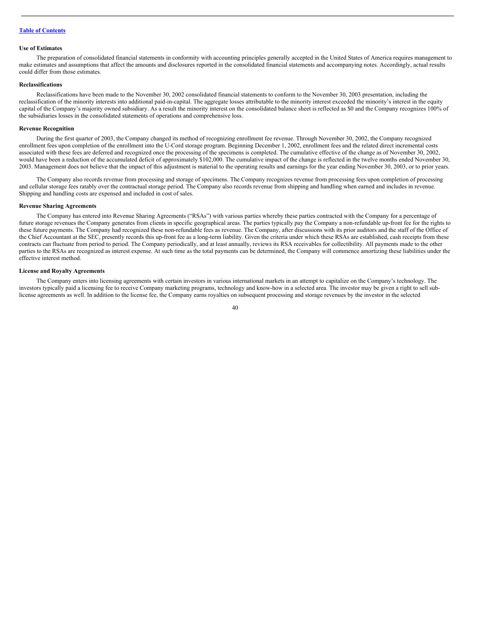#### **Use of Estimates**

The preparation of consolidated financial statements in conformity with accounting principles generally accepted in the United States of America requires management to make estimates and assumptions that affect the amounts and disclosures reported in the consolidated financial statements and accompanying notes. Accordingly, actual results could differ from those estimates.

## **Reclassifications**

Reclassifications have been made to the November 30, 2002 consolidated financial statements to conform to the November 30, 2003 presentation, including the reclassification of the minority interests into additional paid-in-capital. The aggregate losses attributable to the minority interest exceeded the minority's interest in the equity capital of the Company's majority owned subsidiary. As a result the minority interest on the consolidated balance sheet is reflected as \$0 and the Company recognizes 100% of the subsidiaries losses in the consolidated statements of operations and comprehensive loss.

#### **Revenue Recognition**

During the first quarter of 2003, the Company changed its method of recognizing enrollment fee revenue. Through November 30, 2002, the Company recognized enrollment fees upon completion of the enrollment into the U-Cord storage program. Beginning December 1, 2002, enrollment fees and the related direct incremental costs associated with these fees are deferred and recognized once the processing of the specimens is completed. The cumulative effective of the change as of November 30, 2002, would have been a reduction of the accumulated deficit of approximately \$102,000. The cumulative impact of the change is reflected in the twelve months ended November 30, 2003. Management does not believe that the impact of this adjustment is material to the operating results and earnings for the year ending November 30, 2003, or to prior years.

The Company also records revenue from processing and storage of specimens. The Company recognizes revenue from processing fees upon completion of processing and cellular storage fees ratably over the contractual storage period. The Company also records revenue from shipping and handling when earned and includes in revenue. Shipping and handling costs are expensed and included in cost of sales.

### **Revenue Sharing Agreements**

The Company has entered into Revenue Sharing Agreements ("RSAs") with various parties whereby these parties contracted with the Company for a percentage of future storage revenues the Company generates from clients in specific geographical areas. The parties typically pay the Company a non-refundable up-front fee for the rights to these future payments. The Company had recognized these non-refundable fees as revenue. The Company, after discussions with its prior auditors and the staff of the Office of the Chief Accountant at the SEC, presently records this up-front fee as a long-term liability. Given the criteria under which these RSAs are established, cash receipts from these contracts can fluctuate from period to period. The Company periodically, and at least annually, reviews its RSA receivables for collectibility. All payments made to the other parties to the RSAs are recognized as interest expense. At such time as the total payments can be determined, the Company will commence amortizing these liabilities under the effective interest method.

#### **License and Royalty Agreements**

The Company enters into licensing agreements with certain investors in various international markets in an attempt to capitalize on the Company's technology. The investors typically paid a licensing fee to receive Company marketing programs, technology and know-how in a selected area. The investor may be given a right to sell sublicense agreements as well. In addition to the license fee, the Company earns royalties on subsequent processing and storage revenues by the investor in the selected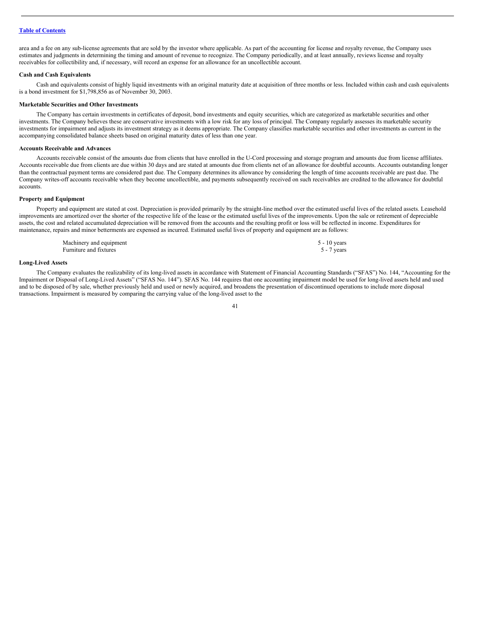area and a fee on any sub-license agreements that are sold by the investor where applicable. As part of the accounting for license and royalty revenue, the Company uses estimates and judgments in determining the timing and amount of revenue to recognize. The Company periodically, and at least annually, reviews license and royalty receivables for collectibility and, if necessary, will record an expense for an allowance for an uncollectible account.

#### **Cash and Cash Equivalents**

Cash and equivalents consist of highly liquid investments with an original maturity date at acquisition of three months or less. Included within cash and cash equivalents is a bond investment for \$1,798,856 as of November 30, 2003.

#### **Marketable Securities and Other Investments**

The Company has certain investments in certificates of deposit, bond investments and equity securities, which are categorized as marketable securities and other investments. The Company believes these are conservative investments with a low risk for any loss of principal. The Company regularly assesses its marketable security investments for impairment and adjusts its investment strategy as it deems appropriate. The Company classifies marketable securities and other investments as current in the accompanying consolidated balance sheets based on original maturity dates of less than one year.

#### **Accounts Receivable and Advances**

Accounts receivable consist of the amounts due from clients that have enrolled in the U-Cord processing and storage program and amounts due from license affiliates. Accounts receivable due from clients are due within 30 days and are stated at amounts due from clients net of an allowance for doubtful accounts. Accounts outstanding longer than the contractual payment terms are considered past due. The Company determines its allowance by considering the length of time accounts receivable are past due. The Company writes-off accounts receivable when they become uncollectible, and payments subsequently received on such receivables are credited to the allowance for doubtful accounts.

#### **Property and Equipment**

Property and equipment are stated at cost. Depreciation is provided primarily by the straight-line method over the estimated useful lives of the related assets. Leasehold improvements are amortized over the shorter of the respective life of the lease or the estimated useful lives of the improvements. Upon the sale or retirement of depreciable assets, the cost and related accumulated depreciation will be removed from the accounts and the resulting profit or loss will be reflected in income. Expenditures for maintenance, repairs and minor betterments are expensed as incurred. Estimated useful lives of property and equipment are as follows:

| Machinery and equipment | $5 - 10$ years |
|-------------------------|----------------|
| Furniture and fixtures  | $5 - 7$ years  |

## **Long-Lived Assets**

The Company evaluates the realizability of its long-lived assets in accordance with Statement of Financial Accounting Standards ("SFAS") No. 144, "Accounting for the Impairment or Disposal of Long-Lived Assets" ("SFAS No. 144"). SFAS No. 144 requires that one accounting impairment model be used for long-lived assets held and used and to be disposed of by sale, whether previously held and used or newly acquired, and broadens the presentation of discontinued operations to include more disposal transactions. Impairment is measured by comparing the carrying value of the long-lived asset to the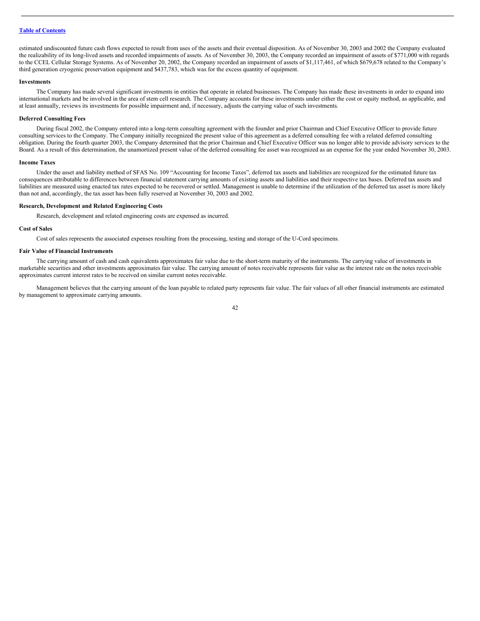estimated undiscounted future cash flows expected to result from uses of the assets and their eventual disposition. As of November 30, 2003 and 2002 the Company evaluated the realizability of its long-lived assets and recorded impairments of assets. As of November 30, 2003, the Company recorded an impairment of assets of \$771,000 with regards to the CCEL Cellular Storage Systems. As of November 20, 2002, the Company recorded an impairment of assets of \$1,117,461, of which \$679,678 related to the Company's third generation cryogenic preservation equipment and \$437,783, which was for the excess quantity of equipment.

#### **Investments**

The Company has made several significant investments in entities that operate in related businesses. The Company has made these investments in order to expand into international markets and be involved in the area of stem cell research. The Company accounts for these investments under either the cost or equity method, as applicable, and at least annually, reviews its investments for possible impairment and, if necessary, adjusts the carrying value of such investments.

#### **Deferred Consulting Fees**

During fiscal 2002, the Company entered into a long-term consulting agreement with the founder and prior Chairman and Chief Executive Officer to provide future consulting services to the Company. The Company initially recognized the present value of this agreement as a deferred consulting fee with a related deferred consulting obligation. During the fourth quarter 2003, the Company determined that the prior Chairman and Chief Executive Officer was no longer able to provide advisory services to the Board. As a result of this determination, the unamortized present value of the deferred consulting fee asset was recognized as an expense for the year ended November 30, 2003.

#### **Income Taxes**

Under the asset and liability method of SFAS No. 109 "Accounting for Income Taxes", deferred tax assets and liabilities are recognized for the estimated future tax consequences attributable to differences between financial statement carrying amounts of existing assets and liabilities and their respective tax bases. Deferred tax assets and liabilities are measured using enacted tax rates expected to be recovered or settled. Management is unable to determine if the utilization of the deferred tax asset is more likely than not and, accordingly, the tax asset has been fully reserved at November 30, 2003 and 2002.

#### **Research, Development and Related Engineering Costs**

Research, development and related engineering costs are expensed as incurred.

#### **Cost of Sales**

Cost of sales represents the associated expenses resulting from the processing, testing and storage of the U-Cord specimens.

#### **Fair Value of Financial Instruments**

The carrying amount of cash and cash equivalents approximates fair value due to the short-term maturity of the instruments. The carrying value of investments in marketable securities and other investments approximates fair value. The carrying amount of notes receivable represents fair value as the interest rate on the notes receivable approximates current interest rates to be received on similar current notes receivable.

Management believes that the carrying amount of the loan payable to related party represents fair value. The fair values of all other financial instruments are estimated by management to approximate carrying amounts.

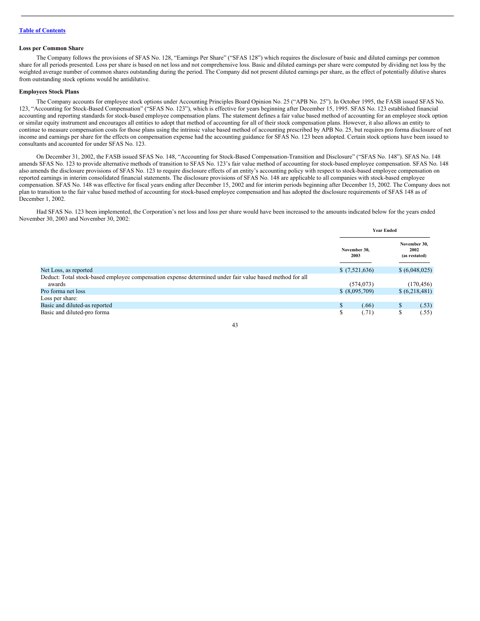#### **Loss per Common Share**

The Company follows the provisions of SFAS No. 128, "Earnings Per Share" ("SFAS 128") which requires the disclosure of basic and diluted earnings per common share for all periods presented. Loss per share is based on net loss and not comprehensive loss. Basic and diluted earnings per share were computed by dividing net loss by the weighted average number of common shares outstanding during the period. The Company did not present diluted earnings per share, as the effect of potentially dilutive shares from outstanding stock options would be antidilutive.

#### **Employees Stock Plans**

The Company accounts for employee stock options under Accounting Principles Board Opinion No. 25 ("APB No. 25"). In October 1995, the FASB issued SFAS No. 123, "Accounting for Stock-Based Compensation" ("SFAS No. 123"), which is effective for years beginning after December 15, 1995. SFAS No. 123 established financial accounting and reporting standards for stock-based employee compensation plans. The statement defines a fair value based method of accounting for an employee stock option or similar equity instrument and encourages all entities to adopt that method of accounting for all of their stock compensation plans. However, it also allows an entity to continue to measure compensation costs for those plans using the intrinsic value based method of accounting prescribed by APB No. 25, but requires pro forma disclosure of net income and earnings per share for the effects on compensation expense had the accounting guidance for SFAS No. 123 been adopted. Certain stock options have been issued to consultants and accounted for under SFAS No. 123.

On December 31, 2002, the FASB issued SFAS No. 148, "Accounting for Stock-Based Compensation-Transition and Disclosure" ("SFAS No. 148"). SFAS No. 148 amends SFAS No. 123 to provide alternative methods of transition to SFAS No. 123's fair value method of accounting for stock-based employee compensation. SFAS No. 148 also amends the disclosure provisions of SFAS No. 123 to require disclosure effects of an entity's accounting policy with respect to stock-based employee compensation on reported earnings in interim consolidated financial statements. The disclosure provisions of SFAS No. 148 are applicable to all companies with stock-based employee compensation. SFAS No. 148 was effective for fiscal years ending after December 15, 2002 and for interim periods beginning after December 15, 2002. The Company does not plan to transition to the fair value based method of accounting for stock-based employee compensation and has adopted the disclosure requirements of SFAS 148 as of December 1, 2002.

Had SFAS No. 123 been implemented, the Corporation's net loss and loss per share would have been increased to the amounts indicated below for the years ended November 30, 2003 and November 30, 2002:

|                                                                                                          | <b>Year Ended</b> |                      |    |                                       |
|----------------------------------------------------------------------------------------------------------|-------------------|----------------------|----|---------------------------------------|
|                                                                                                          |                   | November 30,<br>2003 |    | November 30.<br>2002<br>(as restated) |
| Net Loss, as reported                                                                                    |                   | (7,521,636)          |    | \$ (6,048,025)                        |
| Deduct: Total stock-based employee compensation expense determined under fair value based method for all |                   |                      |    |                                       |
| awards                                                                                                   |                   | (574, 073)           |    | (170, 456)                            |
| Pro forma net loss                                                                                       |                   | \$ (8,095,709)       |    | \$(6,218,481)                         |
| Loss per share:                                                                                          |                   |                      |    |                                       |
| Basic and diluted-as reported                                                                            |                   | (.66)                | \$ | (.53)                                 |
| Basic and diluted-pro forma                                                                              |                   | (.71)                |    | (.55)                                 |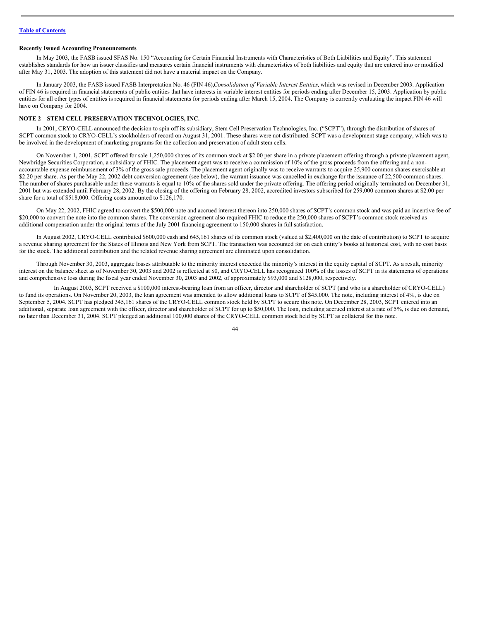#### **Recently Issued Accounting Pronouncements**

In May 2003, the FASB issued SFAS No. 150 "Accounting for Certain Financial Instruments with Characteristics of Both Liabilities and Equity". This statement establishes standards for how an issuer classifies and measures certain financial instruments with characteristics of both liabilities and equity that are entered into or modified after May 31, 2003. The adoption of this statement did not have a material impact on the Company.

In January 2003, the FASB issued FASB Interpretation No. 46 (FIN 46),*Consolidation of Variable Interest Entities,* which was revised in December 2003. Application of FIN 46 is required in financial statements of public entities that have interests in variable interest entities for periods ending after December 15, 2003. Application by public entities for all other types of entities is required in financial statements for periods ending after March 15, 2004. The Company is currently evaluating the impact FIN 46 will have on Company for 2004.

#### **NOTE 2 – STEM CELL PRESERVATION TECHNOLOGIES, INC.**

In 2001, CRYO-CELL announced the decision to spin off its subsidiary, Stem Cell Preservation Technologies, Inc. ("SCPT"), through the distribution of shares of SCPT common stock to CRYO-CELL's stockholders of record on August 31, 2001. These shares were not distributed. SCPT was a development stage company, which was to be involved in the development of marketing programs for the collection and preservation of adult stem cells.

On November 1, 2001, SCPT offered for sale 1,250,000 shares of its common stock at \$2.00 per share in a private placement offering through a private placement agent, Newbridge Securities Corporation, a subsidiary of FHIC. The placement agent was to receive a commission of 10% of the gross proceeds from the offering and a nonaccountable expense reimbursement of 3% of the gross sale proceeds. The placement agent originally was to receive warrants to acquire 25,900 common shares exercisable at \$2.20 per share. As per the May 22, 2002 debt conversion agreement (see below), the warrant issuance was cancelled in exchange for the issuance of 22,500 common shares. The number of shares purchasable under these warrants is equal to 10% of the shares sold under the private offering. The offering period originally terminated on December 31, 2001 but was extended until February 28, 2002. By the closing of the offering on February 28, 2002, accredited investors subscribed for 259,000 common shares at \$2.00 per share for a total of \$518,000. Offering costs amounted to \$126,170.

On May 22, 2002, FHIC agreed to convert the \$500,000 note and accrued interest thereon into 250,000 shares of SCPT's common stock and was paid an incentive fee of \$20,000 to convert the note into the common shares. The conversion agreement also required FHIC to reduce the 250,000 shares of SCPT's common stock received as additional compensation under the original terms of the July 2001 financing agreement to 150,000 shares in full satisfaction.

In August 2002, CRYO-CELL contributed \$600,000 cash and 645,161 shares of its common stock (valued at \$2,400,000 on the date of contribution) to SCPT to acquire a revenue sharing agreement for the States of Illinois and New York from SCPT. The transaction was accounted for on each entity's books at historical cost, with no cost basis for the stock. The additional contribution and the related revenue sharing agreement are eliminated upon consolidation.

Through November 30, 2003, aggregate losses attributable to the minority interest exceeded the minority's interest in the equity capital of SCPT. As a result, minority interest on the balance sheet as of November 30, 2003 and 2002 is reflected at \$0, and CRYO-CELL has recognized 100% of the losses of SCPT in its statements of operations and comprehensive loss during the fiscal year ended November 30, 2003 and 2002, of approximately \$93,000 and \$128,000, respectively.

In August 2003, SCPT received a \$100,000 interest-bearing loan from an officer, director and shareholder of SCPT (and who is a shareholder of CRYO-CELL) to fund its operations. On November 20, 2003, the loan agreement was amended to allow additional loans to SCPT of \$45,000. The note, including interest of 4%, is due on September 5, 2004. SCPT has pledged 345,161 shares of the CRYO-CELL common stock held by SCPT to secure this note. On December 28, 2003, SCPT entered into an additional, separate loan agreement with the officer, director and shareholder of SCPT for up to \$50,000. The loan, including accrued interest at a rate of 5%, is due on demand, no later than December 31, 2004. SCPT pledged an additional 100,000 shares of the CRYO-CELL common stock held by SCPT as collateral for this note.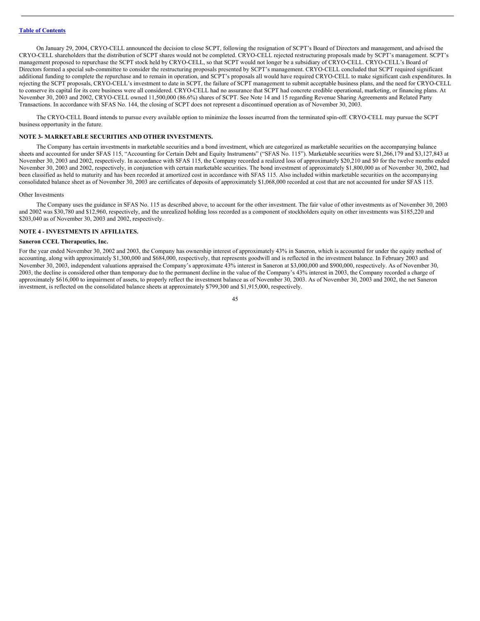On January 29, 2004, CRYO-CELL announced the decision to close SCPT, following the resignation of SCPT's Board of Directors and management, and advised the CRYO-CELL shareholders that the distribution of SCPT shares would not be completed. CRYO-CELL rejected restructuring proposals made by SCPT's management. SCPT's management proposed to repurchase the SCPT stock held by CRYO-CELL, so that SCPT would not longer be a subsidiary of CRYO-CELL. CRYO-CELL's Board of Directors formed a special sub-committee to consider the restructuring proposals presented by SCPT's management. CRYO-CELL concluded that SCPT required significant additional funding to complete the repurchase and to remain in operation, and SCPT's proposals all would have required CRYO-CELL to make significant cash expenditures. In rejecting the SCPT proposals, CRYO-CELL's investment to date in SCPT, the failure of SCPT management to submit acceptable business plans, and the need for CRYO-CELL to conserve its capital for its core business were all considered. CRYO-CELL had no assurance that SCPT had concrete credible operational, marketing, or financing plans. At November 30, 2003 and 2002, CRYO-CELL owned 11,500,000 (86.6%) shares of SCPT. See Note 14 and 15 regarding Revenue Sharing Agreements and Related Party Transactions. In accordance with SFAS No. 144, the closing of SCPT does not represent a discontinued operation as of November 30, 2003.

The CRYO-CELL Board intends to pursue every available option to minimize the losses incurred from the terminated spin-off. CRYO-CELL may pursue the SCPT business opportunity in the future.

## **NOTE 3- MARKETABLE SECURITIES AND OTHER INVESTMENTS.**

The Company has certain investments in marketable securities and a bond investment, which are categorized as marketable securities on the accompanying balance sheets and accounted for under SFAS 115, "Accounting for Certain Debt and Equity Instruments" ("SFAS No. 115"). Marketable securities were \$1,266,179 and \$3,127,843 at November 30, 2003 and 2002, respectively. In accordance with SFAS 115, the Company recorded a realized loss of approximately \$20,210 and \$0 for the twelve months ended November 30, 2003 and 2002, respectively, in conjunction with certain marketable securities. The bond investment of approximately \$1,800,000 as of November 30, 2002, had been classified as held to maturity and has been recorded at amortized cost in accordance with SFAS 115. Also included within marketable securities on the accompanying consolidated balance sheet as of November 30, 2003 are certificates of deposits of approximately \$1,068,000 recorded at cost that are not accounted for under SFAS 115.

#### Other Investments

The Company uses the guidance in SFAS No. 115 as described above, to account for the other investment. The fair value of other investments as of November 30, 2003 and 2002 was \$30,780 and \$12,960, respectively, and the unrealized holding loss recorded as a component of stockholders equity on other investments was \$185,220 and \$203,040 as of November 30, 2003 and 2002, respectively.

#### **NOTE 4 - INVESTMENTS IN AFFILIATES.**

#### **Saneron CCEL Therapeutics, Inc.**

For the year ended November 30, 2002 and 2003, the Company has ownership interest of approximately 43% in Saneron, which is accounted for under the equity method of accounting, along with approximately \$1,300,000 and \$684,000, respectively, that represents goodwill and is reflected in the investment balance. In February 2003 and November 30, 2003, independent valuations appraised the Company's approximate 43% interest in Saneron at \$3,000,000 and \$900,000, respectively. As of November 30, 2003, the decline is considered other than temporary due to the permanent decline in the value of the Company's 43% interest in 2003, the Company recorded a charge of approximately \$616,000 to impairment of assets, to properly reflect the investment balance as of November 30, 2003. As of November 30, 2003 and 2002, the net Saneron investment, is reflected on the consolidated balance sheets at approximately \$799,300 and \$1,915,000, respectively.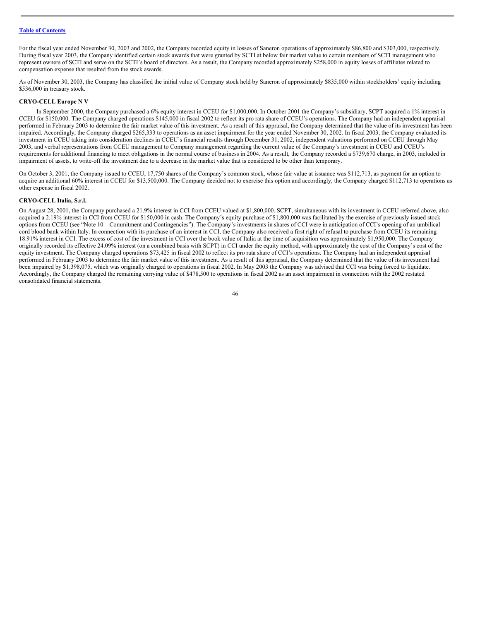For the fiscal year ended November 30, 2003 and 2002, the Company recorded equity in losses of Saneron operations of approximately \$86,800 and \$303,000, respectively. During fiscal year 2003, the Company identified certain stock awards that were granted by SCTI at below fair market value to certain members of SCTI management who represent owners of SCTI and serve on the SCTI's board of directors. As a result, the Company recorded approximately \$258,000 in equity losses of affiliates related to compensation expense that resulted from the stock awards.

As of November 30, 2003, the Company has classified the initial value of Company stock held by Saneron of approximately \$835,000 within stockholders' equity including \$536,000 in treasury stock.

#### **CRYO-CELL Europe N V**

In September 2000, the Company purchased a 6% equity interest in CCEU for \$1,000,000. In October 2001 the Company's subsidiary, SCPT acquired a 1% interest in CCEU for \$150,000. The Company charged operations \$145,000 in fiscal 2002 to reflect its pro rata share of CCEU's operations. The Company had an independent appraisal performed in February 2003 to determine the fair market value of this investment. As a result of this appraisal, the Company determined that the value of its investment has been impaired. Accordingly, the Company charged \$265,333 to operations as an asset impairment for the year ended November 30, 2002. In fiscal 2003, the Company evaluated its investment in CCEU taking into consideration declines in CCEU's financial results through December 31, 2002, independent valuations performed on CCEU through May 2003, and verbal representations from CCEU management to Company management regarding the current value of the Company's investment in CCEU and CCEU's requirements for additional financing to meet obligations in the normal course of business in 2004. As a result, the Company recorded a \$739,670 charge, in 2003, included in impairment of assets, to write-off the investment due to a decrease in the market value that is considered to be other than temporary.

On October 3, 2001, the Company issued to CCEU, 17,750 shares of the Company's common stock, whose fair value at issuance was \$112,713, as payment for an option to acquire an additional 60% interest in CCEU for \$13,500,000. The Company decided not to exercise this option and accordingly, the Company charged \$112,713 to operations as other expense in fiscal 2002.

#### **CRYO-CELL Italia, S.r.l.**

On August 28, 2001, the Company purchased a 21.9% interest in CCI from CCEU valued at \$1,800,000. SCPT, simultaneous with its investment in CCEU referred above, also acquired a 2.19% interest in CCI from CCEU for \$150,000 in cash. The Company's equity purchase of \$1,800,000 was facilitated by the exercise of previously issued stock options from CCEU (see "Note 10 – Commitment and Contingencies"). The Company's investments in shares of CCI were in anticipation of CCI's opening of an umbilical cord blood bank within Italy. In connection with its purchase of an interest in CCI, the Company also received a first right of refusal to purchase from CCEU its remaining 18.91% interest in CCI. The excess of cost of the investment in CCI over the book value of Italia at the time of acquisition was approximately \$1,950,000. The Company originally recorded its effective 24.09% interest (on a combined basis with SCPT) in CCI under the equity method, with approximately the cost of the Company's cost of the equity investment. The Company charged operations \$73,425 in fiscal 2002 to reflect its pro rata share of CCI's operations. The Company had an independent appraisal performed in February 2003 to determine the fair market value of this investment. As a result of this appraisal, the Company determined that the value of its investment had been impaired by \$1,398,075, which was originally charged to operations in fiscal 2002. In May 2003 the Company was advised that CCI was being forced to liquidate. Accordingly, the Company charged the remaining carrying value of \$478,500 to operations in fiscal 2002 as an asset impairment in connection with the 2002 restated consolidated financial statements.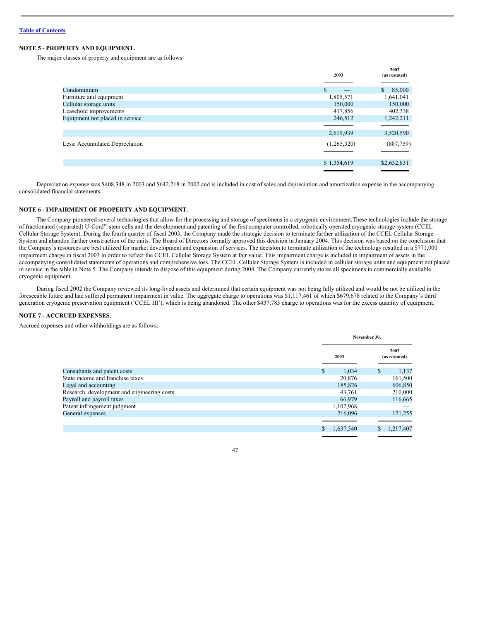# **NOTE 5 - PROPERTY AND EQUIPMENT.**

The major classes of property and equipment are as follows:

|                                 | 2003        | 2002<br>(as restated) |
|---------------------------------|-------------|-----------------------|
| Condominium                     | \$          | 85,000<br>\$          |
| Furniture and equipment         | 1,805,571   | 1,641,041             |
| Cellular storage units          | 150,000     | 150,000               |
| Leasehold improvements          | 417,856     | 402,338               |
| Equipment not placed in service | 246,512     | 1,242,211             |
|                                 |             |                       |
|                                 | 2,619,939   | 3,520,590             |
| Less: Accumulated Depreciation  | (1,265,320) | (887,759)             |
|                                 | \$1,354,619 | \$2,632,831           |
|                                 |             |                       |

Depreciation expense was \$408,348 in 2003 and \$642,218 in 2002 and is included in cost of sales and depreciation and amortization expense in the accompanying consolidated financial statements.

## **NOTE 6 - IMPAIRMENT OF PROPERTY AND EQUIPMENT.**

The Company pioneered several technologies that allow for the processing and storage of specimens in a cryogenic environment.These technologies include the storage of fractionated (separated) U-Cord™ stem cells and the development and patenting of the first computer controlled, robotically operated cryogenic storage system (CCEL Cellular Storage System). During the fourth quarter of fiscal 2003, the Company made the strategic decision to terminate further utilization of the CCEL Cellular Storage System and abandon further construction of the units. The Board of Directors formally approved this decision in January 2004. This decision was based on the conclusion that the Company's resources are best utilized for market development and expansion of services. The decision to terminate utilization of the technology resulted in a \$771,000 impairment charge in fiscal 2003 in order to reflect the CCEL Cellular Storage System at fair value. This impairment charge is included in impairment of assets in the accompanying consolidated statements of operations and comprehensive loss. The CCEL Cellular Storage System is included in cellular storage units and equipment not placed in service in the table in Note 5. The Company intends to dispose of this equipment during 2004. The Company currently stores all specimens in commercially available cryogenic equipment.

During fiscal 2002 the Company reviewed its long-lived assets and determined that certain equipment was not being fully utilized and would be not be utilized in the foreseeable future and had suffered permanent impairment in value. The aggregate charge to operations was \$1,117,461 of which \$679,678 related to the Company's third generation cryogenic preservation equipment ('CCEL III'), which is being abandoned. The other \$437,783 charge to operations was for the excess quantity of equipment.

## **NOTE 7 - ACCRUED EXPENSES.**

Accrued expenses and other withholdings are as follows:

|                                             |      | November 30, |                       |           |
|---------------------------------------------|------|--------------|-----------------------|-----------|
|                                             | 2003 |              | 2002<br>(as restated) |           |
| Consultants and patent costs                | S    | 1,034        | \$                    | 1,137     |
| State income and franchise taxes            |      | 20,876       |                       | 161,500   |
| Legal and accounting                        |      | 185,826      |                       | 606,850   |
| Research, development and engineering costs |      | 43.761       |                       | 210,000   |
| Payroll and payroll taxes                   |      | 66,979       |                       | 116,665   |
| Patent infringement judgment                |      | 1,102,968    |                       |           |
| General expenses                            |      | 216,096      |                       | 121,255   |
|                                             |      |              |                       |           |
|                                             | S    | 1,637,540    | S                     | 1,217,407 |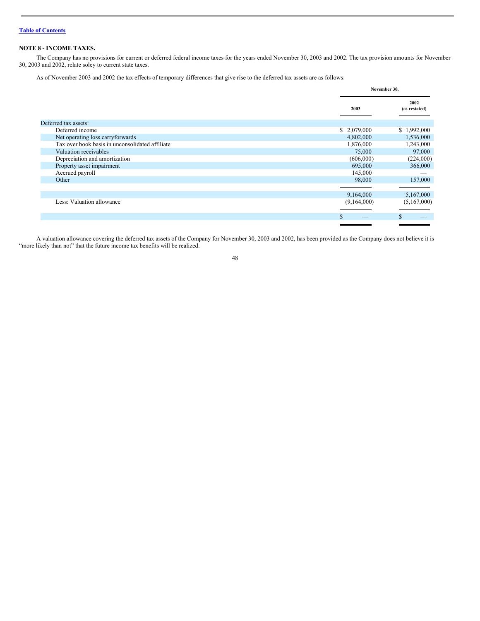## **NOTE 8 - INCOME TAXES.**

The Company has no provisions for current or deferred federal income taxes for the years ended November 30, 2003 and 2002. The tax provision amounts for November 30, 2003 and 2002, relate soley to current state taxes.

As of November 2003 and 2002 the tax effects of temporary differences that give rise to the deferred tax assets are as follows:

|                                                 |              | November 30,          |
|-------------------------------------------------|--------------|-----------------------|
|                                                 | 2003         | 2002<br>(as restated) |
| Deferred tax assets:                            |              |                       |
| Deferred income                                 | \$ 2,079,000 | \$1,992,000           |
| Net operating loss carryforwards                | 4,802,000    | 1,536,000             |
| Tax over book basis in unconsolidated affiliate | 1,876,000    | 1,243,000             |
| Valuation receivables                           | 75,000       | 97,000                |
| Depreciation and amortization                   | (606,000)    | (224,000)             |
| Property asset impairment                       | 695,000      | 366,000               |
| Accrued payroll                                 | 145,000      |                       |
| Other                                           | 98,000       | 157,000               |
|                                                 |              |                       |
|                                                 | 9,164,000    | 5,167,000             |
| Less: Valuation allowance                       | (9,164,000)  | (5,167,000)           |
|                                                 |              |                       |
|                                                 |              | \$                    |
|                                                 |              |                       |

A valuation allowance covering the deferred tax assets of the Company for November 30, 2003 and 2002, has been provided as the Company does not believe it is "more likely than not" that the future income tax benefits will be realized.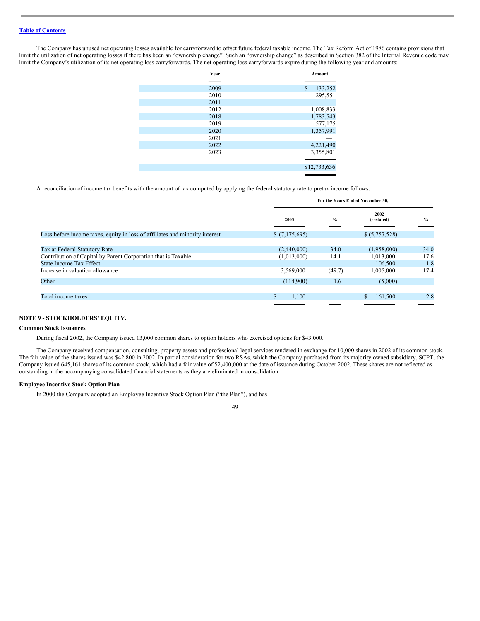The Company has unused net operating losses available for carryforward to offset future federal taxable income. The Tax Reform Act of 1986 contains provisions that limit the utilization of net operating losses if there has been an "ownership change". Such an "ownership change" as described in Section 382 of the Internal Revenue code may limit the Company's utilization of its net operating loss carryforwards. The net operating loss carryforwards expire during the following year and amounts:

| Year | Amount       |
|------|--------------|
|      |              |
| 2009 | S<br>133,252 |
| 2010 | 295,551      |
| 2011 |              |
| 2012 | 1,008,833    |
| 2018 | 1,783,543    |
| 2019 | 577,175      |
| 2020 | 1,357,991    |
| 2021 |              |
| 2022 | 4,221,490    |
| 2023 | 3,355,801    |
|      |              |
|      | \$12,733,636 |
|      |              |

A reconciliation of income tax benefits with the amount of tax computed by applying the federal statutory rate to pretax income follows:

|                                                                              |                   | For the Years Ended November 30, |                    |               |
|------------------------------------------------------------------------------|-------------------|----------------------------------|--------------------|---------------|
|                                                                              | 2003              | $\frac{9}{0}$                    | 2002<br>(restated) | $\frac{0}{0}$ |
| Loss before income taxes, equity in loss of affiliates and minority interest | \$(7,175,695)     |                                  | \$ (5,757,528)     |               |
|                                                                              |                   |                                  |                    |               |
| Tax at Federal Statutory Rate                                                | (2,440,000)       | 34.0                             | (1,958,000)        | 34.0          |
| Contribution of Capital by Parent Corporation that is Taxable                | (1,013,000)       | 14.1                             | 1,013,000          | 17.6          |
| <b>State Income Tax Effect</b>                                               |                   |                                  | 106,500            | 1.8           |
| Increase in valuation allowance                                              | 3,569,000         | (49.7)                           | 1,005,000          | 17.4          |
| Other                                                                        | (114,900)         | 1.6                              | (5,000)            |               |
|                                                                              |                   |                                  |                    |               |
| Total income taxes                                                           | 1,100<br><b>S</b> |                                  | 161.500<br>S       | 2.8           |
|                                                                              |                   |                                  |                    |               |

#### **NOTE 9 - STOCKHOLDERS' EQUITY.**

#### **Common Stock Issuances**

During fiscal 2002, the Company issued 13,000 common shares to option holders who exercised options for \$43,000.

The Company received compensation, consulting, property assets and professional legal services rendered in exchange for 10,000 shares in 2002 of its common stock. The fair value of the shares issued was \$42,800 in 2002. In partial consideration for two RSAs, which the Company purchased from its majority owned subsidiary, SCPT, the Company issued 645,161 shares of its common stock, which had a fair value of \$2,400,000 at the date of issuance during October 2002. These shares are not reflected as outstanding in the accompanying consolidated financial statements as they are eliminated in consolidation.

## **Employee Incentive Stock Option Plan**

In 2000 the Company adopted an Employee Incentive Stock Option Plan ("the Plan"), and has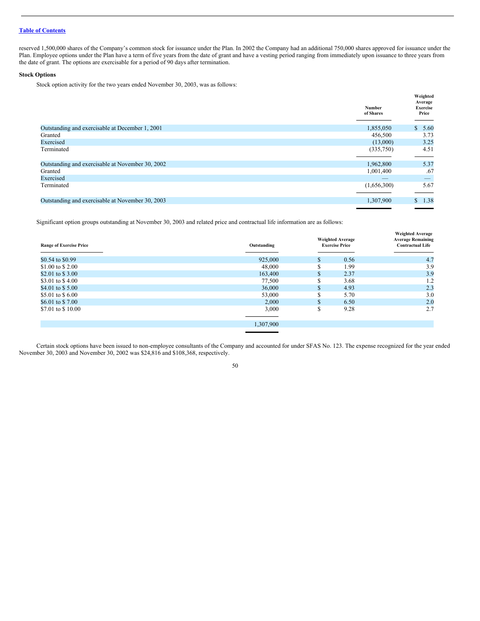reserved 1,500,000 shares of the Company's common stock for issuance under the Plan. In 2002 the Company had an additional 750,000 shares approved for issuance under the Plan. Employee options under the Plan have a term of five years from the date of grant and have a vesting period ranging from immediately upon issuance to three years from the date of grant. The options are exercisable for a period of 90 days after termination.

**Weighted**

## **Stock Options**

Stock option activity for the two years ended November 30, 2003, was as follows:

|                                                  | Number<br>of Shares | weighted<br>Average<br><b>Exercise</b><br>Price |
|--------------------------------------------------|---------------------|-------------------------------------------------|
| Outstanding and exercisable at December 1, 2001  | 1,855,050           | 5.60<br>S.                                      |
| Granted                                          | 456,500             | 3.73                                            |
| Exercised                                        | (13,000)            | 3.25                                            |
| Terminated                                       | (335,750)           | 4.51                                            |
| Outstanding and exercisable at November 30, 2002 | 1,962,800           | 5.37                                            |
| Granted                                          | 1,001,400           | .67                                             |
| Exercised                                        |                     | $\hspace{0.1mm}-\hspace{0.1mm}$                 |
| Terminated                                       | (1,656,300)         | 5.67                                            |
| Outstanding and exercisable at November 30, 2003 | 1,307,900           | \$1.38                                          |

Significant option groups outstanding at November 30, 2003 and related price and contractual life information are as follows:

| <b>Range of Exercise Price</b> | Outstanding |     | <b>Weighted Average</b><br><b>Exercise Price</b> | <b>Weighted Average</b><br><b>Average Remaining</b><br><b>Contractual Life</b> |
|--------------------------------|-------------|-----|--------------------------------------------------|--------------------------------------------------------------------------------|
| \$0.54 to \$0.99               | 925,000     | \$. | 0.56                                             | 4.7                                                                            |
| \$1.00 to \$2.00               | 48,000      |     | 1.99                                             | 3.9                                                                            |
| \$2.01 to \$3.00               | 163,400     | \$. | 2.37                                             | 3.9                                                                            |
| \$3.01 to \$4.00               | 77,500      |     | 3.68                                             | 1.2                                                                            |
| \$4.01 to \$5.00               | 36,000      | \$. | 4.93                                             | 2.3                                                                            |
| \$5.01 to \$6.00               | 53,000      |     | 5.70                                             | 3.0                                                                            |
| \$6.01 to \$7.00               | 2,000       |     | 6.50                                             | 2.0                                                                            |
| \$7.01 to \$10.00              | 3,000       | S   | 9.28                                             | 2.7                                                                            |
|                                |             |     |                                                  |                                                                                |
|                                | 1,307,900   |     |                                                  |                                                                                |
|                                |             |     |                                                  |                                                                                |

Certain stock options have been issued to non-employee consultants of the Company and accounted for under SFAS No. 123. The expense recognized for the year ended November 30, 2003 and November 30, 2002 was \$24,816 and \$108,368, respectively.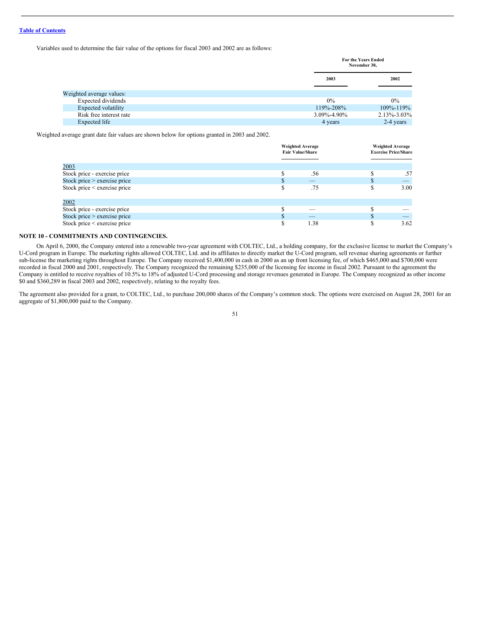Variables used to determine the fair value of the options for fiscal 2003 and 2002 are as follows:

|                          |             | For the Years Ended<br>November 30, |  |
|--------------------------|-------------|-------------------------------------|--|
|                          | 2003        | 2002                                |  |
| Weighted average values: |             |                                     |  |
| Expected dividends       | $0\%$       | $0\%$                               |  |
| Expected volatility      | 119%-208%   | 109%-119%                           |  |
| Risk free interest rate  | 3.09%-4.90% | $2.13\% - 3.03\%$                   |  |
| Expected life            | 4 years     | 2-4 years                           |  |

Weighted average grant date fair values are shown below for options granted in 2003 and 2002.

|                                | <b>Weighted Average</b><br><b>Fair Value/Share</b> | <b>Weighted Average</b><br><b>Exercise Price/Share</b> |
|--------------------------------|----------------------------------------------------|--------------------------------------------------------|
| 2003                           |                                                    |                                                        |
| Stock price - exercise price   | .56                                                | .57                                                    |
| Stock price > exercise price   | _                                                  |                                                        |
| Stock price < exercise price   | .75                                                | 3.00                                                   |
| 2002                           |                                                    |                                                        |
| Stock price - exercise price   |                                                    |                                                        |
| Stock price $>$ exercise price |                                                    |                                                        |
| Stock price < exercise price   | 1.38                                               | 3.62                                                   |

## **NOTE 10 - COMMITMENTS AND CONTINGENCIES.**

On April 6, 2000, the Company entered into a renewable two-year agreement with COLTEC, Ltd., a holding company, for the exclusive license to market the Company's U-Cord program in Europe. The marketing rights allowed COLTEC, Ltd. and its affiliates to directly market the U-Cord program, sell revenue sharing agreements or further sub-license the marketing rights throughout Europe. The Company received \$1,400,000 in cash in 2000 as an up front licensing fee, of which \$465,000 and \$700,000 were recorded in fiscal 2000 and 2001, respectively. The Company recognized the remaining \$235,000 of the licensing fee income in fiscal 2002. Pursuant to the agreement the Company is entitled to receive royalties of 10.5% to 18% of adjusted U-Cord processing and storage revenues generated in Europe. The Company recognized as other income \$0 and \$360,289 in fiscal 2003 and 2002, respectively, relating to the royalty fees.

The agreement also provided for a grant, to COLTEC, Ltd., to purchase 200,000 shares of the Company's common stock. The options were exercised on August 28, 2001 for an aggregate of \$1,800,000 paid to the Company.

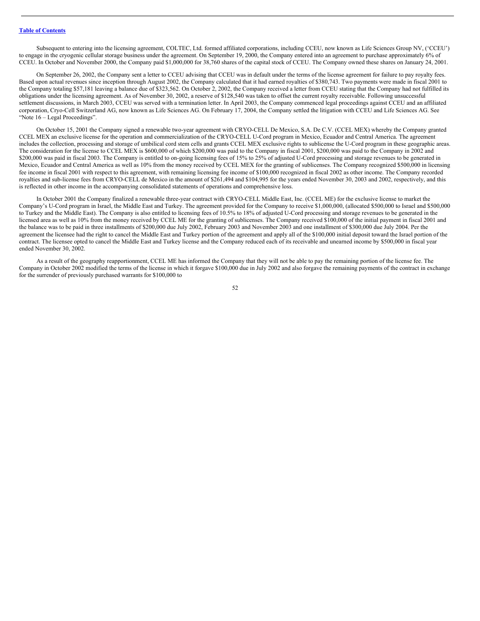Subsequent to entering into the licensing agreement, COLTEC, Ltd. formed affiliated corporations, including CCEU, now known as Life Sciences Group NV, ('CCEU') to engage in the cryogenic cellular storage business under the agreement. On September 19, 2000, the Company entered into an agreement to purchase approximately 6% of CCEU. In October and November 2000, the Company paid \$1,000,000 for 38,760 shares of the capital stock of CCEU. The Company owned these shares on January 24, 2001.

On September 26, 2002, the Company sent a letter to CCEU advising that CCEU was in default under the terms of the license agreement for failure to pay royalty fees. Based upon actual revenues since inception through August 2002, the Company calculated that it had earned royalties of \$380,743. Two payments were made in fiscal 2001 to the Company totaling \$57,181 leaving a balance due of \$323,562. On October 2, 2002, the Company received a letter from CCEU stating that the Company had not fulfilled its obligations under the licensing agreement. As of November 30, 2002, a reserve of \$128,540 was taken to offset the current royalty receivable. Following unsuccessful settlement discussions, in March 2003, CCEU was served with a termination letter. In April 2003, the Company commenced legal proceedings against CCEU and an affiliated corporation, Cryo-Cell Switzerland AG, now known as Life Sciences AG. On February 17, 2004, the Company settled the litigation with CCEU and Life Sciences AG. See "Note 16 – Legal Proceedings".

On October 15, 2001 the Company signed a renewable two-year agreement with CRYO-CELL De Mexico, S.A. De C.V. (CCEL MEX) whereby the Company granted CCEL MEX an exclusive license for the operation and commercialization of the CRYO-CELL U-Cord program in Mexico, Ecuador and Central America. The agreement includes the collection, processing and storage of umbilical cord stem cells and grants CCEL MEX exclusive rights to sublicense the U-Cord program in these geographic areas. The consideration for the license to CCEL MEX is \$600,000 of which \$200,000 was paid to the Company in fiscal 2001, \$200,000 was paid to the Company in 2002 and \$200,000 was paid in fiscal 2003. The Company is entitled to on-going licensing fees of 15% to 25% of adjusted U-Cord processing and storage revenues to be generated in Mexico, Ecuador and Central America as well as 10% from the money received by CCEL MEX for the granting of sublicenses. The Company recognized \$500,000 in licensing fee income in fiscal 2001 with respect to this agreement, with remaining licensing fee income of \$100,000 recognized in fiscal 2002 as other income. The Company recorded royalties and sub-license fees from CRYO-CELL de Mexico in the amount of \$261,494 and \$104,995 for the years ended November 30, 2003 and 2002, respectively, and this is reflected in other income in the accompanying consolidated statements of operations and comprehensive loss.

In October 2001 the Company finalized a renewable three-year contract with CRYO-CELL Middle East, Inc. (CCEL ME) for the exclusive license to market the Company's U-Cord program in Israel, the Middle East and Turkey. The agreement provided for the Company to receive \$1,000,000, (allocated \$500,000 to Israel and \$500,000 to Turkey and the Middle East). The Company is also entitled to licensing fees of 10.5% to 18% of adjusted U-Cord processing and storage revenues to be generated in the licensed area as well as 10% from the money received by CCEL ME for the granting of sublicenses. The Company received \$100,000 of the initial payment in fiscal 2001 and the balance was to be paid in three installments of \$200,000 due July 2002, February 2003 and November 2003 and one installment of \$300,000 due July 2004. Per the agreement the licensee had the right to cancel the Middle East and Turkey portion of the agreement and apply all of the \$100,000 initial deposit toward the Israel portion of the contract. The licensee opted to cancel the Middle East and Turkey license and the Company reduced each of its receivable and unearned income by \$500,000 in fiscal year ended November 30, 2002.

As a result of the geography reapportionment, CCEL ME has informed the Company that they will not be able to pay the remaining portion of the license fee. The Company in October 2002 modified the terms of the license in which it forgave \$100,000 due in July 2002 and also forgave the remaining payments of the contract in exchange for the surrender of previously purchased warrants for \$100,000 to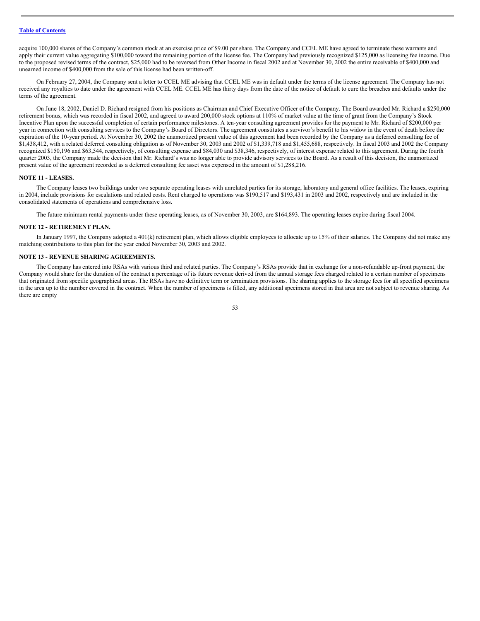acquire 100,000 shares of the Company's common stock at an exercise price of \$9.00 per share. The Company and CCEL ME have agreed to terminate these warrants and apply their current value aggregating \$100,000 toward the remaining portion of the license fee. The Company had previously recognized \$125,000 as licensing fee income. Due to the proposed revised terms of the contract, \$25,000 had to be reversed from Other Income in fiscal 2002 and at November 30, 2002 the entire receivable of \$400,000 and unearned income of \$400,000 from the sale of this license had been written-off.

On February 27, 2004, the Company sent a letter to CCEL ME advising that CCEL ME was in default under the terms of the license agreement. The Company has not received any royalties to date under the agreement with CCEL ME. CCEL ME has thirty days from the date of the notice of default to cure the breaches and defaults under the terms of the agreement.

On June 18, 2002, Daniel D. Richard resigned from his positions as Chairman and Chief Executive Officer of the Company. The Board awarded Mr. Richard a \$250,000 retirement bonus, which was recorded in fiscal 2002, and agreed to award 200,000 stock options at 110% of market value at the time of grant from the Company's Stock Incentive Plan upon the successful completion of certain performance milestones. A ten-year consulting agreement provides for the payment to Mr. Richard of \$200,000 per year in connection with consulting services to the Company's Board of Directors. The agreement constitutes a survivor's benefit to his widow in the event of death before the expiration of the 10-year period. At November 30, 2002 the unamortized present value of this agreement had been recorded by the Company as a deferred consulting fee of \$1,438,412, with a related deferred consulting obligation as of November 30, 2003 and 2002 of \$1,339,718 and \$1,455,688, respectively. In fiscal 2003 and 2002 the Company recognized \$150,196 and \$63,544, respectively, of consulting expense and \$84,030 and \$38,346, respectively, of interest expense related to this agreement. During the fourth quarter 2003, the Company made the decision that Mr. Richard's was no longer able to provide advisory services to the Board. As a result of this decision, the unamortized present value of the agreement recorded as a deferred consulting fee asset was expensed in the amount of \$1,288,216.

#### **NOTE 11 - LEASES.**

The Company leases two buildings under two separate operating leases with unrelated parties for its storage, laboratory and general office facilities. The leases, expiring in 2004, include provisions for escalations and related costs. Rent charged to operations was \$190,517 and \$193,431 in 2003 and 2002, respectively and are included in the consolidated statements of operations and comprehensive loss.

The future minimum rental payments under these operating leases, as of November 30, 2003, are \$164,893. The operating leases expire during fiscal 2004.

#### **NOTE 12 - RETIREMENT PLAN.**

In January 1997, the Company adopted a 401(k) retirement plan, which allows eligible employees to allocate up to 15% of their salaries. The Company did not make any matching contributions to this plan for the year ended November 30, 2003 and 2002.

## **NOTE 13 - REVENUE SHARING AGREEMENTS.**

The Company has entered into RSAs with various third and related parties. The Company's RSAs provide that in exchange for a non-refundable up-front payment, the Company would share for the duration of the contract a percentage of its future revenue derived from the annual storage fees charged related to a certain number of specimens that originated from specific geographical areas. The RSAs have no definitive term or termination provisions. The sharing applies to the storage fees for all specified specimens in the area up to the number covered in the contract. When the number of specimens is filled, any additional specimens stored in that area are not subject to revenue sharing. As there are empty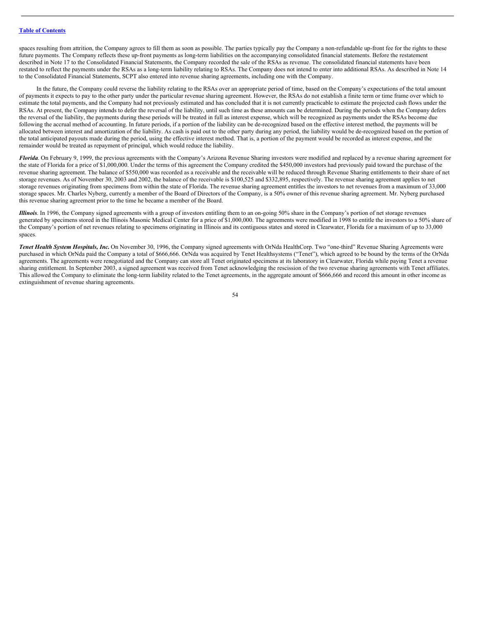spaces resulting from attrition, the Company agrees to fill them as soon as possible. The parties typically pay the Company a non-refundable up-front fee for the rights to these future payments. The Company reflects these up-front payments as long-term liabilities on the accompanying consolidated financial statements. Before the restatement described in Note 17 to the Consolidated Financial Statements, the Company recorded the sale of the RSAs as revenue. The consolidated financial statements have been restated to reflect the payments under the RSAs as a long-term liability relating to RSAs. The Company does not intend to enter into additional RSAs. As described in Note 14 to the Consolidated Financial Statements, SCPT also entered into revenue sharing agreements, including one with the Company.

In the future, the Company could reverse the liability relating to the RSAs over an appropriate period of time, based on the Company's expectations of the total amount of payments it expects to pay to the other party under the particular revenue sharing agreement. However, the RSAs do not establish a finite term or time frame over which to estimate the total payments, and the Company had not previously estimated and has concluded that it is not currently practicable to estimate the projected cash flows under the RSAs. At present, the Company intends to defer the reversal of the liability, until such time as these amounts can be determined. During the periods when the Company defers the reversal of the liability, the payments during these periods will be treated in full as interest expense, which will be recognized as payments under the RSAs become due following the accrual method of accounting. In future periods, if a portion of the liability can be de-recognized based on the effective interest method, the payments will be allocated between interest and amortization of the liability. As cash is paid out to the other party during any period, the liability would be de-recognized based on the portion of the total anticipated payouts made during the period, using the effective interest method. That is, a portion of the payment would be recorded as interest expense, and the remainder would be treated as repayment of principal, which would reduce the liability.

*Florida*. On February 9, 1999, the previous agreements with the Company's Arizona Revenue Sharing investors were modified and replaced by a revenue sharing agreement for the state of Florida for a price of \$1,000,000. Under the terms of this agreement the Company credited the \$450,000 investors had previously paid toward the purchase of the revenue sharing agreement. The balance of \$550,000 was recorded as a receivable and the receivable will be reduced through Revenue Sharing entitlements to their share of net storage revenues. As of November 30, 2003 and 2002, the balance of the receivable is \$100,525 and \$332,895, respectively. The revenue sharing agreement applies to net storage revenues originating from specimens from within the state of Florida. The revenue sharing agreement entitles the investors to net revenues from a maximum of 33,000 storage spaces. Mr. Charles Nyberg, currently a member of the Board of Directors of the Company, is a 50% owner of this revenue sharing agreement. Mr. Nyberg purchased this revenue sharing agreement prior to the time he became a member of the Board.

*Illinois*. In 1996, the Company signed agreements with a group of investors entitling them to an on-going 50% share in the Company's portion of net storage revenues generated by specimens stored in the Illinois Masonic Medical Center for a price of \$1,000,000. The agreements were modified in 1998 to entitle the investors to a 50% share of the Company's portion of net revenues relating to specimens originating in Illinois and its contiguous states and stored in Clearwater, Florida for a maximum of up to 33,000 spaces.

*Tenet Health System Hospitals, Inc.* On November 30, 1996, the Company signed agreements with OrNda HealthCorp. Two "one-third" Revenue Sharing Agreements were purchased in which OrNda paid the Company a total of \$666,666. OrNda was acquired by Tenet Healthsystems ("Tenet"), which agreed to be bound by the terms of the OrNda agreements. The agreements were renegotiated and the Company can store all Tenet originated specimens at its laboratory in Clearwater, Florida while paying Tenet a revenue sharing entitlement. In September 2003, a signed agreement was received from Tenet acknowledging the rescission of the two revenue sharing agreements with Tenet affiliates. This allowed the Company to eliminate the long-term liability related to the Tenet agreements, in the aggregate amount of \$666,666 and record this amount in other income as extinguishment of revenue sharing agreements.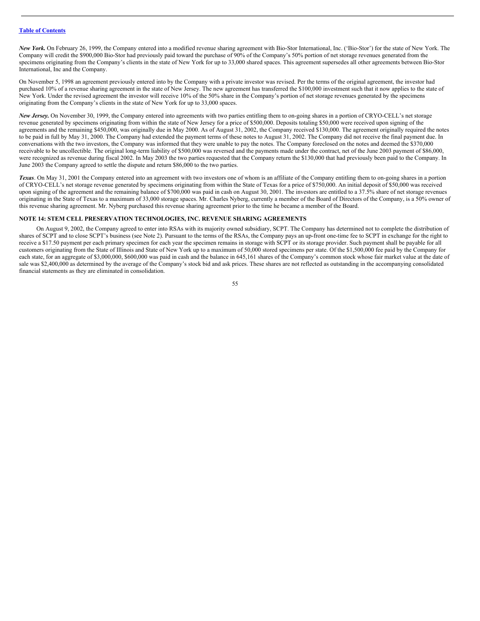*New York*. On February 26, 1999, the Company entered into a modified revenue sharing agreement with Bio-Stor International, Inc. ('Bio-Stor') for the state of New York. The Company will credit the \$900,000 Bio-Stor had previously paid toward the purchase of 90% of the Company's 50% portion of net storage revenues generated from the specimens originating from the Company's clients in the state of New York for up to 33,000 shared spaces. This agreement supersedes all other agreements between Bio-Stor International, Inc and the Company.

On November 5, 1998 an agreement previously entered into by the Company with a private investor was revised. Per the terms of the original agreement, the investor had purchased 10% of a revenue sharing agreement in the state of New Jersey. The new agreement has transferred the \$100,000 investment such that it now applies to the state of New York. Under the revised agreement the investor will receive 10% of the 50% share in the Company's portion of net storage revenues generated by the specimens originating from the Company's clients in the state of New York for up to 33,000 spaces.

*New Jersey.* On November 30, 1999, the Company entered into agreements with two parties entitling them to on-going shares in a portion of CRYO-CELL's net storage revenue generated by specimens originating from within the state of New Jersey for a price of \$500,000. Deposits totaling \$50,000 were received upon signing of the agreements and the remaining \$450,000, was originally due in May 2000. As of August 31, 2002, the Company received \$130,000. The agreement originally required the notes to be paid in full by May 31, 2000. The Company had extended the payment terms of these notes to August 31, 2002. The Company did not receive the final payment due. In conversations with the two investors, the Company was informed that they were unable to pay the notes. The Company foreclosed on the notes and deemed the \$370,000 receivable to be uncollectible. The original long-term liability of \$500,000 was reversed and the payments made under the contract, net of the June 2003 payment of \$86,000, were recognized as revenue during fiscal 2002. In May 2003 the two parties requested that the Company return the \$130,000 that had previously been paid to the Company. In June 2003 the Company agreed to settle the dispute and return \$86,000 to the two parties.

*Texas*. On May 31, 2001 the Company entered into an agreement with two investors one of whom is an affiliate of the Company entitling them to on-going shares in a portion of CRYO-CELL's net storage revenue generated by specimens originating from within the State of Texas for a price of \$750,000. An initial deposit of \$50,000 was received upon signing of the agreement and the remaining balance of \$700,000 was paid in cash on August 30, 2001. The investors are entitled to a 37.5% share of net storage revenues originating in the State of Texas to a maximum of 33,000 storage spaces. Mr. Charles Nyberg, currently a member of the Board of Directors of the Company, is a 50% owner of this revenue sharing agreement. Mr. Nyberg purchased this revenue sharing agreement prior to the time he became a member of the Board.

#### **NOTE 14: STEM CELL PRESERVATION TECHNOLOGIES, INC. REVENUE SHARING AGREEMENTS**

On August 9, 2002, the Company agreed to enter into RSAs with its majority owned subsidiary, SCPT. The Company has determined not to complete the distribution of shares of SCPT and to close SCPT's business (see Note 2). Pursuant to the terms of the RSAs, the Company pays an up-front one-time fee to SCPT in exchange for the right to receive a \$17.50 payment per each primary specimen for each year the specimen remains in storage with SCPT or its storage provider. Such payment shall be payable for all customers originating from the State of Illinois and State of New York up to a maximum of 50,000 stored specimens per state. Of the \$1,500,000 fee paid by the Company for each state, for an aggregate of \$3,000,000, \$600,000 was paid in cash and the balance in 645,161 shares of the Company's common stock whose fair market value at the date of sale was \$2,400,000 as determined by the average of the Company's stock bid and ask prices. These shares are not reflected as outstanding in the accompanying consolidated financial statements as they are eliminated in consolidation.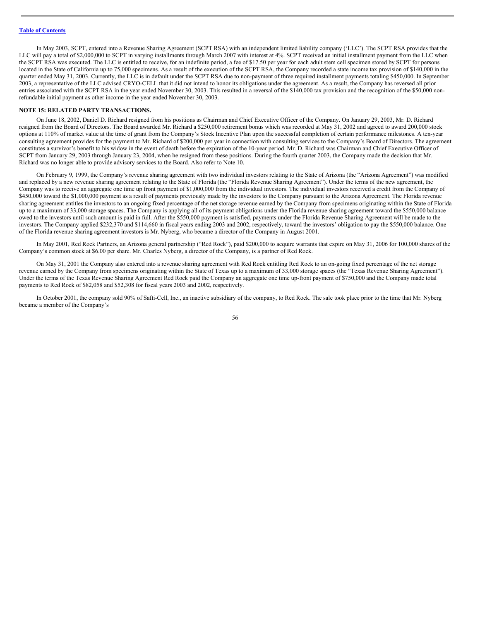In May 2003, SCPT, entered into a Revenue Sharing Agreement (SCPT RSA) with an independent limited liability company ('LLC'). The SCPT RSA provides that the LLC will pay a total of \$2,000,000 to SCPT in varying installments through March 2007 with interest at 4%. SCPT received an initial installment payment from the LLC when the SCPT RSA was executed. The LLC is entitled to receive, for an indefinite period, a fee of \$17.50 per year for each adult stem cell specimen stored by SCPT for persons located in the State of California up to 75,000 specimens. As a result of the execution of the SCPT RSA, the Company recorded a state income tax provision of \$140,000 in the quarter ended May 31, 2003. Currently, the LLC is in default under the SCPT RSA due to non-payment of three required installment payments totaling \$450,000. In September 2003, a representative of the LLC advised CRYO-CELL that it did not intend to honor its obligations under the agreement. As a result, the Company has reversed all prior entries associated with the SCPT RSA in the year ended November 30, 2003. This resulted in a reversal of the \$140,000 tax provision and the recognition of the \$50,000 nonrefundable initial payment as other income in the year ended November 30, 2003.

## **NOTE 15: RELATED PARTY TRANSACTIONS.**

On June 18, 2002, Daniel D. Richard resigned from his positions as Chairman and Chief Executive Officer of the Company. On January 29, 2003, Mr. D. Richard resigned from the Board of Directors. The Board awarded Mr. Richard a \$250,000 retirement bonus which was recorded at May 31, 2002 and agreed to award 200,000 stock options at 110% of market value at the time of grant from the Company's Stock Incentive Plan upon the successful completion of certain performance milestones. A ten-year consulting agreement provides for the payment to Mr. Richard of \$200,000 per year in connection with consulting services to the Company's Board of Directors. The agreement constitutes a survivor's benefit to his widow in the event of death before the expiration of the 10-year period. Mr. D. Richard was Chairman and Chief Executive Officer of SCPT from January 29, 2003 through January 23, 2004, when he resigned from these positions. During the fourth quarter 2003, the Company made the decision that Mr. Richard was no longer able to provide advisory services to the Board. Also refer to Note 10.

On February 9, 1999, the Company's revenue sharing agreement with two individual investors relating to the State of Arizona (the "Arizona Agreement") was modified and replaced by a new revenue sharing agreement relating to the State of Florida (the "Florida Revenue Sharing Agreement"). Under the terms of the new agreement, the Company was to receive an aggregate one time up front payment of \$1,000,000 from the individual investors. The individual investors received a credit from the Company of \$450,000 toward the \$1,000,000 payment as a result of payments previously made by the investors to the Company pursuant to the Arizona Agreement. The Florida revenue sharing agreement entitles the investors to an ongoing fixed percentage of the net storage revenue earned by the Company from specimens originating within the State of Florida up to a maximum of 33,000 storage spaces. The Company is applying all of its payment obligations under the Florida revenue sharing agreement toward the \$550,000 balance owed to the investors until such amount is paid in full. After the \$550,000 payment is satisfied, payments under the Florida Revenue Sharing Agreement will be made to the investors. The Company applied \$232,370 and \$114,660 in fiscal years ending 2003 and 2002, respectively, toward the investors' obligation to pay the \$550,000 balance. One of the Florida revenue sharing agreement investors is Mr. Nyberg, who became a director of the Company in August 2001.

In May 2001, Red Rock Partners, an Arizona general partnership ("Red Rock"), paid \$200,000 to acquire warrants that expire on May 31, 2006 for 100,000 shares of the Company's common stock at \$6.00 per share. Mr. Charles Nyberg, a director of the Company, is a partner of Red Rock.

On May 31, 2001 the Company also entered into a revenue sharing agreement with Red Rock entitling Red Rock to an on-going fixed percentage of the net storage revenue earned by the Company from specimens originating within the State of Texas up to a maximum of 33,000 storage spaces (the "Texas Revenue Sharing Agreement"). Under the terms of the Texas Revenue Sharing Agreement Red Rock paid the Company an aggregate one time up-front payment of \$750,000 and the Company made total payments to Red Rock of \$82,058 and \$52,308 for fiscal years 2003 and 2002, respectively.

In October 2001, the company sold 90% of Safti-Cell, Inc., an inactive subsidiary of the company, to Red Rock. The sale took place prior to the time that Mr. Nyberg became a member of the Company's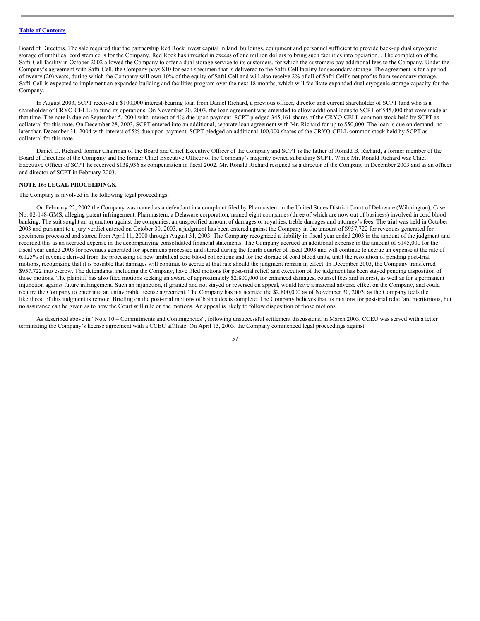Board of Directors. The sale required that the partnership Red Rock invest capital in land, buildings, equipment and personnel sufficient to provide back-up dual cryogenic storage of umbilical cord stem cells for the Company. Red Rock has invested in excess of one million dollars to bring such facilities into operation. . The completion of the Safti-Cell facility in October 2002 allowed the Company to offer a dual storage service to its customers, for which the customers pay additional fees to the Company. Under the Company's agreement with Safti-Cell, the Company pays \$10 for each specimen that is delivered to the Safti-Cell facility for secondary storage. The agreement is for a period of twenty (20) years, during which the Company will own 10% of the equity of Safti-Cell and will also receive 2% of all of Safti-Cell's net profits from secondary storage. Safti-Cell is expected to implement an expanded building and facilities program over the next 18 months, which will facilitate expanded dual cryogenic storage capacity for the Company.

In August 2003, SCPT received a \$100,000 interest-bearing loan from Daniel Richard, a previous officer, director and current shareholder of SCPT (and who is a shareholder of CRYO-CELL) to fund its operations. On November 20, 2003, the loan agreement was amended to allow additional loans to SCPT of \$45,000 that were made at that time. The note is due on September 5, 2004 with interest of 4% due upon payment. SCPT pledged 345,161 shares of the CRYO-CELL common stock held by SCPT as collateral for this note. On December 28, 2003, SCPT entered into an additional, separate loan agreement with Mr. Richard for up to \$50,000. The loan is due on demand, no later than December 31, 2004 with interest of 5% due upon payment. SCPT pledged an additional 100,000 shares of the CRYO-CELL common stock held by SCPT as collateral for this note.

Daniel D. Richard, former Chairman of the Board and Chief Executive Officer of the Company and SCPT is the father of Ronald B. Richard, a former member of the Board of Directors of the Company and the former Chief Executive Officer of the Company's majority owned subsidiary SCPT. While Mr. Ronald Richard was Chief Executive Officer of SCPT he received \$138,936 as compensation in fiscal 2002. Mr. Ronald Richard resigned as a director of the Company in December 2003 and as an officer and director of SCPT in February 2003.

#### **NOTE 16: LEGAL PROCEEDINGS.**

The Company is involved in the following legal proceedings:

On February 22, 2002 the Company was named as a defendant in a complaint filed by Pharmastem in the United States District Court of Delaware (Wilmington), Case No. 02-148-GMS, alleging patent infringement. Pharmastem, a Delaware corporation, named eight companies (three of which are now out of business) involved in cord blood banking. The suit sought an injunction against the companies, an unspecified amount of damages or royalties, treble damages and attorney's fees. The trial was held in October 2003 and pursuant to a jury verdict entered on October 30, 2003, a judgment has been entered against the Company in the amount of \$957,722 for revenues generated for specimens processed and stored from April 11, 2000 through August 31, 2003. The Company recognized a liability in fiscal year ended 2003 in the amount of the judgment and recorded this as an accrued expense in the accompanying consolidated financial statements. The Company accrued an additional expense in the amount of \$145,000 for the fiscal year ended 2003 for revenues generated for specimens processed and stored during the fourth quarter of fiscal 2003 and will continue to accrue an expense at the rate of 6.125% of revenue derived from the processing of new umbilical cord blood collections and for the storage of cord blood units, until the resolution of pending post-trial motions, recognizing that it is possible that damages will continue to accrue at that rate should the judgment remain in effect. In December 2003, the Company transferred \$957,722 into escrow. The defendants, including the Company, have filed motions for post-trial relief, and execution of the judgment has been stayed pending disposition of those motions. The plaintiff has also filed motions seeking an award of approximately \$2,800,000 for enhanced damages, counsel fees and interest, as well as for a permanent injunction against future infringement. Such an injunction, if granted and not stayed or reversed on appeal, would have a material adverse effect on the Company, and could require the Company to enter into an unfavorable license agreement. The Company has not accrued the \$2,800,000 as of November 30, 2003, as the Company feels the likelihood of this judgment is remote. Briefing on the post-trial motions of both sides is complete. The Company believes that its motions for post-trial relief are meritorious, but no assurance can be given as to how the Court will rule on the motions. An appeal is likely to follow disposition of those motions.

As described above in "Note 10 – Commitments and Contingencies", following unsuccessful settlement discussions, in March 2003, CCEU was served with a letter terminating the Company's license agreement with a CCEU affiliate. On April 15, 2003, the Company commenced legal proceedings against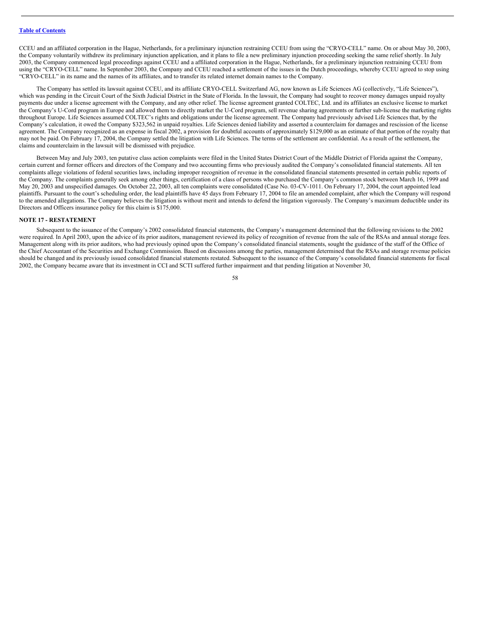CCEU and an affiliated corporation in the Hague, Netherlands, for a preliminary injunction restraining CCEU from using the "CRYO-CELL" name. On or about May 30, 2003, the Company voluntarily withdrew its preliminary injunction application, and it plans to file a new preliminary injunction proceeding seeking the same relief shortly. In July 2003, the Company commenced legal proceedings against CCEU and a affiliated corporation in the Hague, Netherlands, for a preliminary injunction restraining CCEU from using the "CRYO-CELL" name. In September 2003, the Company and CCEU reached a settlement of the issues in the Dutch proceedings, whereby CCEU agreed to stop using "CRYO-CELL" in its name and the names of its affiliates, and to transfer its related internet domain names to the Company.

The Company has settled its lawsuit against CCEU, and its affiliate CRYO-CELL Switzerland AG, now known as Life Sciences AG (collectively, "Life Sciences"), which was pending in the Circuit Court of the Sixth Judicial District in the State of Florida. In the lawsuit, the Company had sought to recover money damages unpaid royalty payments due under a license agreement with the Company, and any other relief. The license agreement granted COLTEC, Ltd. and its affiliates an exclusive license to market the Company's U-Cord program in Europe and allowed them to directly market the U-Cord program, sell revenue sharing agreements or further sub-license the marketing rights throughout Europe. Life Sciences assumed COLTEC's rights and obligations under the license agreement. The Company had previously advised Life Sciences that, by the Company's calculation, it owed the Company \$323,562 in unpaid royalties. Life Sciences denied liability and asserted a counterclaim for damages and rescission of the license agreement. The Company recognized as an expense in fiscal 2002, a provision for doubtful accounts of approximately \$129,000 as an estimate of that portion of the royalty that may not be paid. On February 17, 2004, the Company settled the litigation with Life Sciences. The terms of the settlement are confidential. As a result of the settlement, the claims and counterclaim in the lawsuit will be dismissed with prejudice.

Between May and July 2003, ten putative class action complaints were filed in the United States District Court of the Middle District of Florida against the Company, certain current and former officers and directors of the Company and two accounting firms who previously audited the Company's consolidated financial statements. All ten complaints allege violations of federal securities laws, including improper recognition of revenue in the consolidated financial statements presented in certain public reports of the Company. The complaints generally seek among other things, certification of a class of persons who purchased the Company's common stock between March 16, 1999 and May 20, 2003 and unspecified damages. On October 22, 2003, all ten complaints were consolidated (Case No. 03-CV-1011. On February 17, 2004, the court appointed lead plaintiffs. Pursuant to the court's scheduling order, the lead plaintiffs have 45 days from February 17, 2004 to file an amended complaint, after which the Company will respond to the amended allegations. The Company believes the litigation is without merit and intends to defend the litigation vigorously. The Company's maximum deductible under its Directors and Officers insurance policy for this claim is \$175,000.

#### **NOTE 17 - RESTATEMENT**

Subsequent to the issuance of the Company's 2002 consolidated financial statements, the Company's management determined that the following revisions to the 2002 were required. In April 2003, upon the advice of its prior auditors, management reviewed its policy of recognition of revenue from the sale of the RSAs and annual storage fees. Management along with its prior auditors, who had previously opined upon the Company's consolidated financial statements, sought the guidance of the staff of the Office of the Chief Accountant of the Securities and Exchange Commission. Based on discussions among the parties, management determined that the RSAs and storage revenue policies should be changed and its previously issued consolidated financial statements restated. Subsequent to the issuance of the Company's consolidated financial statements for fiscal 2002, the Company became aware that its investment in CCI and SCTI suffered further impairment and that pending litigation at November 30,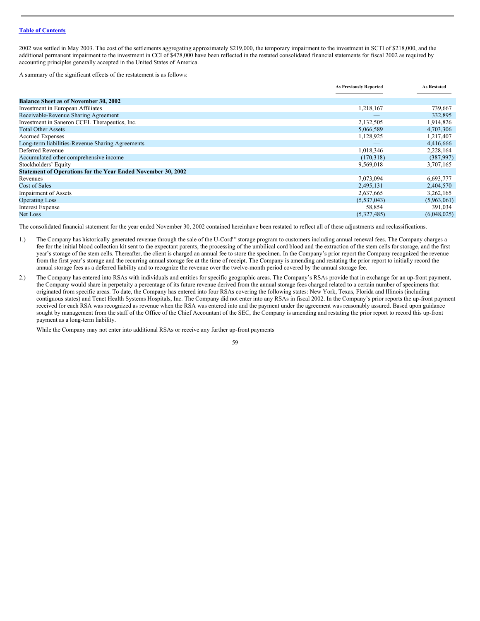2002 was settled in May 2003. The cost of the settlements aggregating approximately \$219,000, the temporary impairment to the investment in SCTI of \$218,000, and the additional permanent impairment to the investment in CCI of \$478,000 have been reflected in the restated consolidated financial statements for fiscal 2002 as required by accounting principles generally accepted in the United States of America.

A summary of the significant effects of the restatement is as follows:

|                                                              | <b>As Previously Reported</b> | <b>As Restated</b> |
|--------------------------------------------------------------|-------------------------------|--------------------|
|                                                              |                               |                    |
| <b>Balance Sheet as of November 30, 2002</b>                 |                               |                    |
| Investment in European Affiliates                            | 1,218,167                     | 739,667            |
| Receivable-Revenue Sharing Agreement                         |                               | 332,895            |
| Investment in Saneron CCEL Therapeutics, Inc.                | 2,132,505                     | 1,914,826          |
| <b>Total Other Assets</b>                                    | 5,066,589                     | 4,703,306          |
| <b>Accrued Expenses</b>                                      | 1,128,925                     | 1,217,407          |
| Long-term liabilities-Revenue Sharing Agreements             |                               | 4,416,666          |
| Deferred Revenue                                             | 1,018,346                     | 2,228,164          |
| Accumulated other comprehensive income                       | (170,318)                     | (387,997)          |
| Stockholders' Equity                                         | 9,569,018                     | 3,707,165          |
| Statement of Operations for the Year Ended November 30, 2002 |                               |                    |
| Revenues                                                     | 7,073,094                     | 6,693,777          |
| Cost of Sales                                                | 2,495,131                     | 2,404,570          |
| <b>Impairment of Assets</b>                                  | 2,637,665                     | 3,262,165          |
| <b>Operating Loss</b>                                        | (5,537,043)                   | (5,963,061)        |
| <b>Interest Expense</b>                                      | 58,854                        | 391,034            |
| Net Loss                                                     | (5,327,485)                   | (6,048,025)        |

The consolidated financial statement for the year ended November 30, 2002 contained hereinhave been restated to reflect all of these adjustments and reclassifications.

- 1.) The Company has historically generated revenue through the sale of the U-Cord<sup>M</sup> storage program to customers including annual renewal fees. The Company charges a fee for the initial blood collection kit sent to the expectant parents, the processing of the umbilical cord blood and the extraction of the stem cells for storage, and the first year's storage of the stem cells. Thereafter, the client is charged an annual fee to store the specimen. In the Company's prior report the Company recognized the revenue from the first year's storage and the recurring annual storage fee at the time of receipt. The Company is amending and restating the prior report to initially record the annual storage fees as a deferred liability and to recognize the revenue over the twelve-month period covered by the annual storage fee.
- 2.) The Company has entered into RSAs with individuals and entities for specific geographic areas. The Company's RSAs provide that in exchange for an up-front payment, the Company would share in perpetuity a percentage of its future revenue derived from the annual storage fees charged related to a certain number of specimens that originated from specific areas. To date, the Company has entered into four RSAs covering the following states: New York, Texas, Florida and Illinois (including contiguous states) and Tenet Health Systems Hospitals, Inc. The Company did not enter into any RSAs in fiscal 2002. In the Company's prior reports the up-front payment received for each RSA was recognized as revenue when the RSA was entered into and the payment under the agreement was reasonably assured. Based upon guidance sought by management from the staff of the Office of the Chief Accountant of the SEC, the Company is amending and restating the prior report to record this up-front payment as a long-term liability.

While the Company may not enter into additional RSAs or receive any further up-front payments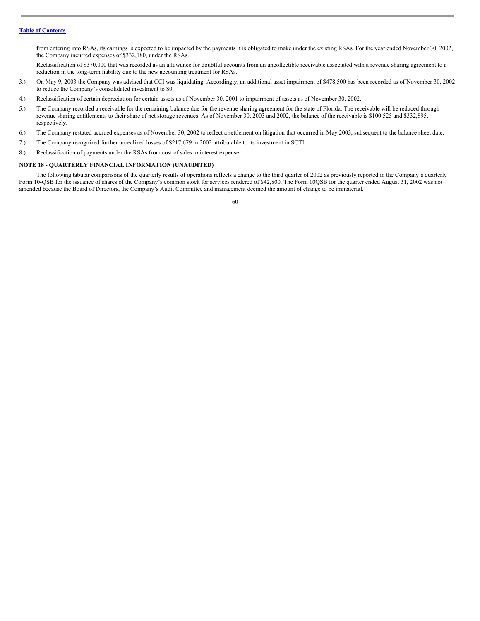from entering into RSAs, its earnings is expected to be impacted by the payments it is obligated to make under the existing RSAs. For the year ended November 30, 2002, the Company incurred expenses of \$332,180, under the RSAs.

Reclassification of \$370,000 that was recorded as an allowance for doubtful accounts from an uncollectible receivable associated with a revenue sharing agreement to a reduction in the long-term liability due to the new accounting treatment for RSAs.

- 3.) On May 9, 2003 the Company was advised that CCI was liquidating. Accordingly, an additional asset impairment of \$478,500 has been recorded as of November 30, 2002 to reduce the Company's consolidated investment to \$0.
- 4.) Reclassification of certain depreciation for certain assets as of November 30, 2001 to impairment of assets as of November 30, 2002.
- 5.) The Company recorded a receivable for the remaining balance due for the revenue sharing agreement for the state of Florida. The receivable will be reduced through revenue sharing entitlements to their share of net storage revenues. As of November 30, 2003 and 2002, the balance of the receivable is \$100,525 and \$332,895, respectively.
- 6.) The Company restated accrued expenses as of November 30, 2002 to reflect a settlement on litigation that occurred in May 2003, subsequent to the balance sheet date.
- 7.) The Company recognized further unrealized losses of \$217,679 in 2002 attributable to its investment in SCTI.
- 8.) Reclassification of payments under the RSAs from cost of sales to interest expense.

## **NOTE 18 - QUARTERLY FINANCIAL INFORMATION (UNAUDITED)**

The following tabular comparisons of the quarterly results of operations reflects a change to the third quarter of 2002 as previously reported in the Company's quarterly Form 10-QSB for the issuance of shares of the Company's common stock for services rendered of \$42,800. The Form 10QSB for the quarter ended August 31, 2002 was not amended because the Board of Directors, the Company's Audit Committee and management deemed the amount of change to be immaterial.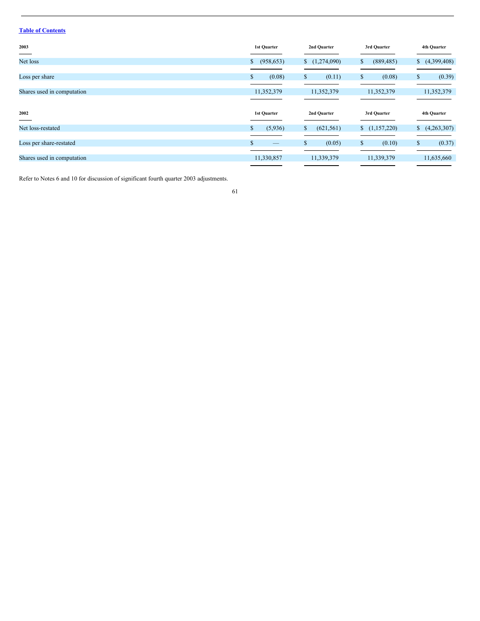| 2003                       | 1st Quarter        | 2nd Quarter       | 3rd Quarter            | 4th Quarter       |
|----------------------------|--------------------|-------------------|------------------------|-------------------|
| Net loss                   | (958, 653)<br>\$   | (1,274,090)<br>S. | (889, 485)<br>\$       | (4,399,408)<br>S. |
| Loss per share             | (0.08)<br>\$       | (0.11)<br>\$      | (0.08)<br>\$           | \$<br>(0.39)      |
| Shares used in computation | 11,352,379         | 11,352,379        | 11,352,379             | 11,352,379        |
| 2002                       | <b>1st Quarter</b> | 2nd Quarter       | 3rd Quarter            | 4th Quarter       |
| Net loss-restated          | (5,936)<br>S       | (621, 561)<br>\$  | (1,157,220)            | (4,263,307)       |
| Loss per share-restated    | \$.                | (0.05)<br>\$      | (0.10)<br>$\mathbb{S}$ | \$<br>(0.37)      |
| Shares used in computation | 11,330,857         | 11,339,379        | 11,339,379             | 11,635,660        |

Refer to Notes 6 and 10 for discussion of significant fourth quarter 2003 adjustments.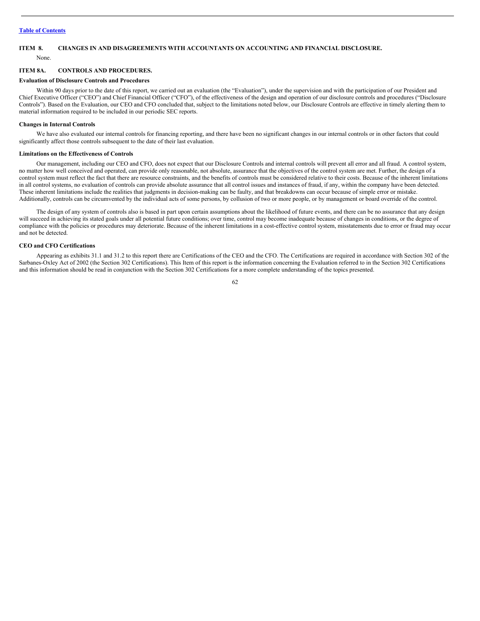#### **ITEM 8. CHANGES IN AND DISAGREEMENTS WITH ACCOUNTANTS ON ACCOUNTING AND FINANCIAL DISCLOSURE.**

None.

#### **ITEM 8A. CONTROLS AND PROCEDURES.**

#### **Evaluation of Disclosure Controls and Procedures**

Within 90 days prior to the date of this report, we carried out an evaluation (the "Evaluation"), under the supervision and with the participation of our President and Chief Executive Officer ("CEO") and Chief Financial Officer ("CFO"), of the effectiveness of the design and operation of our disclosure controls and procedures ("Disclosure Controls"). Based on the Evaluation, our CEO and CFO concluded that, subject to the limitations noted below, our Disclosure Controls are effective in timely alerting them to material information required to be included in our periodic SEC reports.

#### **Changes in Internal Controls**

We have also evaluated our internal controls for financing reporting, and there have been no significant changes in our internal controls or in other factors that could significantly affect those controls subsequent to the date of their last evaluation.

#### **Limitations on the Effectiveness of Controls**

Our management, including our CEO and CFO, does not expect that our Disclosure Controls and internal controls will prevent all error and all fraud. A control system, no matter how well conceived and operated, can provide only reasonable, not absolute, assurance that the objectives of the control system are met. Further, the design of a control system must reflect the fact that there are resource constraints, and the benefits of controls must be considered relative to their costs. Because of the inherent limitations in all control systems, no evaluation of controls can provide absolute assurance that all control issues and instances of fraud, if any, within the company have been detected. These inherent limitations include the realities that judgments in decision-making can be faulty, and that breakdowns can occur because of simple error or mistake. Additionally, controls can be circumvented by the individual acts of some persons, by collusion of two or more people, or by management or board override of the control.

The design of any system of controls also is based in part upon certain assumptions about the likelihood of future events, and there can be no assurance that any design will succeed in achieving its stated goals under all potential future conditions; over time, control may become inadequate because of changes in conditions, or the degree of compliance with the policies or procedures may deteriorate. Because of the inherent limitations in a cost-effective control system, misstatements due to error or fraud may occur and not be detected.

#### **CEO and CFO Certifications**

Appearing as exhibits 31.1 and 31.2 to this report there are Certifications of the CEO and the CFO. The Certifications are required in accordance with Section 302 of the Sarbanes-Oxley Act of 2002 (the Section 302 Certifications). This Item of this report is the information concerning the Evaluation referred to in the Section 302 Certifications and this information should be read in conjunction with the Section 302 Certifications for a more complete understanding of the topics presented.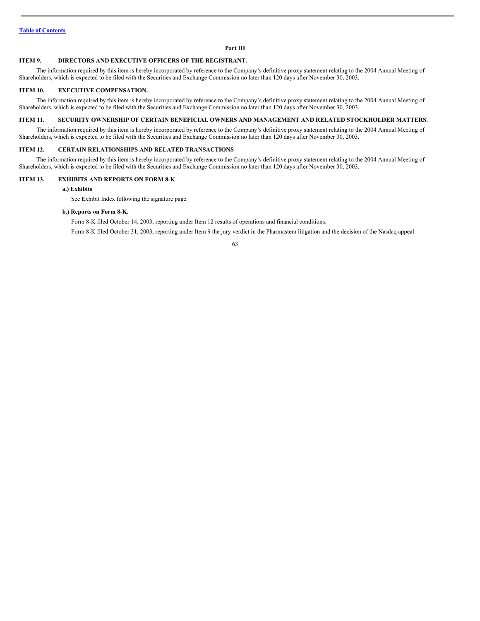#### **Part III**

# **ITEM 9. DIRECTORS AND EXECUTIVE OFFICERS OF THE REGISTRANT.**

The information required by this item is hereby incorporated by reference to the Company's definitive proxy statement relating to the 2004 Annual Meeting of Shareholders, which is expected to be filed with the Securities and Exchange Commission no later than 120 days after November 30, 2003.

#### **ITEM 10. EXECUTIVE COMPENSATION.**

The information required by this item is hereby incorporated by reference to the Company's definitive proxy statement relating to the 2004 Annual Meeting of Shareholders, which is expected to be filed with the Securities and Exchange Commission no later than 120 days after November 30, 2003.

## **ITEM 11. SECURITY OWNERSHIP OF CERTAIN BENEFICIAL OWNERS AND MANAGEMENT AND RELATED STOCKHOLDER MATTERS.**

The information required by this item is hereby incorporated by reference to the Company's definitive proxy statement relating to the 2004 Annual Meeting of Shareholders, which is expected to be filed with the Securities and Exchange Commission no later than 120 days after November 30, 2003.

#### **ITEM 12. CERTAIN RELATIONSHIPS AND RELATED TRANSACTIONS**

The information required by this item is hereby incorporated by reference to the Company's definitive proxy statement relating to the 2004 Annual Meeting of Shareholders, which is expected to be filed with the Securities and Exchange Commission no later than 120 days after November 30, 2003.

#### **ITEM 13. EXHIBITS AND REPORTS ON FORM 8-K**

# **a.) Exhibits**

See Exhibit Index following the signature page.

#### **b.) Reports on Form 8-K.**

Form 8-K filed October 14, 2003, reporting under Item 12 results of operations and financial conditions. Form 8-K filed October 31, 2003, reporting under Item 9 the jury verdict in the Pharmastem litigation and the decision of the Nasdaq appeal.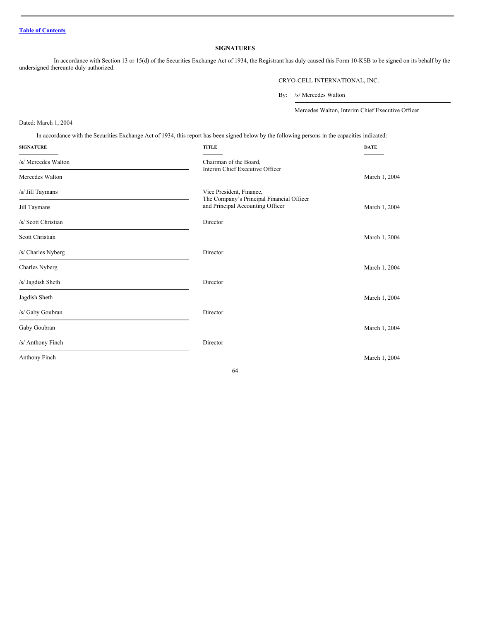# **SIGNATURES**

In accordance with Section 13 or 15(d) of the Securities Exchange Act of 1934, the Registrant has duly caused this Form 10-KSB to be signed on its behalf by the undersigned thereunto duly authorized.

# CRYO-CELL INTERNATIONAL, INC.

By: /s/ Mercedes Walton

Mercedes Walton, Interim Chief Executive Officer

Dated: March 1, 2004

In accordance with the Securities Exchange Act of 1934, this report has been signed below by the following persons in the capacities indicated:

| <b>SIGNATURE</b>    | <b>TITLE</b>                                                          | <b>DATE</b>   |
|---------------------|-----------------------------------------------------------------------|---------------|
| /s/ Mercedes Walton | Chairman of the Board,<br>Interim Chief Executive Officer             |               |
| Mercedes Walton     |                                                                       | March 1, 2004 |
| /s/ Jill Taymans    | Vice President, Finance,<br>The Company's Principal Financial Officer |               |
| Jill Taymans        | and Principal Accounting Officer                                      | March 1, 2004 |
| /s/ Scott Christian | Director                                                              |               |
| Scott Christian     |                                                                       | March 1, 2004 |
| /s/ Charles Nyberg  | Director                                                              |               |
| Charles Nyberg      |                                                                       | March 1, 2004 |
| /s/ Jagdish Sheth   | Director                                                              |               |
| Jagdish Sheth       |                                                                       | March 1, 2004 |
| /s/ Gaby Goubran    | Director                                                              |               |
| Gaby Goubran        |                                                                       | March 1, 2004 |
| /s/ Anthony Finch   | Director                                                              |               |
| Anthony Finch       |                                                                       | March 1, 2004 |
|                     | 64                                                                    |               |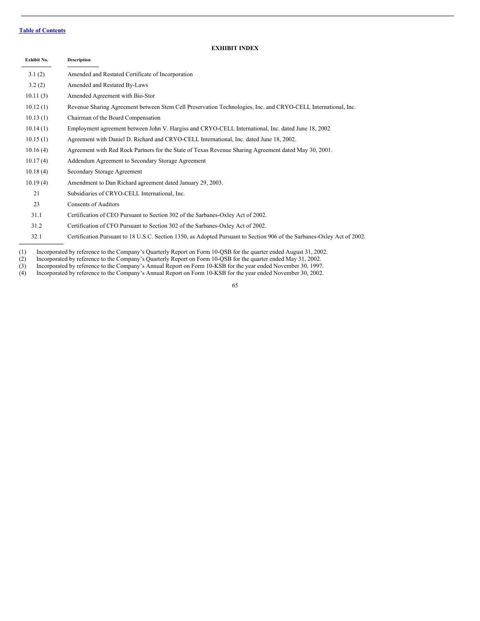# **EXHIBIT INDEX**

| Exhibit No. | <b>Description</b>                                                                                                      |
|-------------|-------------------------------------------------------------------------------------------------------------------------|
| 3.1(2)      | Amended and Restated Certificate of Incorporation                                                                       |
| 3.2(2)      | Amended and Restated By-Laws                                                                                            |
| 10.11(3)    | Amended Agreement with Bio-Stor                                                                                         |
| 10.12(1)    | Revenue Sharing Agreement between Stem Cell Preservation Technologies, Inc. and CRYO-CELL International, Inc.           |
| 10.13(1)    | Chairman of the Board Compensation                                                                                      |
| 10.14(1)    | Employment agreement between John V. Hargiss and CRYO-CELL International, Inc. dated June 18, 2002                      |
| 10.15(1)    | Agreement with Daniel D. Richard and CRYO-CELL International, Inc. dated June 18, 2002.                                 |
| 10.16(4)    | Agreement with Red Rock Partners for the State of Texas Revenue Sharing Agreement dated May 30, 2001.                   |
| 10.17(4)    | Addendum Agreement to Secondary Storage Agreement                                                                       |
| 10.18(4)    | Secondary Storage Agreement                                                                                             |
| 10.19(4)    | Amendment to Dan Richard agreement dated January 29, 2003.                                                              |
| 21          | Subsidiaries of CRYO-CELL International, Inc.                                                                           |
| 23          | <b>Consents of Auditors</b>                                                                                             |
| 31.1        | Certification of CEO Pursuant to Section 302 of the Sarbanes-Oxley Act of 2002.                                         |
| 31.2        | Certification of CFO Pursuant to Section 302 of the Sarbanes-Oxley Act of 2002.                                         |
| 32.1        | Certification Pursuant to 18 U.S.C. Section 1350, as Adopted Pursuant to Section 906 of the Sarbanes-Oxley Act of 2002. |
| (1)         | Incorporated by reference to the Company's Quarterly Report on Form 10-QSB for the quarter ended August 31, 2002.       |

(2) Incorporated by reference to the Company's Quarterly Report on Form 10-QSB for the quarter ended May 31, 2002.

(3) Incorporated by reference to the Company's Annual Report on Form 10-KSB for the year ended November 30, 1997.

(4) Incorporated by reference to the Company's Annual Report on Form 10-KSB for the year ended November 30, 2002.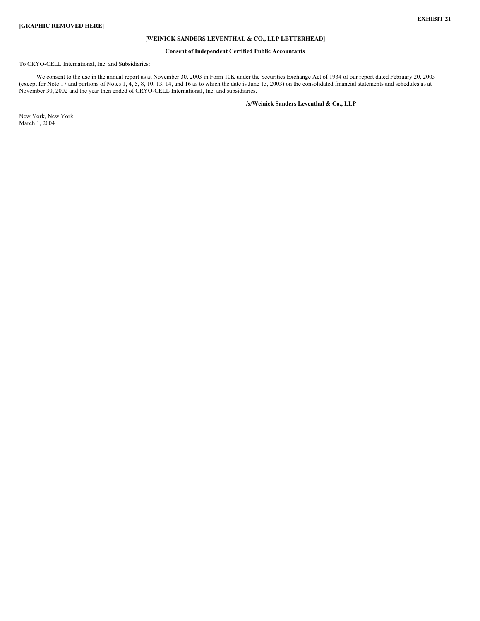# **[WEINICK SANDERS LEVENTHAL & CO., LLP LETTERHEAD]**

## **Consent of Independent Certified Public Accountants**

To CRYO-CELL International, Inc. and Subsidiaries:

We consent to the use in the annual report as at November 30, 2003 in Form 10K under the Securities Exchange Act of 1934 of our report dated February 20, 2003 (except for Note 17 and portions of Notes 1, 4, 5, 8, 10, 13, 14, and 16 as to which the date is June 13, 2003) on the consolidated financial statements and schedules as at November 30, 2002 and the year then ended of CRYO-CELL International, Inc. and subsidiaries.

# **/s/Weinick Sanders Leventhal & Co., LLP**

New York, New York March 1, 2004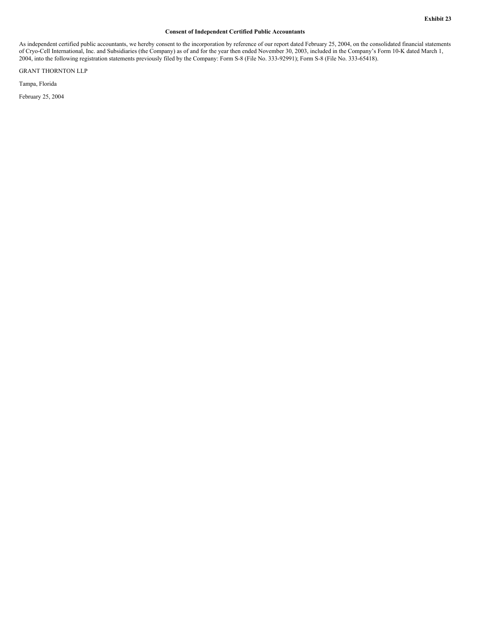# **Consent of Independent Certified Public Accountants**

As independent certified public accountants, we hereby consent to the incorporation by reference of our report dated February 25, 2004, on the consolidated financial statements of Cryo-Cell International, Inc. and Subsidiaries (the Company) as of and for the year then ended November 30, 2003, included in the Company's Form 10-K dated March 1, 2004, into the following registration statements previously filed by the Company: Form S-8 (File No. 333-92991); Form S-8 (File No. 333-65418).

GRANT THORNTON LLP

Tampa, Florida

February 25, 2004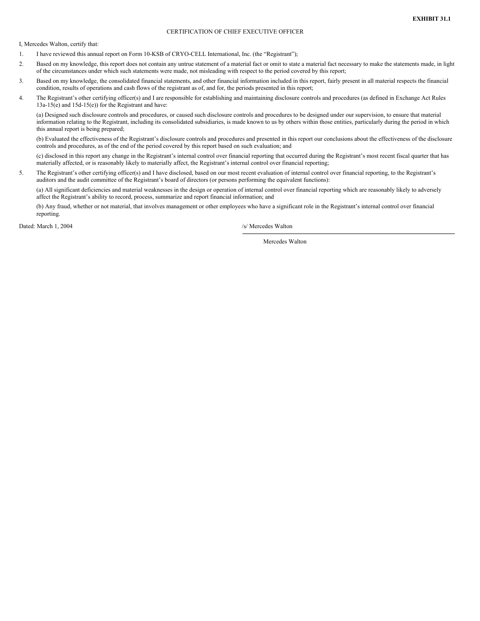# CERTIFICATION OF CHIEF EXECUTIVE OFFICER

I, Mercedes Walton, certify that:

- 1. I have reviewed this annual report on Form 10-KSB of CRYO-CELL International, Inc. (the "Registrant");
- 2. Based on my knowledge, this report does not contain any untrue statement of a material fact or omit to state a material fact necessary to make the statements made, in light of the circumstances under which such statements were made, not misleading with respect to the period covered by this report;
- 3. Based on my knowledge, the consolidated financial statements, and other financial information included in this report, fairly present in all material respects the financial condition, results of operations and cash flows of the registrant as of, and for, the periods presented in this report;
- 4. The Registrant's other certifying officer(s) and I are responsible for establishing and maintaining disclosure controls and procedures (as defined in Exchange Act Rules 13a-15(e) and 15d-15(e)) for the Registrant and have:

(a) Designed such disclosure controls and procedures, or caused such disclosure controls and procedures to be designed under our supervision, to ensure that material information relating to the Registrant, including its consolidated subsidiaries, is made known to us by others within those entities, particularly during the period in which this annual report is being prepared;

(b) Evaluated the effectiveness of the Registrant's disclosure controls and procedures and presented in this report our conclusions about the effectiveness of the disclosure controls and procedures, as of the end of the period covered by this report based on such evaluation; and

(c) disclosed in this report any change in the Registrant's internal control over financial reporting that occurred during the Registrant's most recent fiscal quarter that has materially affected, or is reasonably likely to materially affect, the Registrant's internal control over financial reporting;

5. The Registrant's other certifying officer(s) and I have disclosed, based on our most recent evaluation of internal control over financial reporting, to the Registrant's auditors and the audit committee of the Registrant's board of directors (or persons performing the equivalent functions):

(a) All significant deficiencies and material weaknesses in the design or operation of internal control over financial reporting which are reasonably likely to adversely affect the Registrant's ability to record, process, summarize and report financial information; and

(b) Any fraud, whether or not material, that involves management or other employees who have a significant role in the Registrant's internal control over financial reporting.

Dated: March 1, 2004 /s/ Mercedes Walton

Mercedes Walton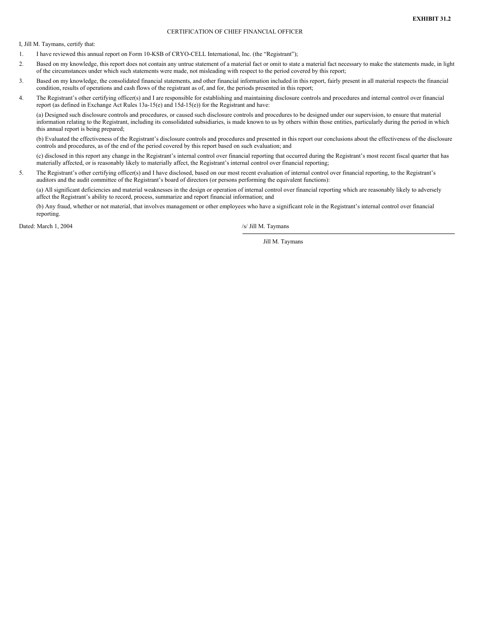## CERTIFICATION OF CHIEF FINANCIAL OFFICER

I, Jill M. Taymans, certify that:

- 1. I have reviewed this annual report on Form 10-KSB of CRYO-CELL International, Inc. (the "Registrant");
- 2. Based on my knowledge, this report does not contain any untrue statement of a material fact or omit to state a material fact necessary to make the statements made, in light of the circumstances under which such statements were made, not misleading with respect to the period covered by this report;
- 3. Based on my knowledge, the consolidated financial statements, and other financial information included in this report, fairly present in all material respects the financial condition, results of operations and cash flows of the registrant as of, and for, the periods presented in this report;
- 4. The Registrant's other certifying officer(s) and I are responsible for establishing and maintaining disclosure controls and procedures and internal control over financial report (as defined in Exchange Act Rules 13a-15(e) and 15d-15(e)) for the Registrant and have:

(a) Designed such disclosure controls and procedures, or caused such disclosure controls and procedures to be designed under our supervision, to ensure that material information relating to the Registrant, including its consolidated subsidiaries, is made known to us by others within those entities, particularly during the period in which this annual report is being prepared;

(b) Evaluated the effectiveness of the Registrant's disclosure controls and procedures and presented in this report our conclusions about the effectiveness of the disclosure controls and procedures, as of the end of the period covered by this report based on such evaluation; and

(c) disclosed in this report any change in the Registrant's internal control over financial reporting that occurred during the Registrant's most recent fiscal quarter that has materially affected, or is reasonably likely to materially affect, the Registrant's internal control over financial reporting;

5. The Registrant's other certifying officer(s) and I have disclosed, based on our most recent evaluation of internal control over financial reporting, to the Registrant's auditors and the audit committee of the Registrant's board of directors (or persons performing the equivalent functions):

(a) All significant deficiencies and material weaknesses in the design or operation of internal control over financial reporting which are reasonably likely to adversely affect the Registrant's ability to record, process, summarize and report financial information; and

(b) Any fraud, whether or not material, that involves management or other employees who have a significant role in the Registrant's internal control over financial reporting.

Dated: March 1, 2004 /s/ Jill M. Taymans

Jill M. Taymans